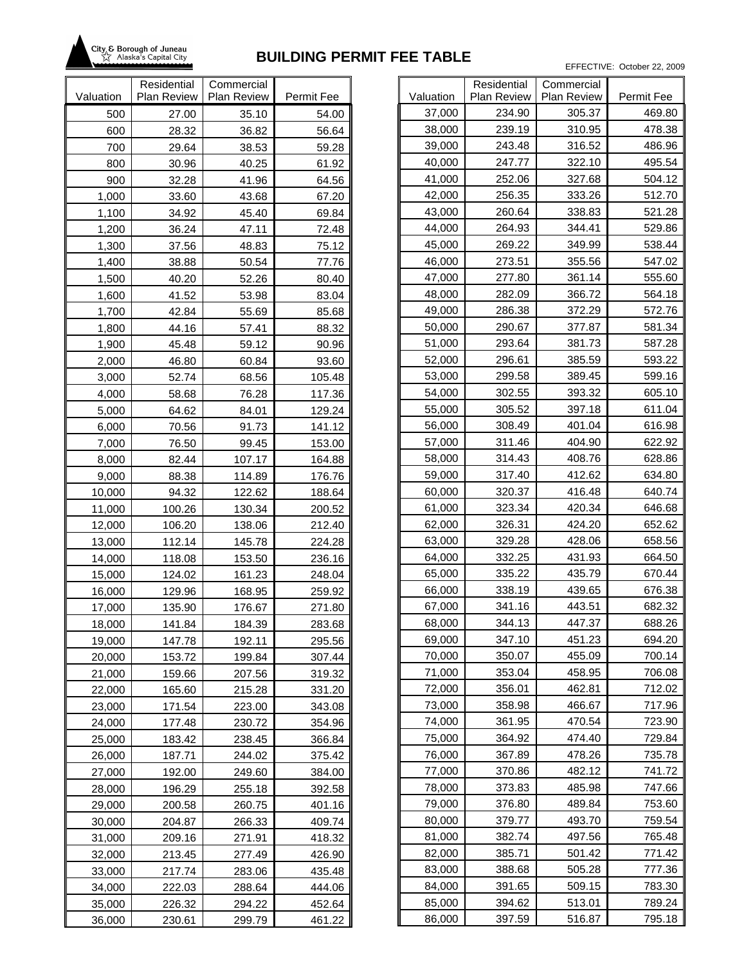

|           | Residential        | Commercial         |            |           |
|-----------|--------------------|--------------------|------------|-----------|
| Valuation | <b>Plan Review</b> | <b>Plan Review</b> | Permit Fee | Valuation |
| 500       | 27.00              | 35.10              | 54.00      | 37,000    |
| 600       | 28.32              | 36.82              | 56.64      | 38,000    |
| 700       | 29.64              | 38.53              | 59.28      | 39,000    |
| 800       | 30.96              | 40.25              | 61.92      | 40,000    |
| 900       | 32.28              | 41.96              | 64.56      | 41,000    |
| 1,000     | 33.60              | 43.68              | 67.20      | 42,000    |
| 1,100     | 34.92              | 45.40              | 69.84      | 43,000    |
| 1,200     | 36.24              | 47.11              | 72.48      | 44,000    |
| 1,300     | 37.56              | 48.83              | 75.12      | 45,000    |
| 1,400     | 38.88              | 50.54              | 77.76      | 46,000    |
| 1,500     | 40.20              | 52.26              | 80.40      | 47,000    |
| 1,600     | 41.52              | 53.98              | 83.04      | 48,000    |
| 1,700     | 42.84              | 55.69              | 85.68      | 49,000    |
| 1,800     | 44.16              | 57.41              | 88.32      | 50,000    |
| 1,900     | 45.48              | 59.12              | 90.96      | 51,000    |
| 2,000     | 46.80              | 60.84              | 93.60      | 52,000    |
| 3,000     | 52.74              | 68.56              | 105.48     | 53,000    |
| 4,000     | 58.68              | 76.28              | 117.36     | 54,000    |
| 5,000     | 64.62              | 84.01              | 129.24     | 55,000    |
| 6,000     | 70.56              | 91.73              | 141.12     | 56,000    |
| 7,000     | 76.50              | 99.45              | 153.00     | 57,000    |
| 8,000     | 82.44              | 107.17             | 164.88     | 58,000    |
| 9,000     | 88.38              | 114.89             | 176.76     | 59,000    |
| 10,000    | 94.32              | 122.62             | 188.64     | 60,00     |
| 11,000    | 100.26             | 130.34             | 200.52     | 61,000    |
| 12,000    | 106.20             | 138.06             | 212.40     | 62,000    |
| 13,000    | 112.14             | 145.78             | 224.28     | 63,000    |
| 14,000    | 118.08             | 153.50             | 236.16     | 64,000    |
| 15,000    | 124.02             | 161.23             | 248.04     | 65,000    |
| 16,000    | 129.96             | 168.95             | 259.92     | 66,000    |
| 17,000    | 135.90             | 176.67             | 271.80     | 67,000    |
| 18,000    | 141.84             | 184.39             | 283.68     | 68,000    |
| 19,000    | 147.78             | 192.11             | 295.56     | 69,000    |
| 20,000    | 153.72             | 199.84             | 307.44     | 70,000    |
| 21,000    | 159.66             | 207.56             | 319.32     | 71,000    |
| 22,000    | 165.60             | 215.28             | 331.20     | 72,000    |
| 23,000    | 171.54             | 223.00             | 343.08     | 73,000    |
| 24,000    | 177.48             | 230.72             | 354.96     | 74,000    |
| 25,000    | 183.42             | 238.45             | 366.84     | 75,000    |
| 26,000    | 187.71             | 244.02             | 375.42     | 76,000    |
| 27,000    | 192.00             | 249.60             | 384.00     | 77,000    |
| 28,000    | 196.29             | 255.18             | 392.58     | 78,000    |
| 29,000    | 200.58             | 260.75             | 401.16     | 79,000    |
| 30,000    | 204.87             | 266.33             | 409.74     | 80,000    |
| 31,000    | 209.16             | 271.91             | 418.32     | 81,000    |
| 32,000    | 213.45             | 277.49             | 426.90     | 82,000    |
| 33,000    | 217.74             | 283.06             | 435.48     | 83,000    |
| 34,000    | 222.03             | 288.64             | 444.06     | 84,000    |
| 35,000    | 226.32             | 294.22             | 452.64     | 85,000    |
| 36,000    | 230.61             | 299.79             | 461.22     | 86,000    |

|           | Residential | Commercial  |            |
|-----------|-------------|-------------|------------|
| Valuation | Plan Review | Plan Review | Permit Fee |
| 37,000    | 234.90      | 305.37      | 469.80     |
| 38,000    | 239.19      | 310.95      | 478.38     |
| 39,000    | 243.48      | 316.52      | 486.96     |
| 40,000    | 247.77      | 322.10      | 495.54     |
| 41,000    | 252.06      | 327.68      | 504.12     |
| 42,000    | 256.35      | 333.26      | 512.70     |
| 43,000    | 260.64      | 338.83      | 521.28     |
| 44,000    | 264.93      | 344.41      | 529.86     |
| 45,000    | 269.22      | 349.99      | 538.44     |
| 46,000    | 273.51      | 355.56      | 547.02     |
| 47,000    | 277.80      | 361.14      | 555.60     |
| 48,000    | 282.09      | 366.72      | 564.18     |
| 49,000    | 286.38      | 372.29      | 572.76     |
| 50,000    | 290.67      | 377.87      | 581.34     |
| 51,000    | 293.64      | 381.73      | 587.28     |
| 52,000    | 296.61      | 385.59      | 593.22     |
| 53,000    | 299.58      | 389.45      | 599.16     |
| 54,000    | 302.55      | 393.32      | 605.10     |
| 55,000    | 305.52      | 397.18      | 611.04     |
| 56,000    | 308.49      | 401.04      | 616.98     |
| 57,000    | 311.46      | 404.90      | 622.92     |
| 58,000    | 314.43      | 408.76      | 628.86     |
| 59,000    | 317.40      | 412.62      | 634.80     |
| 60,000    | 320.37      | 416.48      | 640.74     |
| 61,000    | 323.34      | 420.34      | 646.68     |
| 62,000    | 326.31      | 424.20      | 652.62     |
| 63,000    | 329.28      | 428.06      | 658.56     |
| 64,000    | 332.25      | 431.93      | 664.50     |
| 65,000    | 335.22      | 435.79      | 670.44     |
| 66,000    | 338.19      | 439.65      | 676.38     |
| 67,000    | 341.16      | 443.51      | 682.32     |
| 68,000    | 344.13      | 447.37      | 688.26     |
| 69,000    | 347.10      | 451.23      | 694.20     |
| 70,000    | 350.07      | 455.09      | 700.14     |
| 71,000    | 353.04      | 458.95      | 706.08     |
| 72,000    | 356.01      | 462.81      | 712.02     |
| 73,000    | 358.98      | 466.67      | 717.96     |
| 74,000    | 361.95      | 470.54      | 723.90     |
| 75,000    | 364.92      | 474.40      | 729.84     |
| 76,000    | 367.89      | 478.26      | 735.78     |
| 77,000    | 370.86      | 482.12      | 741.72     |
| 78,000    | 373.83      | 485.98      | 747.66     |
| 79,000    | 376.80      | 489.84      | 753.60     |
| 80,000    | 379.77      | 493.70      | 759.54     |
| 81,000    | 382.74      | 497.56      | 765.48     |
| 82,000    | 385.71      | 501.42      | 771.42     |
| 83,000    | 388.68      | 505.28      | 777.36     |
| 84,000    | 391.65      | 509.15      | 783.30     |
| 85,000    | 394.62      | 513.01      | 789.24     |
| 86,000    | 397.59      | 516.87      | 795.18     |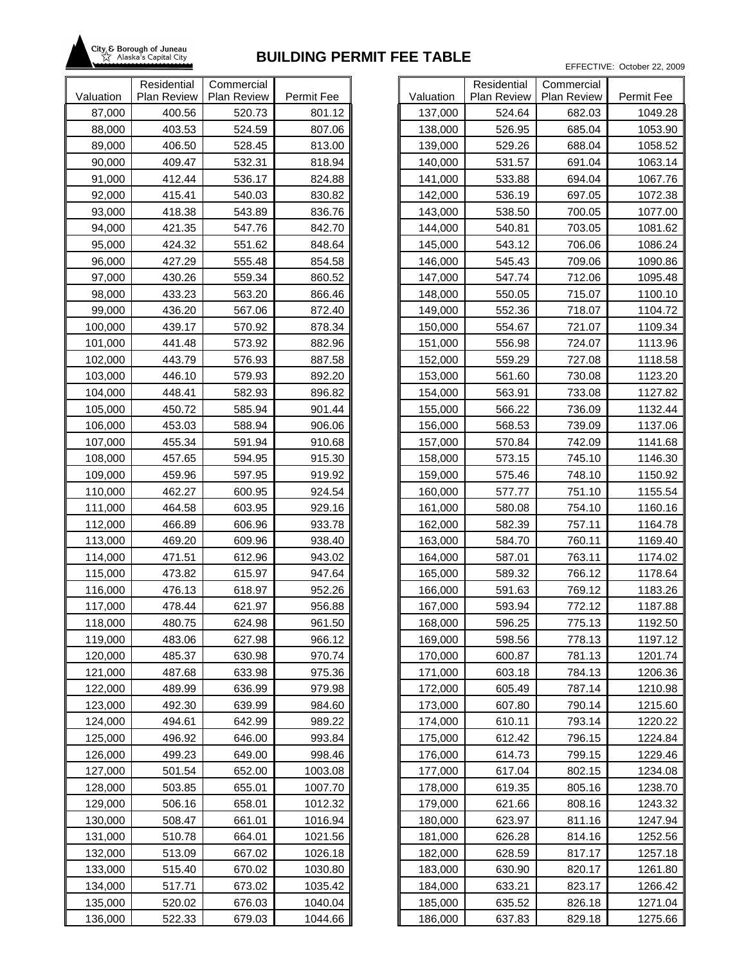

|                    | Residential        | Commercial       |                  |                    |
|--------------------|--------------------|------------------|------------------|--------------------|
| Valuation          | <b>Plan Review</b> | Plan Review      | Permit Fee       | Valuation          |
| 87,000             | 400.56             | 520.73           | 801.12           | 137,000            |
| 88,000             | 403.53             | 524.59           | 807.06           | 138,000            |
| 89,000             | 406.50             | 528.45           | 813.00           | 139,000            |
| 90,000             | 409.47             | 532.31           | 818.94           | 140,000            |
| 91,000             | 412.44             | 536.17           | 824.88           | 141,000            |
| 92,000             | 415.41             | 540.03           | 830.82           | 142,000            |
| 93,000             | 418.38             | 543.89           | 836.76           | 143,000            |
| 94,000             | 421.35             | 547.76           | 842.70           | 144,000            |
| 95,000             | 424.32             | 551.62           | 848.64           | 145,000            |
| 96,000             | 427.29             | 555.48           | 854.58           | 146,000            |
| 97,000             | 430.26             | 559.34           | 860.52           | 147,000            |
| 98,000             | 433.23             | 563.20           | 866.46           | 148,000            |
| 99,000             | 436.20             | 567.06           | 872.40           | 149,000            |
| 100,000            | 439.17             | 570.92           | 878.34           | 150,000            |
| 101,000            | 441.48             | 573.92           | 882.96           | 151,000            |
| 102,000            | 443.79             | 576.93           | 887.58           | 152,000            |
| 103,000            | 446.10             | 579.93           | 892.20           | 153,000            |
| 104,000            | 448.41             | 582.93           | 896.82           | 154,000            |
| 105,000            | 450.72             | 585.94           | 901.44           | 155,000            |
| 106,000            | 453.03             | 588.94           | 906.06           | 156,000            |
| 107,000            | 455.34             | 591.94           | 910.68           | 157,000            |
| 108,000            | 457.65             | 594.95           | 915.30           | 158,000            |
| 109,000            | 459.96             | 597.95           | 919.92           | 159,000            |
| 110,000            | 462.27             | 600.95           | 924.54           | 160,000            |
| 111,000<br>112,000 | 464.58<br>466.89   | 603.95<br>606.96 | 929.16           | 161,000            |
| 113,000            | 469.20             | 609.96           | 933.78<br>938.40 | 162,000<br>163,000 |
| 114,000            | 471.51             | 612.96           | 943.02           | 164,000            |
| 115,000            | 473.82             | 615.97           | 947.64           | 165,000            |
| 116,000            | 476.13             | 618.97           | 952.26           | 166,000            |
| 117,000            | 478.44             | 621.97           | 956.88           | 167,000            |
| 118,000            | 480.75             | 624.98           | 961.50           | 168,000            |
| 119,000            | 483.06             | 627.98           | 966.12           | 169,000            |
| 120,000            | 485.37             | 630.98           | 970.74           | 170,000            |
| 121,000            | 487.68             | 633.98           | 975.36           | 171,000            |
| 122,000            | 489.99             | 636.99           | 979.98           | 172,000            |
| 123,000            | 492.30             | 639.99           | 984.60           | 173,000            |
| 124,000            | 494.61             | 642.99           | 989.22           | 174,000            |
| 125,000            | 496.92             | 646.00           | 993.84           | 175,000            |
| 126,000            | 499.23             | 649.00           | 998.46           | 176,000            |
| 127,000            | 501.54             | 652.00           | 1003.08          | 177,000            |
| 128,000            | 503.85             | 655.01           | 1007.70          | 178,000            |
| 129,000            | 506.16             | 658.01           | 1012.32          | 179,000            |
| 130,000            | 508.47             | 661.01           | 1016.94          | 180,000            |
| 131,000            | 510.78             | 664.01           | 1021.56          | 181,000            |
| 132,000            | 513.09             | 667.02           | 1026.18          | 182,000            |
| 133,000            | 515.40             | 670.02           | 1030.80          | 183,000            |
| 134,000            | 517.71             | 673.02           | 1035.42          | 184,000            |
| 135,000            | 520.02             | 676.03           | 1040.04          | 185,000            |
| 136,000            | 522.33             | 679.03           | 1044.66          | 186,000            |

|           | Residential | Commercial  |            |
|-----------|-------------|-------------|------------|
| Valuation | Plan Review | Plan Review | Permit Fee |
| 137,000   | 524.64      | 682.03      | 1049.28    |
| 138,000   | 526.95      | 685.04      | 1053.90    |
| 139,000   | 529.26      | 688.04      | 1058.52    |
| 140,000   | 531.57      | 691.04      | 1063.14    |
| 141,000   | 533.88      | 694.04      | 1067.76    |
| 142,000   | 536.19      | 697.05      | 1072.38    |
| 143,000   | 538.50      | 700.05      | 1077.00    |
| 144,000   | 540.81      | 703.05      | 1081.62    |
| 145,000   | 543.12      | 706.06      | 1086.24    |
| 146,000   | 545.43      | 709.06      | 1090.86    |
| 147,000   | 547.74      | 712.06      | 1095.48    |
| 148,000   | 550.05      | 715.07      | 1100.10    |
| 149,000   | 552.36      | 718.07      | 1104.72    |
| 150,000   | 554.67      | 721.07      | 1109.34    |
| 151,000   | 556.98      | 724.07      | 1113.96    |
| 152,000   | 559.29      | 727.08      | 1118.58    |
| 153,000   | 561.60      | 730.08      | 1123.20    |
| 154,000   | 563.91      | 733.08      | 1127.82    |
| 155,000   | 566.22      | 736.09      | 1132.44    |
| 156,000   | 568.53      | 739.09      | 1137.06    |
| 157,000   | 570.84      | 742.09      | 1141.68    |
| 158,000   | 573.15      | 745.10      | 1146.30    |
| 159,000   | 575.46      | 748.10      | 1150.92    |
| 160,000   | 577.77      | 751.10      | 1155.54    |
| 161,000   | 580.08      | 754.10      | 1160.16    |
| 162,000   | 582.39      | 757.11      | 1164.78    |
| 163,000   | 584.70      | 760.11      | 1169.40    |
| 164,000   | 587.01      | 763.11      | 1174.02    |
| 165,000   | 589.32      | 766.12      | 1178.64    |
| 166,000   | 591.63      | 769.12      | 1183.26    |
| 167,000   | 593.94      | 772.12      | 1187.88    |
| 168,000   | 596.25      | 775.13      | 1192.50    |
| 169,000   | 598.56      | 778.13      | 1197.12    |
| 170,000   | 600.87      | 781.13      | 1201.74    |
| 171,000   | 603.18      | 784.13      | 1206.36    |
| 172,000   | 605.49      | 787.14      | 1210.98    |
| 173,000   | 607.80      | 790.14      | 1215.60    |
| 174,000   | 610.11      | 793.14      | 1220.22    |
| 175,000   | 612.42      | 796.15      | 1224.84    |
| 176,000   | 614.73      | 799.15      | 1229.46    |
| 177,000   | 617.04      | 802.15      | 1234.08    |
| 178,000   | 619.35      | 805.16      | 1238.70    |
| 179,000   | 621.66      | 808.16      | 1243.32    |
| 180,000   | 623.97      | 811.16      | 1247.94    |
| 181,000   | 626.28      | 814.16      | 1252.56    |
| 182,000   | 628.59      | 817.17      | 1257.18    |
| 183,000   | 630.90      | 820.17      | 1261.80    |
| 184,000   | 633.21      | 823.17      | 1266.42    |
| 185,000   | 635.52      | 826.18      | 1271.04    |
| 186,000   | 637.83      | 829.18      | 1275.66    |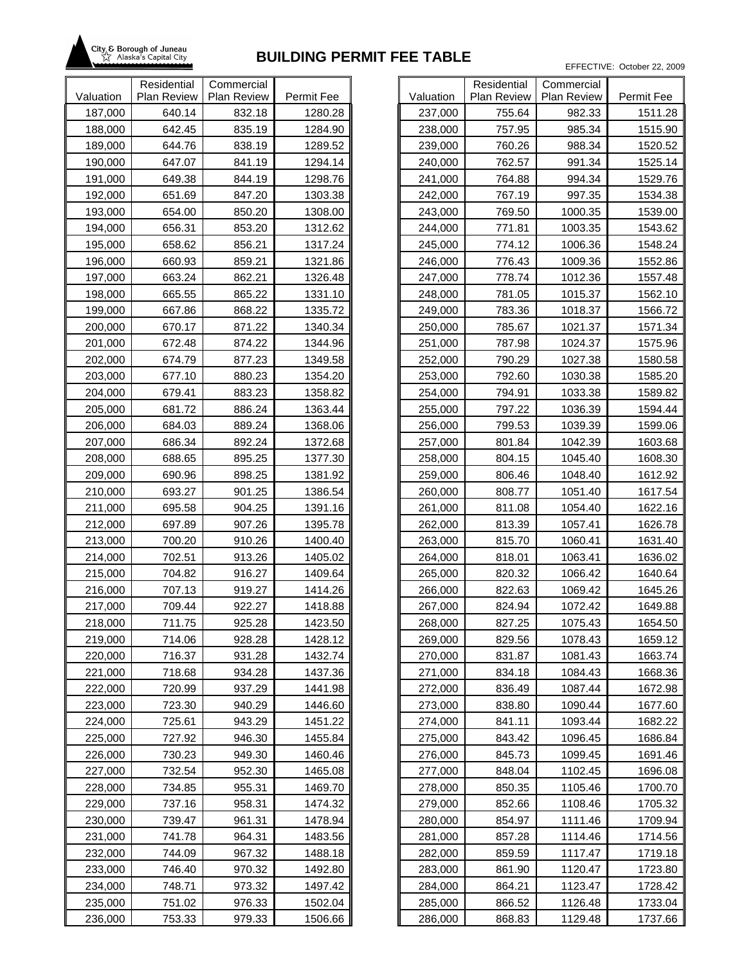

|                    | Residential      | Commercial       |                    |                    |
|--------------------|------------------|------------------|--------------------|--------------------|
| Valuation          | Plan Review      | Plan Review      | Permit Fee         | Valuation          |
| 187,000            | 640.14           | 832.18           | 1280.28            | 237,000            |
| 188,000            | 642.45           | 835.19           | 1284.90            | 238,000            |
| 189,000            | 644.76           | 838.19           | 1289.52            | 239,000            |
| 190,000            | 647.07           | 841.19           | 1294.14            | 240,000            |
| 191,000            | 649.38           | 844.19           | 1298.76            | 241,000            |
| 192,000            | 651.69           | 847.20           | 1303.38            | 242,000            |
| 193,000            | 654.00           | 850.20           | 1308.00            | 243,000            |
| 194,000            | 656.31           | 853.20           | 1312.62            | 244,000            |
| 195,000            | 658.62           | 856.21           | 1317.24            | 245,000            |
| 196,000            | 660.93           | 859.21           | 1321.86            | 246,000            |
| 197,000            | 663.24           | 862.21           | 1326.48            | 247,000            |
| 198,000            | 665.55           | 865.22           | 1331.10            | 248,000            |
| 199,000            | 667.86           | 868.22           | 1335.72            | 249,000            |
| 200,000            | 670.17           | 871.22           | 1340.34            | 250,000            |
| 201,000            | 672.48           | 874.22           | 1344.96            | 251,000            |
| 202,000            | 674.79           | 877.23           | 1349.58            | 252,000            |
| 203,000            | 677.10           | 880.23           | 1354.20            | 253,000            |
| 204,000            | 679.41           | 883.23           | 1358.82            | 254,000            |
| 205,000            | 681.72           | 886.24           | 1363.44            | 255,000            |
| 206,000            | 684.03           | 889.24           | 1368.06            | 256,000            |
| 207,000            | 686.34           | 892.24           | 1372.68            | 257,000            |
| 208,000            | 688.65           | 895.25           | 1377.30            | 258,000            |
| 209,000            | 690.96           | 898.25           | 1381.92            | 259,000            |
| 210,000            | 693.27           | 901.25           | 1386.54            | 260,000            |
| 211,000            | 695.58<br>697.89 | 904.25           | 1391.16<br>1395.78 | 261,000            |
| 212,000<br>213,000 | 700.20           | 907.26<br>910.26 | 1400.40            | 262,000<br>263,000 |
| 214,000            | 702.51           | 913.26           | 1405.02            | 264,000            |
| 215,000            | 704.82           | 916.27           | 1409.64            | 265,000            |
| 216,000            | 707.13           | 919.27           | 1414.26            | 266,000            |
| 217,000            | 709.44           | 922.27           | 1418.88            | 267,000            |
| 218,000            | 711.75           | 925.28           | 1423.50            | 268,000            |
| 219,000            | 714.06           | 928.28           | 1428.12            | 269,000            |
| 220,000            | 716.37           | 931.28           | 1432.74            | 270,000            |
| 221,000            | 718.68           | 934.28           | 1437.36            | 271,000            |
| 222,000            | 720.99           | 937.29           | 1441.98            | 272,000            |
| 223,000            | 723.30           | 940.29           | 1446.60            | 273,000            |
| 224,000            | 725.61           | 943.29           | 1451.22            | 274,000            |
| 225,000            | 727.92           | 946.30           | 1455.84            | 275,000            |
| 226,000            | 730.23           | 949.30           | 1460.46            | 276,000            |
| 227,000            | 732.54           | 952.30           | 1465.08            | 277,000            |
| 228,000            | 734.85           | 955.31           | 1469.70            | 278,000            |
| 229,000            | 737.16           | 958.31           | 1474.32            | 279,000            |
| 230,000            | 739.47           | 961.31           | 1478.94            | 280,000            |
| 231,000            | 741.78           | 964.31           | 1483.56            | 281,000            |
| 232,000            | 744.09           | 967.32           | 1488.18            | 282,000            |
| 233,000            | 746.40           | 970.32           | 1492.80            | 283,000            |
| 234,000            | 748.71           | 973.32           | 1497.42            | 284,000            |
| 235,000            | 751.02           | 976.33           | 1502.04            | 285,000            |
| 236,000            | 753.33           | 979.33           | 1506.66            | 286,000            |

|           | Residential        | Commercial         |            |
|-----------|--------------------|--------------------|------------|
| Valuation | <b>Plan Review</b> | <b>Plan Review</b> | Permit Fee |
| 237,000   | 755.64             | 982.33             | 1511.28    |
| 238,000   | 757.95             | 985.34             | 1515.90    |
| 239,000   | 760.26             | 988.34             | 1520.52    |
| 240,000   | 762.57             | 991.34             | 1525.14    |
| 241,000   | 764.88             | 994.34             | 1529.76    |
| 242,000   | 767.19             | 997.35             | 1534.38    |
| 243,000   | 769.50             | 1000.35            | 1539.00    |
| 244,000   | 771.81             | 1003.35            | 1543.62    |
| 245,000   | 774.12             | 1006.36            | 1548.24    |
| 246,000   | 776.43             | 1009.36            | 1552.86    |
| 247,000   | 778.74             | 1012.36            | 1557.48    |
| 248,000   | 781.05             | 1015.37            | 1562.10    |
| 249,000   | 783.36             | 1018.37            | 1566.72    |
| 250,000   | 785.67             | 1021.37            | 1571.34    |
| 251,000   | 787.98             | 1024.37            | 1575.96    |
| 252,000   | 790.29             | 1027.38            | 1580.58    |
| 253,000   | 792.60             | 1030.38            | 1585.20    |
| 254,000   | 794.91             | 1033.38            | 1589.82    |
| 255,000   | 797.22             | 1036.39            | 1594.44    |
| 256,000   | 799.53             | 1039.39            | 1599.06    |
| 257,000   | 801.84             | 1042.39            | 1603.68    |
| 258,000   | 804.15             | 1045.40            | 1608.30    |
| 259,000   | 806.46             | 1048.40            | 1612.92    |
| 260,000   | 808.77             | 1051.40            | 1617.54    |
| 261,000   | 811.08             | 1054.40            | 1622.16    |
| 262,000   | 813.39             | 1057.41            | 1626.78    |
| 263,000   | 815.70             | 1060.41            | 1631.40    |
| 264,000   | 818.01             | 1063.41            | 1636.02    |
| 265,000   | 820.32             | 1066.42            | 1640.64    |
| 266,000   | 822.63             | 1069.42            | 1645.26    |
| 267,000   | 824.94             | 1072.42            | 1649.88    |
| 268,000   | 827.25             | 1075.43            | 1654.50    |
| 269,000   | 829.56             | 1078.43            | 1659.12    |
| 270,000   | 831.87             | 1081.43            | 1663.74    |
| 271,000   | 834.18             | 1084.43            | 1668.36    |
| 272,000   | 836.49             | 1087.44            | 1672.98    |
| 273,000   | 838.80             | 1090.44            | 1677.60    |
| 274,000   | 841.11             | 1093.44            | 1682.22    |
| 275,000   | 843.42             | 1096.45            | 1686.84    |
| 276,000   | 845.73             | 1099.45            | 1691.46    |
| 277,000   | 848.04             | 1102.45            | 1696.08    |
| 278,000   | 850.35             | 1105.46            | 1700.70    |
| 279,000   | 852.66             | 1108.46            | 1705.32    |
| 280,000   | 854.97             | 1111.46            | 1709.94    |
| 281,000   | 857.28             | 1114.46            | 1714.56    |
| 282,000   | 859.59             | 1117.47            | 1719.18    |
| 283,000   | 861.90             | 1120.47            | 1723.80    |
| 284,000   | 864.21             | 1123.47            | 1728.42    |
| 285,000   | 866.52             | 1126.48            | 1733.04    |
| 286,000   | 868.83             | 1129.48            | 1737.66    |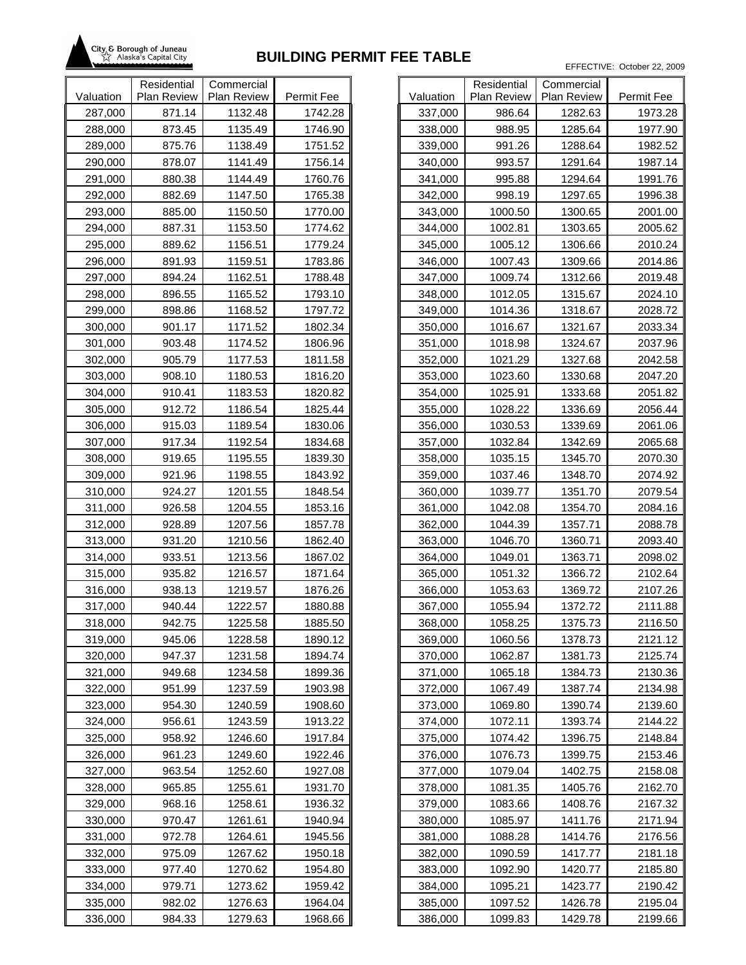

|           | Residential | Commercial  |            |           |
|-----------|-------------|-------------|------------|-----------|
| Valuation | Plan Review | Plan Review | Permit Fee | Valuation |
| 287,000   | 871.14      | 1132.48     | 1742.28    | 337,000   |
| 288,000   | 873.45      | 1135.49     | 1746.90    | 338,000   |
| 289,000   | 875.76      | 1138.49     | 1751.52    | 339,000   |
| 290,000   | 878.07      | 1141.49     | 1756.14    | 340,000   |
| 291,000   | 880.38      | 1144.49     | 1760.76    | 341,000   |
| 292,000   | 882.69      | 1147.50     | 1765.38    | 342,000   |
| 293,000   | 885.00      | 1150.50     | 1770.00    | 343,000   |
| 294,000   | 887.31      | 1153.50     | 1774.62    | 344,000   |
| 295,000   | 889.62      | 1156.51     | 1779.24    | 345,000   |
| 296,000   | 891.93      | 1159.51     | 1783.86    | 346,000   |
| 297,000   | 894.24      | 1162.51     | 1788.48    | 347,000   |
| 298,000   | 896.55      | 1165.52     | 1793.10    | 348,000   |
| 299,000   | 898.86      | 1168.52     | 1797.72    | 349,000   |
| 300,000   | 901.17      | 1171.52     | 1802.34    | 350,000   |
| 301,000   | 903.48      | 1174.52     | 1806.96    | 351,000   |
| 302,000   | 905.79      | 1177.53     | 1811.58    | 352,000   |
| 303,000   | 908.10      | 1180.53     | 1816.20    | 353,000   |
| 304,000   | 910.41      | 1183.53     | 1820.82    | 354,000   |
| 305,000   | 912.72      | 1186.54     | 1825.44    | 355,000   |
| 306,000   | 915.03      | 1189.54     | 1830.06    | 356,000   |
| 307,000   | 917.34      | 1192.54     | 1834.68    | 357,000   |
| 308,000   | 919.65      | 1195.55     | 1839.30    | 358,000   |
| 309,000   | 921.96      | 1198.55     | 1843.92    | 359,000   |
| 310,000   | 924.27      | 1201.55     | 1848.54    | 360,000   |
| 311,000   | 926.58      | 1204.55     | 1853.16    | 361,000   |
| 312,000   | 928.89      | 1207.56     | 1857.78    | 362,000   |
| 313,000   | 931.20      | 1210.56     | 1862.40    | 363,000   |
| 314,000   | 933.51      | 1213.56     | 1867.02    | 364,000   |
| 315,000   | 935.82      | 1216.57     | 1871.64    | 365,000   |
| 316,000   | 938.13      | 1219.57     | 1876.26    | 366,000   |
| 317,000   | 940.44      | 1222.57     | 1880.88    | 367,000   |
| 318,000   | 942.75      | 1225.58     | 1885.50    | 368,000   |
| 319,000   | 945.06      | 1228.58     | 1890.12    | 369,000   |
| 320,000   | 947.37      | 1231.58     | 1894.74    | 370,000   |
| 321,000   | 949.68      | 1234.58     | 1899.36    | 371,000   |
| 322,000   | 951.99      | 1237.59     | 1903.98    | 372,000   |
| 323,000   | 954.30      | 1240.59     | 1908.60    | 373,000   |
| 324,000   | 956.61      | 1243.59     | 1913.22    | 374,000   |
| 325,000   | 958.92      | 1246.60     | 1917.84    | 375,000   |
| 326,000   | 961.23      | 1249.60     | 1922.46    | 376,000   |
| 327,000   | 963.54      | 1252.60     | 1927.08    | 377,000   |
| 328,000   | 965.85      | 1255.61     | 1931.70    | 378,000   |
| 329,000   | 968.16      | 1258.61     | 1936.32    | 379,000   |
| 330,000   | 970.47      | 1261.61     | 1940.94    | 380,000   |
| 331,000   | 972.78      | 1264.61     | 1945.56    | 381,000   |
| 332,000   | 975.09      | 1267.62     | 1950.18    | 382,000   |
| 333,000   | 977.40      | 1270.62     | 1954.80    | 383,000   |
| 334,000   | 979.71      | 1273.62     | 1959.42    | 384,000   |
| 335,000   | 982.02      | 1276.63     | 1964.04    | 385,000   |
| 336,000   | 984.33      | 1279.63     | 1968.66    | 386,000   |

| Valuation          | Residential<br><b>Plan Review</b> | Commercial<br><b>Plan Review</b> | Permit Fee |
|--------------------|-----------------------------------|----------------------------------|------------|
| 337,000            | 986.64                            | 1282.63                          | 1973.28    |
| 338,000            | 988.95                            | 1285.64                          | 1977.90    |
| 339,000            | 991.26                            | 1288.64                          | 1982.52    |
| 340,000            | 993.57                            | 1291.64                          | 1987.14    |
| 341,000            | 995.88                            | 1294.64                          | 1991.76    |
| 342,000            | 998.19                            | 1297.65                          | 1996.38    |
|                    | 1000.50                           | 1300.65                          | 2001.00    |
| 343,000<br>344,000 | 1002.81                           | 1303.65                          | 2005.62    |
|                    | 1005.12                           | 1306.66                          | 2010.24    |
| 345,000            |                                   |                                  |            |
| 346,000            | 1007.43                           | 1309.66                          | 2014.86    |
| 347,000            | 1009.74                           | 1312.66                          | 2019.48    |
| 348,000            | 1012.05                           | 1315.67                          | 2024.10    |
| 349,000            | 1014.36                           | 1318.67                          | 2028.72    |
| 350,000            | 1016.67                           | 1321.67                          | 2033.34    |
| 351,000            | 1018.98                           | 1324.67                          | 2037.96    |
| 352,000            | 1021.29                           | 1327.68                          | 2042.58    |
| 353,000            | 1023.60                           | 1330.68                          | 2047.20    |
| 354,000            | 1025.91                           | 1333.68                          | 2051.82    |
| 355,000            | 1028.22                           | 1336.69                          | 2056.44    |
| 356,000            | 1030.53                           | 1339.69                          | 2061.06    |
| 357,000            | 1032.84                           | 1342.69                          | 2065.68    |
| 358,000            | 1035.15                           | 1345.70                          | 2070.30    |
| 359,000            | 1037.46                           | 1348.70                          | 2074.92    |
| 360,000            | 1039.77                           | 1351.70                          | 2079.54    |
| 361,000            | 1042.08                           | 1354.70                          | 2084.16    |
| 362,000            | 1044.39                           | 1357.71                          | 2088.78    |
| 363,000            | 1046.70                           | 1360.71                          | 2093.40    |
| 364,000            | 1049.01                           | 1363.71                          | 2098.02    |
| 365,000            | 1051.32                           | 1366.72                          | 2102.64    |
| 366,000            | 1053.63                           | 1369.72                          | 2107.26    |
| 367,000            | 1055.94                           | 1372.72                          | 2111.88    |
| 368,000            | 1058.25                           | 1375.73                          | 2116.50    |
| 369,000            | 1060.56                           | 1378.73                          | 2121.12    |
| 370,000            | 1062.87                           | 1381.73                          | 2125.74    |
| 371,000            | 1065.18                           | 1384.73                          | 2130.36    |
| 372,000            | 1067.49                           | 1387.74                          | 2134.98    |
| 373,000            | 1069.80                           | 1390.74                          | 2139.60    |
| 374,000            | 1072.11                           | 1393.74                          | 2144.22    |
| 375,000            | 1074.42                           | 1396.75                          | 2148.84    |
| 376,000            | 1076.73                           | 1399.75                          | 2153.46    |
| 377,000            | 1079.04                           | 1402.75                          | 2158.08    |
| 378,000            | 1081.35                           | 1405.76                          | 2162.70    |
| 379,000            | 1083.66                           | 1408.76                          | 2167.32    |
| 380,000            | 1085.97                           | 1411.76                          | 2171.94    |
| 381,000            | 1088.28                           | 1414.76                          | 2176.56    |
| 382,000            | 1090.59                           | 1417.77                          | 2181.18    |
| 383,000            | 1092.90                           | 1420.77                          | 2185.80    |
| 384,000            | 1095.21                           | 1423.77                          | 2190.42    |
| 385,000            | 1097.52                           | 1426.78                          | 2195.04    |
| 386,000            | 1099.83                           | 1429.78                          | 2199.66    |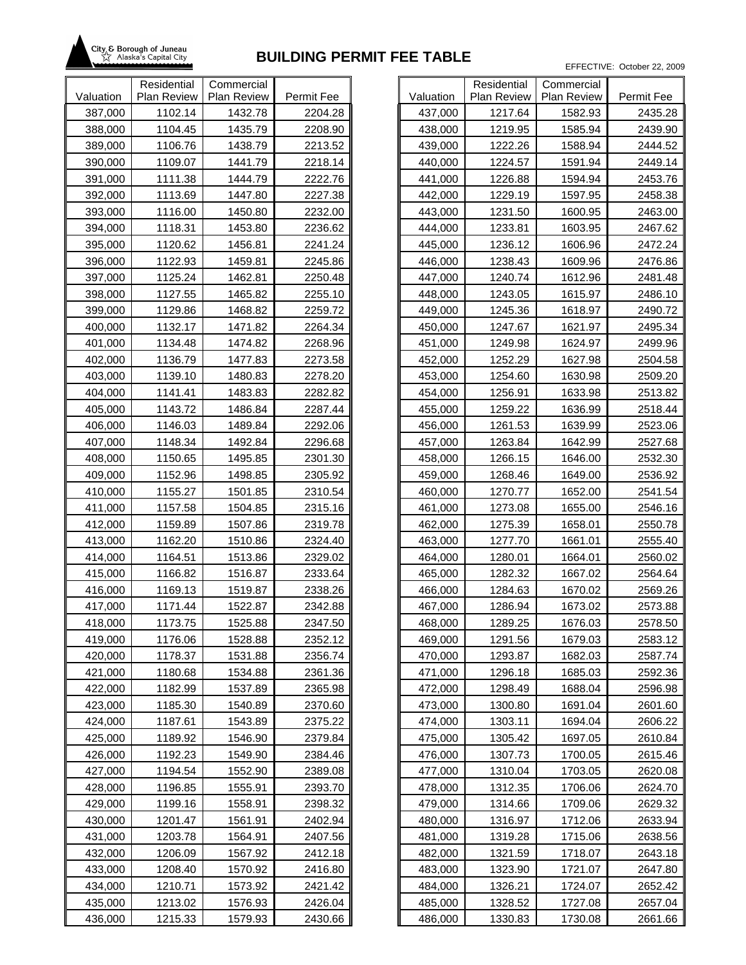

|           | Residential | Commercial  |            |           |
|-----------|-------------|-------------|------------|-----------|
| Valuation | Plan Review | Plan Review | Permit Fee | Valuation |
| 387,000   | 1102.14     | 1432.78     | 2204.28    | 437,000   |
| 388,000   | 1104.45     | 1435.79     | 2208.90    | 438,000   |
| 389,000   | 1106.76     | 1438.79     | 2213.52    | 439,000   |
| 390,000   | 1109.07     | 1441.79     | 2218.14    | 440,000   |
| 391,000   | 1111.38     | 1444.79     | 2222.76    | 441,000   |
| 392,000   | 1113.69     | 1447.80     | 2227.38    | 442,000   |
| 393,000   | 1116.00     | 1450.80     | 2232.00    | 443,000   |
| 394,000   | 1118.31     | 1453.80     | 2236.62    | 444,000   |
| 395,000   | 1120.62     | 1456.81     | 2241.24    | 445,000   |
| 396,000   | 1122.93     | 1459.81     | 2245.86    | 446,000   |
| 397,000   | 1125.24     | 1462.81     | 2250.48    | 447,000   |
| 398,000   | 1127.55     | 1465.82     | 2255.10    | 448,000   |
| 399,000   | 1129.86     | 1468.82     | 2259.72    | 449,000   |
| 400,000   | 1132.17     | 1471.82     | 2264.34    | 450,000   |
| 401,000   | 1134.48     | 1474.82     | 2268.96    | 451,000   |
| 402,000   | 1136.79     | 1477.83     | 2273.58    | 452,000   |
| 403,000   | 1139.10     | 1480.83     | 2278.20    | 453,000   |
| 404,000   | 1141.41     | 1483.83     | 2282.82    | 454,000   |
| 405,000   | 1143.72     | 1486.84     | 2287.44    | 455,000   |
| 406,000   | 1146.03     | 1489.84     | 2292.06    | 456,000   |
| 407,000   | 1148.34     | 1492.84     | 2296.68    | 457,000   |
| 408,000   | 1150.65     | 1495.85     | 2301.30    | 458,000   |
| 409,000   | 1152.96     | 1498.85     | 2305.92    | 459,000   |
| 410,000   | 1155.27     | 1501.85     | 2310.54    | 460,000   |
| 411,000   | 1157.58     | 1504.85     | 2315.16    | 461,000   |
| 412,000   | 1159.89     | 1507.86     | 2319.78    | 462,000   |
| 413,000   | 1162.20     | 1510.86     | 2324.40    | 463,000   |
| 414,000   | 1164.51     | 1513.86     | 2329.02    | 464,000   |
| 415,000   | 1166.82     | 1516.87     | 2333.64    | 465,000   |
| 416,000   | 1169.13     | 1519.87     | 2338.26    | 466,000   |
| 417,000   | 1171.44     | 1522.87     | 2342.88    | 467,000   |
| 418,000   | 1173.75     | 1525.88     | 2347.50    | 468,000   |
| 419,000   | 1176.06     | 1528.88     | 2352.12    | 469,000   |
| 420,000   | 1178.37     | 1531.88     | 2356.74    | 470,000   |
| 421,000   | 1180.68     | 1534.88     | 2361.36    | 471,000   |
| 422,000   | 1182.99     | 1537.89     | 2365.98    | 472,000   |
| 423,000   | 1185.30     | 1540.89     | 2370.60    | 473,000   |
| 424,000   | 1187.61     | 1543.89     | 2375.22    | 474,000   |
| 425,000   | 1189.92     | 1546.90     | 2379.84    | 475,000   |
| 426,000   | 1192.23     | 1549.90     | 2384.46    | 476,000   |
| 427,000   | 1194.54     | 1552.90     | 2389.08    | 477,000   |
| 428,000   | 1196.85     | 1555.91     | 2393.70    | 478,000   |
| 429,000   | 1199.16     | 1558.91     | 2398.32    | 479,000   |
| 430,000   | 1201.47     | 1561.91     | 2402.94    | 480,000   |
| 431,000   | 1203.78     | 1564.91     | 2407.56    | 481,000   |
| 432,000   | 1206.09     | 1567.92     | 2412.18    | 482,000   |
| 433,000   | 1208.40     | 1570.92     | 2416.80    | 483,000   |
| 434,000   | 1210.71     | 1573.92     | 2421.42    | 484,000   |
| 435,000   | 1213.02     | 1576.93     | 2426.04    | 485,000   |
| 436,000   | 1215.33     | 1579.93     | 2430.66    | 486,000   |

|           | Residential        | Commercial         |            |
|-----------|--------------------|--------------------|------------|
| Valuation | <b>Plan Review</b> | <b>Plan Review</b> | Permit Fee |
| 437,000   | 1217.64            | 1582.93            | 2435.28    |
| 438,000   | 1219.95            | 1585.94            | 2439.90    |
| 439,000   | 1222.26            | 1588.94            | 2444.52    |
| 440,000   | 1224.57            | 1591.94            | 2449.14    |
| 441,000   | 1226.88            | 1594.94            | 2453.76    |
| 442,000   | 1229.19            | 1597.95            | 2458.38    |
| 443,000   | 1231.50            | 1600.95            | 2463.00    |
| 444,000   | 1233.81            | 1603.95            | 2467.62    |
| 445,000   | 1236.12            | 1606.96            | 2472.24    |
| 446,000   | 1238.43            | 1609.96            | 2476.86    |
| 447,000   | 1240.74            | 1612.96            | 2481.48    |
| 448,000   | 1243.05            | 1615.97            | 2486.10    |
| 449,000   | 1245.36            | 1618.97            | 2490.72    |
| 450,000   | 1247.67            | 1621.97            | 2495.34    |
| 451,000   | 1249.98            | 1624.97            | 2499.96    |
| 452,000   | 1252.29            | 1627.98            | 2504.58    |
| 453,000   | 1254.60            | 1630.98            | 2509.20    |
| 454,000   | 1256.91            | 1633.98            | 2513.82    |
| 455,000   | 1259.22            | 1636.99            | 2518.44    |
| 456,000   | 1261.53            | 1639.99            | 2523.06    |
| 457,000   | 1263.84            | 1642.99            | 2527.68    |
| 458,000   | 1266.15            | 1646.00            | 2532.30    |
| 459,000   | 1268.46            | 1649.00            | 2536.92    |
| 460,000   | 1270.77            | 1652.00            | 2541.54    |
| 461,000   | 1273.08            | 1655.00            | 2546.16    |
| 462,000   | 1275.39            | 1658.01            | 2550.78    |
| 463,000   | 1277.70            | 1661.01            | 2555.40    |
| 464,000   | 1280.01            | 1664.01            | 2560.02    |
| 465,000   | 1282.32            | 1667.02            | 2564.64    |
| 466,000   | 1284.63            | 1670.02            | 2569.26    |
| 467,000   | 1286.94            | 1673.02            | 2573.88    |
| 468,000   | 1289.25            | 1676.03            | 2578.50    |
| 469,000   | 1291.56            | 1679.03            | 2583.12    |
| 470,000   | 1293.87            | 1682.03            | 2587.74    |
| 471,000   | 1296.18            | 1685.03            | 2592.36    |
| 472,000   | 1298.49            | 1688.04            | 2596.98    |
| 473,000   | 1300.80            | 1691.04            | 2601.60    |
| 474,000   | 1303.11            | 1694.04            | 2606.22    |
| 475,000   | 1305.42            | 1697.05            | 2610.84    |
| 476,000   | 1307.73            | 1700.05            | 2615.46    |
| 477,000   | 1310.04            | 1703.05            | 2620.08    |
| 478,000   | 1312.35            | 1706.06            | 2624.70    |
| 479,000   | 1314.66            | 1709.06            | 2629.32    |
| 480,000   | 1316.97            | 1712.06            | 2633.94    |
| 481,000   | 1319.28            | 1715.06            | 2638.56    |
| 482,000   | 1321.59            | 1718.07            | 2643.18    |
| 483,000   | 1323.90            | 1721.07            | 2647.80    |
| 484,000   | 1326.21            | 1724.07            | 2652.42    |
| 485,000   | 1328.52            | 1727.08            | 2657.04    |
| 486,000   | 1330.83            | 1730.08            | 2661.66    |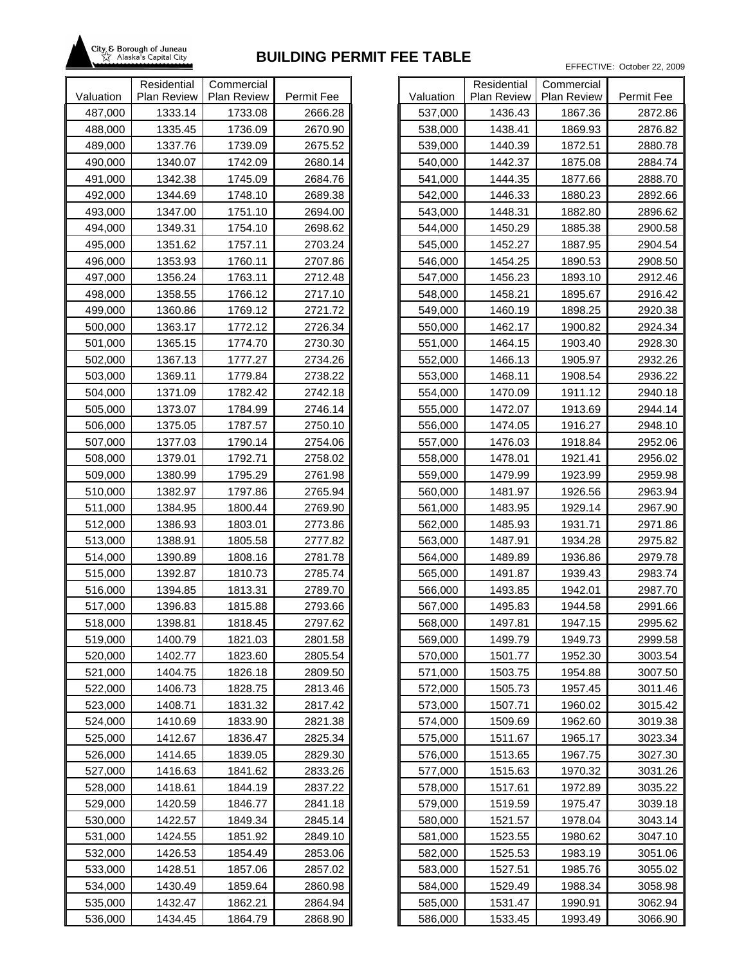

|           | Residential | Commercial  |            |           |
|-----------|-------------|-------------|------------|-----------|
| Valuation | Plan Review | Plan Review | Permit Fee | Valuation |
| 487,000   | 1333.14     | 1733.08     | 2666.28    | 537,000   |
| 488,000   | 1335.45     | 1736.09     | 2670.90    | 538,000   |
| 489,000   | 1337.76     | 1739.09     | 2675.52    | 539,000   |
| 490,000   | 1340.07     | 1742.09     | 2680.14    | 540,000   |
| 491,000   | 1342.38     | 1745.09     | 2684.76    | 541,000   |
| 492,000   | 1344.69     | 1748.10     | 2689.38    | 542,000   |
| 493,000   | 1347.00     | 1751.10     | 2694.00    | 543,000   |
| 494,000   | 1349.31     | 1754.10     | 2698.62    | 544,000   |
| 495,000   | 1351.62     | 1757.11     | 2703.24    | 545,000   |
| 496,000   | 1353.93     | 1760.11     | 2707.86    | 546,000   |
| 497,000   | 1356.24     | 1763.11     | 2712.48    | 547,000   |
| 498,000   | 1358.55     | 1766.12     | 2717.10    | 548,000   |
| 499,000   | 1360.86     | 1769.12     | 2721.72    | 549,000   |
| 500,000   | 1363.17     | 1772.12     | 2726.34    | 550,000   |
| 501,000   | 1365.15     | 1774.70     | 2730.30    | 551,000   |
| 502,000   | 1367.13     | 1777.27     | 2734.26    | 552,000   |
| 503,000   | 1369.11     | 1779.84     | 2738.22    | 553,000   |
| 504,000   | 1371.09     | 1782.42     | 2742.18    | 554,000   |
| 505,000   | 1373.07     | 1784.99     | 2746.14    | 555,000   |
| 506,000   | 1375.05     | 1787.57     | 2750.10    | 556,000   |
| 507,000   | 1377.03     | 1790.14     | 2754.06    | 557,000   |
| 508,000   | 1379.01     | 1792.71     | 2758.02    | 558,000   |
| 509,000   | 1380.99     | 1795.29     | 2761.98    | 559,000   |
| 510,000   | 1382.97     | 1797.86     | 2765.94    | 560,000   |
| 511,000   | 1384.95     | 1800.44     | 2769.90    | 561,000   |
| 512,000   | 1386.93     | 1803.01     | 2773.86    | 562,000   |
| 513,000   | 1388.91     | 1805.58     | 2777.82    | 563,000   |
| 514,000   | 1390.89     | 1808.16     | 2781.78    | 564,000   |
| 515,000   | 1392.87     | 1810.73     | 2785.74    | 565,000   |
| 516,000   | 1394.85     | 1813.31     | 2789.70    | 566,000   |
| 517,000   | 1396.83     | 1815.88     | 2793.66    | 567,000   |
| 518,000   | 1398.81     | 1818.45     | 2797.62    | 568,000   |
| 519,000   | 1400.79     | 1821.03     | 2801.58    | 569,000   |
| 520,000   | 1402.77     | 1823.60     | 2805.54    | 570,000   |
| 521,000   | 1404.75     | 1826.18     | 2809.50    | 571,000   |
| 522,000   | 1406.73     | 1828.75     | 2813.46    | 572,000   |
| 523,000   | 1408.71     | 1831.32     | 2817.42    | 573,000   |
| 524,000   | 1410.69     | 1833.90     | 2821.38    | 574,000   |
| 525,000   | 1412.67     | 1836.47     | 2825.34    | 575,000   |
| 526,000   | 1414.65     | 1839.05     | 2829.30    | 576,000   |
| 527,000   | 1416.63     | 1841.62     | 2833.26    | 577,000   |
| 528,000   | 1418.61     | 1844.19     | 2837.22    | 578,000   |
| 529,000   | 1420.59     | 1846.77     | 2841.18    | 579,000   |
| 530,000   | 1422.57     | 1849.34     | 2845.14    | 580,000   |
| 531,000   | 1424.55     | 1851.92     | 2849.10    | 581,000   |
| 532,000   | 1426.53     | 1854.49     | 2853.06    | 582,000   |
| 533,000   | 1428.51     | 1857.06     | 2857.02    | 583,000   |
| 534,000   | 1430.49     | 1859.64     | 2860.98    | 584,000   |
| 535,000   | 1432.47     | 1862.21     | 2864.94    | 585,000   |
| 536,000   | 1434.45     | 1864.79     | 2868.90    | 586,000   |

|           | Residential        | Commercial         |            |
|-----------|--------------------|--------------------|------------|
| Valuation | <b>Plan Review</b> | <b>Plan Review</b> | Permit Fee |
| 537,000   | 1436.43            | 1867.36            | 2872.86    |
| 538,000   | 1438.41            | 1869.93            | 2876.82    |
| 539,000   | 1440.39            | 1872.51            | 2880.78    |
| 540,000   | 1442.37            | 1875.08            | 2884.74    |
| 541,000   | 1444.35            | 1877.66            | 2888.70    |
| 542,000   | 1446.33            | 1880.23            | 2892.66    |
| 543,000   | 1448.31            | 1882.80            | 2896.62    |
| 544,000   | 1450.29            | 1885.38            | 2900.58    |
| 545,000   | 1452.27            | 1887.95            | 2904.54    |
| 546,000   | 1454.25            | 1890.53            | 2908.50    |
| 547,000   | 1456.23            | 1893.10            | 2912.46    |
| 548,000   | 1458.21            | 1895.67            | 2916.42    |
| 549,000   | 1460.19            | 1898.25            | 2920.38    |
| 550,000   | 1462.17            | 1900.82            | 2924.34    |
| 551,000   | 1464.15            | 1903.40            | 2928.30    |
| 552,000   | 1466.13            | 1905.97            | 2932.26    |
| 553,000   | 1468.11            | 1908.54            | 2936.22    |
| 554,000   | 1470.09            | 1911.12            | 2940.18    |
| 555,000   | 1472.07            | 1913.69            | 2944.14    |
| 556,000   | 1474.05            | 1916.27            | 2948.10    |
| 557,000   | 1476.03            | 1918.84            | 2952.06    |
| 558,000   | 1478.01            | 1921.41            | 2956.02    |
| 559,000   | 1479.99            | 1923.99            | 2959.98    |
| 560,000   | 1481.97            | 1926.56            | 2963.94    |
| 561,000   | 1483.95            | 1929.14            | 2967.90    |
| 562,000   | 1485.93            | 1931.71            | 2971.86    |
| 563,000   | 1487.91            | 1934.28            | 2975.82    |
| 564,000   | 1489.89            | 1936.86            | 2979.78    |
| 565,000   | 1491.87            | 1939.43            | 2983.74    |
| 566,000   | 1493.85            | 1942.01            | 2987.70    |
| 567,000   | 1495.83            | 1944.58            | 2991.66    |
| 568,000   | 1497.81            | 1947.15            | 2995.62    |
| 569,000   | 1499.79            | 1949.73            | 2999.58    |
| 570,000   | 1501.77            | 1952.30            | 3003.54    |
| 571,000   | 1503.75            | 1954.88            | 3007.50    |
| 572,000   | 1505.73            | 1957.45            | 3011.46    |
| 573,000   | 1507.71            | 1960.02            | 3015.42    |
| 574,000   | 1509.69            | 1962.60            | 3019.38    |
| 575,000   | 1511.67            | 1965.17            | 3023.34    |
| 576,000   | 1513.65            | 1967.75            | 3027.30    |
| 577,000   | 1515.63            | 1970.32            | 3031.26    |
| 578,000   | 1517.61            | 1972.89            | 3035.22    |
| 579,000   | 1519.59            | 1975.47            | 3039.18    |
| 580,000   | 1521.57            | 1978.04            | 3043.14    |
| 581,000   | 1523.55            | 1980.62            | 3047.10    |
| 582,000   | 1525.53            | 1983.19            | 3051.06    |
| 583,000   | 1527.51            | 1985.76            | 3055.02    |
| 584,000   | 1529.49            | 1988.34            | 3058.98    |
| 585,000   | 1531.47            | 1990.91            | 3062.94    |
| 586,000   | 1533.45            | 1993.49            | 3066.90    |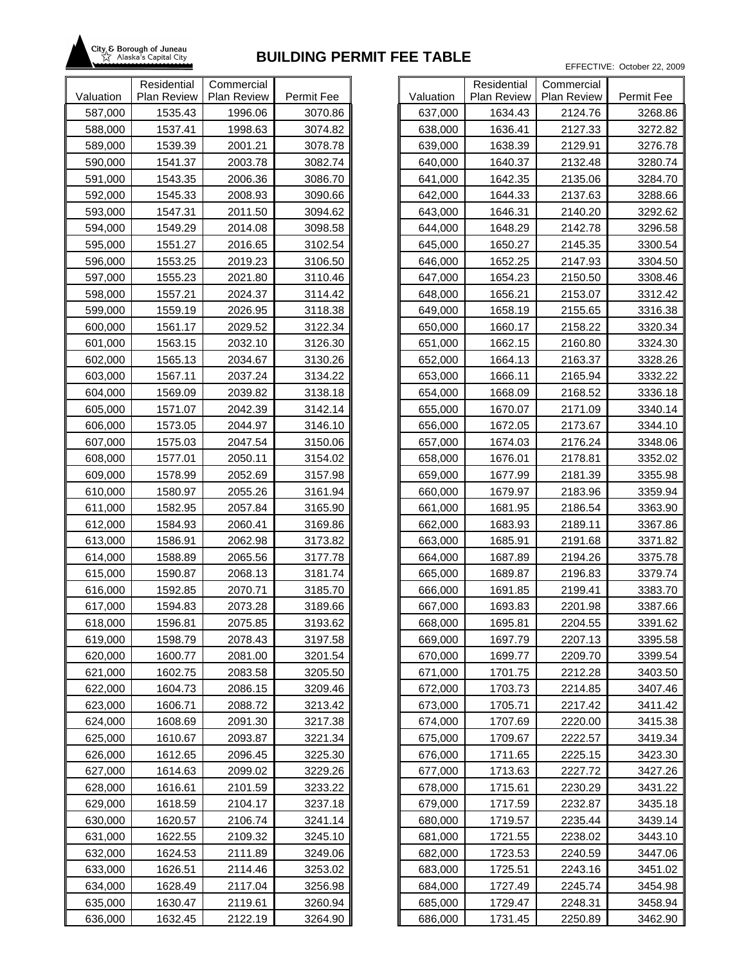

|           | Residential | Commercial  |            |           |
|-----------|-------------|-------------|------------|-----------|
| Valuation | Plan Review | Plan Review | Permit Fee | Valuation |
| 587,000   | 1535.43     | 1996.06     | 3070.86    | 637,000   |
| 588,000   | 1537.41     | 1998.63     | 3074.82    | 638,000   |
| 589,000   | 1539.39     | 2001.21     | 3078.78    | 639,000   |
| 590,000   | 1541.37     | 2003.78     | 3082.74    | 640,000   |
| 591,000   | 1543.35     | 2006.36     | 3086.70    | 641,000   |
| 592,000   | 1545.33     | 2008.93     | 3090.66    | 642,000   |
| 593,000   | 1547.31     | 2011.50     | 3094.62    | 643,000   |
| 594,000   | 1549.29     | 2014.08     | 3098.58    | 644,000   |
| 595,000   | 1551.27     | 2016.65     | 3102.54    | 645,000   |
| 596,000   | 1553.25     | 2019.23     | 3106.50    | 646,000   |
| 597,000   | 1555.23     | 2021.80     | 3110.46    | 647,000   |
| 598,000   | 1557.21     | 2024.37     | 3114.42    | 648,000   |
| 599,000   | 1559.19     | 2026.95     | 3118.38    | 649,000   |
| 600,000   | 1561.17     | 2029.52     | 3122.34    | 650,000   |
| 601,000   | 1563.15     | 2032.10     | 3126.30    | 651,000   |
| 602,000   | 1565.13     | 2034.67     | 3130.26    | 652,000   |
| 603,000   | 1567.11     | 2037.24     | 3134.22    | 653,000   |
| 604,000   | 1569.09     | 2039.82     | 3138.18    | 654,000   |
| 605,000   | 1571.07     | 2042.39     | 3142.14    | 655,000   |
| 606,000   | 1573.05     | 2044.97     | 3146.10    | 656,000   |
| 607,000   | 1575.03     | 2047.54     | 3150.06    | 657,000   |
| 608,000   | 1577.01     | 2050.11     | 3154.02    | 658,000   |
| 609,000   | 1578.99     | 2052.69     | 3157.98    | 659,000   |
| 610,000   | 1580.97     | 2055.26     | 3161.94    | 660,000   |
| 611,000   | 1582.95     | 2057.84     | 3165.90    | 661,000   |
| 612,000   | 1584.93     | 2060.41     | 3169.86    | 662,000   |
| 613,000   | 1586.91     | 2062.98     | 3173.82    | 663,000   |
| 614,000   | 1588.89     | 2065.56     | 3177.78    | 664,000   |
| 615,000   | 1590.87     | 2068.13     | 3181.74    | 665,000   |
| 616,000   | 1592.85     | 2070.71     | 3185.70    | 666,000   |
| 617,000   | 1594.83     | 2073.28     | 3189.66    | 667,000   |
| 618,000   | 1596.81     | 2075.85     | 3193.62    | 668,000   |
| 619,000   | 1598.79     | 2078.43     | 3197.58    | 669,000   |
| 620,000   | 1600.77     | 2081.00     | 3201.54    | 670,000   |
| 621,000   | 1602.75     | 2083.58     | 3205.50    | 671,000   |
| 622,000   | 1604.73     | 2086.15     | 3209.46    | 672,000   |
| 623,000   | 1606.71     | 2088.72     | 3213.42    | 673,000   |
| 624,000   | 1608.69     | 2091.30     | 3217.38    | 674,000   |
| 625,000   | 1610.67     | 2093.87     | 3221.34    | 675,000   |
| 626,000   | 1612.65     | 2096.45     | 3225.30    | 676,000   |
| 627,000   | 1614.63     | 2099.02     | 3229.26    | 677,000   |
| 628,000   | 1616.61     | 2101.59     | 3233.22    | 678,000   |
| 629,000   | 1618.59     | 2104.17     | 3237.18    | 679,000   |
| 630,000   | 1620.57     | 2106.74     | 3241.14    | 680,000   |
| 631,000   | 1622.55     | 2109.32     | 3245.10    | 681,000   |
| 632,000   | 1624.53     | 2111.89     | 3249.06    | 682,000   |
| 633,000   | 1626.51     | 2114.46     | 3253.02    | 683,000   |
| 634,000   | 1628.49     | 2117.04     | 3256.98    | 684,000   |
| 635,000   | 1630.47     | 2119.61     | 3260.94    | 685,000   |
| 636,000   | 1632.45     | 2122.19     | 3264.90    | 686,000   |

| Valuation<br><b>Plan Review</b><br><b>Plan Review</b><br>Permit Fee<br>1634.43<br>2124.76<br>637,000<br>3268.86<br>1636.41<br>2127.33<br>3272.82<br>638,000<br>1638.39<br>2129.91<br>3276.78<br>639,000<br>640,000<br>1640.37<br>2132.48<br>3280.74<br>1642.35<br>2135.06<br>641,000<br>3284.70<br>642,000<br>1644.33<br>2137.63<br>3288.66<br>643,000<br>1646.31<br>2140.20<br>3292.62<br>644,000<br>1648.29<br>2142.78<br>3296.58<br>2145.35<br>3300.54<br>645,000<br>1650.27<br>2147.93<br>3304.50<br>646,000<br>1652.25<br>1654.23<br>647,000<br>2150.50<br>3308.46<br>1656.21<br>2153.07<br>3312.42<br>648,000<br>1658.19<br>2155.65<br>649,000<br>3316.38<br>1660.17<br>650,000<br>2158.22<br>3320.34<br>651,000<br>1662.15<br>2160.80<br>3324.30<br>1664.13<br>2163.37<br>652,000<br>3328.26<br>2165.94<br>3332.22<br>653,000<br>1666.11<br>1668.09<br>3336.18<br>654,000<br>2168.52<br>1670.07<br>2171.09<br>655,000<br>3340.14<br>1672.05<br>2173.67<br>3344.10<br>656,000<br>2176.24<br>657,000<br>1674.03<br>3348.06<br>1676.01<br>2178.81<br>3352.02<br>658,000<br>659,000<br>1677.99<br>2181.39<br>3355.98<br>660,000<br>1679.97<br>2183.96<br>3359.94<br>2186.54<br>3363.90<br>661,000<br>1681.95<br>2189.11<br>3367.86<br>662,000<br>1683.93<br>663,000<br>1685.91<br>2191.68<br>3371.82<br>1687.89<br>2194.26<br>3375.78<br>664,000<br>3379.74<br>665,000<br>1689.87<br>2196.83<br>666,000<br>1691.85<br>2199.41<br>3383.70<br>667,000<br>1693.83<br>3387.66<br>2201.98<br>668,000<br>1695.81<br>2204.55<br>3391.62<br>669,000<br>1697.79<br>2207.13<br>3395.58<br>670,000<br>1699.77<br>2209.70<br>3399.54<br>671,000<br>1701.75<br>2212.28<br>3403.50<br>3407.46<br>672,000<br>1703.73<br>2214.85<br>673,000<br>1705.71<br>2217.42<br>3411.42<br>674,000<br>1707.69<br>2220.00<br>3415.38<br>675,000<br>1709.67<br>2222.57<br>3419.34<br>1711.65<br>676,000<br>2225.15<br>3423.30<br>677,000<br>1713.63<br>3427.26<br>2227.72<br>678,000<br>1715.61<br>2230.29<br>3431.22<br>679,000<br>1717.59<br>2232.87<br>3435.18<br>3439.14<br>680,000<br>1719.57<br>2235.44<br>681,000<br>1721.55<br>3443.10<br>2238.02<br>3447.06<br>682,000<br>1723.53<br>2240.59<br>683,000<br>1725.51<br>2243.16<br>3451.02<br>1727.49<br>2245.74<br>3454.98<br>684,000<br>685,000<br>1729.47<br>2248.31<br>3458.94 |         |             |            |         |
|-----------------------------------------------------------------------------------------------------------------------------------------------------------------------------------------------------------------------------------------------------------------------------------------------------------------------------------------------------------------------------------------------------------------------------------------------------------------------------------------------------------------------------------------------------------------------------------------------------------------------------------------------------------------------------------------------------------------------------------------------------------------------------------------------------------------------------------------------------------------------------------------------------------------------------------------------------------------------------------------------------------------------------------------------------------------------------------------------------------------------------------------------------------------------------------------------------------------------------------------------------------------------------------------------------------------------------------------------------------------------------------------------------------------------------------------------------------------------------------------------------------------------------------------------------------------------------------------------------------------------------------------------------------------------------------------------------------------------------------------------------------------------------------------------------------------------------------------------------------------------------------------------------------------------------------------------------------------------------------------------------------------------------------------------------------------------------------------------------------------------------------------------------------------------------------------------------------------------------------------------------------------------------------------------------------------|---------|-------------|------------|---------|
|                                                                                                                                                                                                                                                                                                                                                                                                                                                                                                                                                                                                                                                                                                                                                                                                                                                                                                                                                                                                                                                                                                                                                                                                                                                                                                                                                                                                                                                                                                                                                                                                                                                                                                                                                                                                                                                                                                                                                                                                                                                                                                                                                                                                                                                                                                                 |         | Residential | Commercial |         |
|                                                                                                                                                                                                                                                                                                                                                                                                                                                                                                                                                                                                                                                                                                                                                                                                                                                                                                                                                                                                                                                                                                                                                                                                                                                                                                                                                                                                                                                                                                                                                                                                                                                                                                                                                                                                                                                                                                                                                                                                                                                                                                                                                                                                                                                                                                                 |         |             |            |         |
|                                                                                                                                                                                                                                                                                                                                                                                                                                                                                                                                                                                                                                                                                                                                                                                                                                                                                                                                                                                                                                                                                                                                                                                                                                                                                                                                                                                                                                                                                                                                                                                                                                                                                                                                                                                                                                                                                                                                                                                                                                                                                                                                                                                                                                                                                                                 |         |             |            |         |
|                                                                                                                                                                                                                                                                                                                                                                                                                                                                                                                                                                                                                                                                                                                                                                                                                                                                                                                                                                                                                                                                                                                                                                                                                                                                                                                                                                                                                                                                                                                                                                                                                                                                                                                                                                                                                                                                                                                                                                                                                                                                                                                                                                                                                                                                                                                 |         |             |            |         |
|                                                                                                                                                                                                                                                                                                                                                                                                                                                                                                                                                                                                                                                                                                                                                                                                                                                                                                                                                                                                                                                                                                                                                                                                                                                                                                                                                                                                                                                                                                                                                                                                                                                                                                                                                                                                                                                                                                                                                                                                                                                                                                                                                                                                                                                                                                                 |         |             |            |         |
|                                                                                                                                                                                                                                                                                                                                                                                                                                                                                                                                                                                                                                                                                                                                                                                                                                                                                                                                                                                                                                                                                                                                                                                                                                                                                                                                                                                                                                                                                                                                                                                                                                                                                                                                                                                                                                                                                                                                                                                                                                                                                                                                                                                                                                                                                                                 |         |             |            |         |
|                                                                                                                                                                                                                                                                                                                                                                                                                                                                                                                                                                                                                                                                                                                                                                                                                                                                                                                                                                                                                                                                                                                                                                                                                                                                                                                                                                                                                                                                                                                                                                                                                                                                                                                                                                                                                                                                                                                                                                                                                                                                                                                                                                                                                                                                                                                 |         |             |            |         |
|                                                                                                                                                                                                                                                                                                                                                                                                                                                                                                                                                                                                                                                                                                                                                                                                                                                                                                                                                                                                                                                                                                                                                                                                                                                                                                                                                                                                                                                                                                                                                                                                                                                                                                                                                                                                                                                                                                                                                                                                                                                                                                                                                                                                                                                                                                                 |         |             |            |         |
|                                                                                                                                                                                                                                                                                                                                                                                                                                                                                                                                                                                                                                                                                                                                                                                                                                                                                                                                                                                                                                                                                                                                                                                                                                                                                                                                                                                                                                                                                                                                                                                                                                                                                                                                                                                                                                                                                                                                                                                                                                                                                                                                                                                                                                                                                                                 |         |             |            |         |
|                                                                                                                                                                                                                                                                                                                                                                                                                                                                                                                                                                                                                                                                                                                                                                                                                                                                                                                                                                                                                                                                                                                                                                                                                                                                                                                                                                                                                                                                                                                                                                                                                                                                                                                                                                                                                                                                                                                                                                                                                                                                                                                                                                                                                                                                                                                 |         |             |            |         |
|                                                                                                                                                                                                                                                                                                                                                                                                                                                                                                                                                                                                                                                                                                                                                                                                                                                                                                                                                                                                                                                                                                                                                                                                                                                                                                                                                                                                                                                                                                                                                                                                                                                                                                                                                                                                                                                                                                                                                                                                                                                                                                                                                                                                                                                                                                                 |         |             |            |         |
|                                                                                                                                                                                                                                                                                                                                                                                                                                                                                                                                                                                                                                                                                                                                                                                                                                                                                                                                                                                                                                                                                                                                                                                                                                                                                                                                                                                                                                                                                                                                                                                                                                                                                                                                                                                                                                                                                                                                                                                                                                                                                                                                                                                                                                                                                                                 |         |             |            |         |
|                                                                                                                                                                                                                                                                                                                                                                                                                                                                                                                                                                                                                                                                                                                                                                                                                                                                                                                                                                                                                                                                                                                                                                                                                                                                                                                                                                                                                                                                                                                                                                                                                                                                                                                                                                                                                                                                                                                                                                                                                                                                                                                                                                                                                                                                                                                 |         |             |            |         |
|                                                                                                                                                                                                                                                                                                                                                                                                                                                                                                                                                                                                                                                                                                                                                                                                                                                                                                                                                                                                                                                                                                                                                                                                                                                                                                                                                                                                                                                                                                                                                                                                                                                                                                                                                                                                                                                                                                                                                                                                                                                                                                                                                                                                                                                                                                                 |         |             |            |         |
|                                                                                                                                                                                                                                                                                                                                                                                                                                                                                                                                                                                                                                                                                                                                                                                                                                                                                                                                                                                                                                                                                                                                                                                                                                                                                                                                                                                                                                                                                                                                                                                                                                                                                                                                                                                                                                                                                                                                                                                                                                                                                                                                                                                                                                                                                                                 |         |             |            |         |
|                                                                                                                                                                                                                                                                                                                                                                                                                                                                                                                                                                                                                                                                                                                                                                                                                                                                                                                                                                                                                                                                                                                                                                                                                                                                                                                                                                                                                                                                                                                                                                                                                                                                                                                                                                                                                                                                                                                                                                                                                                                                                                                                                                                                                                                                                                                 |         |             |            |         |
|                                                                                                                                                                                                                                                                                                                                                                                                                                                                                                                                                                                                                                                                                                                                                                                                                                                                                                                                                                                                                                                                                                                                                                                                                                                                                                                                                                                                                                                                                                                                                                                                                                                                                                                                                                                                                                                                                                                                                                                                                                                                                                                                                                                                                                                                                                                 |         |             |            |         |
|                                                                                                                                                                                                                                                                                                                                                                                                                                                                                                                                                                                                                                                                                                                                                                                                                                                                                                                                                                                                                                                                                                                                                                                                                                                                                                                                                                                                                                                                                                                                                                                                                                                                                                                                                                                                                                                                                                                                                                                                                                                                                                                                                                                                                                                                                                                 |         |             |            |         |
|                                                                                                                                                                                                                                                                                                                                                                                                                                                                                                                                                                                                                                                                                                                                                                                                                                                                                                                                                                                                                                                                                                                                                                                                                                                                                                                                                                                                                                                                                                                                                                                                                                                                                                                                                                                                                                                                                                                                                                                                                                                                                                                                                                                                                                                                                                                 |         |             |            |         |
|                                                                                                                                                                                                                                                                                                                                                                                                                                                                                                                                                                                                                                                                                                                                                                                                                                                                                                                                                                                                                                                                                                                                                                                                                                                                                                                                                                                                                                                                                                                                                                                                                                                                                                                                                                                                                                                                                                                                                                                                                                                                                                                                                                                                                                                                                                                 |         |             |            |         |
|                                                                                                                                                                                                                                                                                                                                                                                                                                                                                                                                                                                                                                                                                                                                                                                                                                                                                                                                                                                                                                                                                                                                                                                                                                                                                                                                                                                                                                                                                                                                                                                                                                                                                                                                                                                                                                                                                                                                                                                                                                                                                                                                                                                                                                                                                                                 |         |             |            |         |
|                                                                                                                                                                                                                                                                                                                                                                                                                                                                                                                                                                                                                                                                                                                                                                                                                                                                                                                                                                                                                                                                                                                                                                                                                                                                                                                                                                                                                                                                                                                                                                                                                                                                                                                                                                                                                                                                                                                                                                                                                                                                                                                                                                                                                                                                                                                 |         |             |            |         |
|                                                                                                                                                                                                                                                                                                                                                                                                                                                                                                                                                                                                                                                                                                                                                                                                                                                                                                                                                                                                                                                                                                                                                                                                                                                                                                                                                                                                                                                                                                                                                                                                                                                                                                                                                                                                                                                                                                                                                                                                                                                                                                                                                                                                                                                                                                                 |         |             |            |         |
|                                                                                                                                                                                                                                                                                                                                                                                                                                                                                                                                                                                                                                                                                                                                                                                                                                                                                                                                                                                                                                                                                                                                                                                                                                                                                                                                                                                                                                                                                                                                                                                                                                                                                                                                                                                                                                                                                                                                                                                                                                                                                                                                                                                                                                                                                                                 |         |             |            |         |
|                                                                                                                                                                                                                                                                                                                                                                                                                                                                                                                                                                                                                                                                                                                                                                                                                                                                                                                                                                                                                                                                                                                                                                                                                                                                                                                                                                                                                                                                                                                                                                                                                                                                                                                                                                                                                                                                                                                                                                                                                                                                                                                                                                                                                                                                                                                 |         |             |            |         |
|                                                                                                                                                                                                                                                                                                                                                                                                                                                                                                                                                                                                                                                                                                                                                                                                                                                                                                                                                                                                                                                                                                                                                                                                                                                                                                                                                                                                                                                                                                                                                                                                                                                                                                                                                                                                                                                                                                                                                                                                                                                                                                                                                                                                                                                                                                                 |         |             |            |         |
|                                                                                                                                                                                                                                                                                                                                                                                                                                                                                                                                                                                                                                                                                                                                                                                                                                                                                                                                                                                                                                                                                                                                                                                                                                                                                                                                                                                                                                                                                                                                                                                                                                                                                                                                                                                                                                                                                                                                                                                                                                                                                                                                                                                                                                                                                                                 |         |             |            |         |
|                                                                                                                                                                                                                                                                                                                                                                                                                                                                                                                                                                                                                                                                                                                                                                                                                                                                                                                                                                                                                                                                                                                                                                                                                                                                                                                                                                                                                                                                                                                                                                                                                                                                                                                                                                                                                                                                                                                                                                                                                                                                                                                                                                                                                                                                                                                 |         |             |            |         |
|                                                                                                                                                                                                                                                                                                                                                                                                                                                                                                                                                                                                                                                                                                                                                                                                                                                                                                                                                                                                                                                                                                                                                                                                                                                                                                                                                                                                                                                                                                                                                                                                                                                                                                                                                                                                                                                                                                                                                                                                                                                                                                                                                                                                                                                                                                                 |         |             |            |         |
|                                                                                                                                                                                                                                                                                                                                                                                                                                                                                                                                                                                                                                                                                                                                                                                                                                                                                                                                                                                                                                                                                                                                                                                                                                                                                                                                                                                                                                                                                                                                                                                                                                                                                                                                                                                                                                                                                                                                                                                                                                                                                                                                                                                                                                                                                                                 |         |             |            |         |
|                                                                                                                                                                                                                                                                                                                                                                                                                                                                                                                                                                                                                                                                                                                                                                                                                                                                                                                                                                                                                                                                                                                                                                                                                                                                                                                                                                                                                                                                                                                                                                                                                                                                                                                                                                                                                                                                                                                                                                                                                                                                                                                                                                                                                                                                                                                 |         |             |            |         |
|                                                                                                                                                                                                                                                                                                                                                                                                                                                                                                                                                                                                                                                                                                                                                                                                                                                                                                                                                                                                                                                                                                                                                                                                                                                                                                                                                                                                                                                                                                                                                                                                                                                                                                                                                                                                                                                                                                                                                                                                                                                                                                                                                                                                                                                                                                                 |         |             |            |         |
|                                                                                                                                                                                                                                                                                                                                                                                                                                                                                                                                                                                                                                                                                                                                                                                                                                                                                                                                                                                                                                                                                                                                                                                                                                                                                                                                                                                                                                                                                                                                                                                                                                                                                                                                                                                                                                                                                                                                                                                                                                                                                                                                                                                                                                                                                                                 |         |             |            |         |
|                                                                                                                                                                                                                                                                                                                                                                                                                                                                                                                                                                                                                                                                                                                                                                                                                                                                                                                                                                                                                                                                                                                                                                                                                                                                                                                                                                                                                                                                                                                                                                                                                                                                                                                                                                                                                                                                                                                                                                                                                                                                                                                                                                                                                                                                                                                 |         |             |            |         |
|                                                                                                                                                                                                                                                                                                                                                                                                                                                                                                                                                                                                                                                                                                                                                                                                                                                                                                                                                                                                                                                                                                                                                                                                                                                                                                                                                                                                                                                                                                                                                                                                                                                                                                                                                                                                                                                                                                                                                                                                                                                                                                                                                                                                                                                                                                                 |         |             |            |         |
|                                                                                                                                                                                                                                                                                                                                                                                                                                                                                                                                                                                                                                                                                                                                                                                                                                                                                                                                                                                                                                                                                                                                                                                                                                                                                                                                                                                                                                                                                                                                                                                                                                                                                                                                                                                                                                                                                                                                                                                                                                                                                                                                                                                                                                                                                                                 |         |             |            |         |
|                                                                                                                                                                                                                                                                                                                                                                                                                                                                                                                                                                                                                                                                                                                                                                                                                                                                                                                                                                                                                                                                                                                                                                                                                                                                                                                                                                                                                                                                                                                                                                                                                                                                                                                                                                                                                                                                                                                                                                                                                                                                                                                                                                                                                                                                                                                 |         |             |            |         |
|                                                                                                                                                                                                                                                                                                                                                                                                                                                                                                                                                                                                                                                                                                                                                                                                                                                                                                                                                                                                                                                                                                                                                                                                                                                                                                                                                                                                                                                                                                                                                                                                                                                                                                                                                                                                                                                                                                                                                                                                                                                                                                                                                                                                                                                                                                                 |         |             |            |         |
|                                                                                                                                                                                                                                                                                                                                                                                                                                                                                                                                                                                                                                                                                                                                                                                                                                                                                                                                                                                                                                                                                                                                                                                                                                                                                                                                                                                                                                                                                                                                                                                                                                                                                                                                                                                                                                                                                                                                                                                                                                                                                                                                                                                                                                                                                                                 |         |             |            |         |
|                                                                                                                                                                                                                                                                                                                                                                                                                                                                                                                                                                                                                                                                                                                                                                                                                                                                                                                                                                                                                                                                                                                                                                                                                                                                                                                                                                                                                                                                                                                                                                                                                                                                                                                                                                                                                                                                                                                                                                                                                                                                                                                                                                                                                                                                                                                 |         |             |            |         |
|                                                                                                                                                                                                                                                                                                                                                                                                                                                                                                                                                                                                                                                                                                                                                                                                                                                                                                                                                                                                                                                                                                                                                                                                                                                                                                                                                                                                                                                                                                                                                                                                                                                                                                                                                                                                                                                                                                                                                                                                                                                                                                                                                                                                                                                                                                                 |         |             |            |         |
|                                                                                                                                                                                                                                                                                                                                                                                                                                                                                                                                                                                                                                                                                                                                                                                                                                                                                                                                                                                                                                                                                                                                                                                                                                                                                                                                                                                                                                                                                                                                                                                                                                                                                                                                                                                                                                                                                                                                                                                                                                                                                                                                                                                                                                                                                                                 |         |             |            |         |
|                                                                                                                                                                                                                                                                                                                                                                                                                                                                                                                                                                                                                                                                                                                                                                                                                                                                                                                                                                                                                                                                                                                                                                                                                                                                                                                                                                                                                                                                                                                                                                                                                                                                                                                                                                                                                                                                                                                                                                                                                                                                                                                                                                                                                                                                                                                 |         |             |            |         |
|                                                                                                                                                                                                                                                                                                                                                                                                                                                                                                                                                                                                                                                                                                                                                                                                                                                                                                                                                                                                                                                                                                                                                                                                                                                                                                                                                                                                                                                                                                                                                                                                                                                                                                                                                                                                                                                                                                                                                                                                                                                                                                                                                                                                                                                                                                                 |         |             |            |         |
|                                                                                                                                                                                                                                                                                                                                                                                                                                                                                                                                                                                                                                                                                                                                                                                                                                                                                                                                                                                                                                                                                                                                                                                                                                                                                                                                                                                                                                                                                                                                                                                                                                                                                                                                                                                                                                                                                                                                                                                                                                                                                                                                                                                                                                                                                                                 |         |             |            |         |
|                                                                                                                                                                                                                                                                                                                                                                                                                                                                                                                                                                                                                                                                                                                                                                                                                                                                                                                                                                                                                                                                                                                                                                                                                                                                                                                                                                                                                                                                                                                                                                                                                                                                                                                                                                                                                                                                                                                                                                                                                                                                                                                                                                                                                                                                                                                 |         |             |            |         |
|                                                                                                                                                                                                                                                                                                                                                                                                                                                                                                                                                                                                                                                                                                                                                                                                                                                                                                                                                                                                                                                                                                                                                                                                                                                                                                                                                                                                                                                                                                                                                                                                                                                                                                                                                                                                                                                                                                                                                                                                                                                                                                                                                                                                                                                                                                                 |         |             |            |         |
|                                                                                                                                                                                                                                                                                                                                                                                                                                                                                                                                                                                                                                                                                                                                                                                                                                                                                                                                                                                                                                                                                                                                                                                                                                                                                                                                                                                                                                                                                                                                                                                                                                                                                                                                                                                                                                                                                                                                                                                                                                                                                                                                                                                                                                                                                                                 |         |             |            |         |
|                                                                                                                                                                                                                                                                                                                                                                                                                                                                                                                                                                                                                                                                                                                                                                                                                                                                                                                                                                                                                                                                                                                                                                                                                                                                                                                                                                                                                                                                                                                                                                                                                                                                                                                                                                                                                                                                                                                                                                                                                                                                                                                                                                                                                                                                                                                 |         |             |            |         |
|                                                                                                                                                                                                                                                                                                                                                                                                                                                                                                                                                                                                                                                                                                                                                                                                                                                                                                                                                                                                                                                                                                                                                                                                                                                                                                                                                                                                                                                                                                                                                                                                                                                                                                                                                                                                                                                                                                                                                                                                                                                                                                                                                                                                                                                                                                                 |         |             |            |         |
|                                                                                                                                                                                                                                                                                                                                                                                                                                                                                                                                                                                                                                                                                                                                                                                                                                                                                                                                                                                                                                                                                                                                                                                                                                                                                                                                                                                                                                                                                                                                                                                                                                                                                                                                                                                                                                                                                                                                                                                                                                                                                                                                                                                                                                                                                                                 |         |             |            |         |
|                                                                                                                                                                                                                                                                                                                                                                                                                                                                                                                                                                                                                                                                                                                                                                                                                                                                                                                                                                                                                                                                                                                                                                                                                                                                                                                                                                                                                                                                                                                                                                                                                                                                                                                                                                                                                                                                                                                                                                                                                                                                                                                                                                                                                                                                                                                 | 686,000 | 1731.45     | 2250.89    | 3462.90 |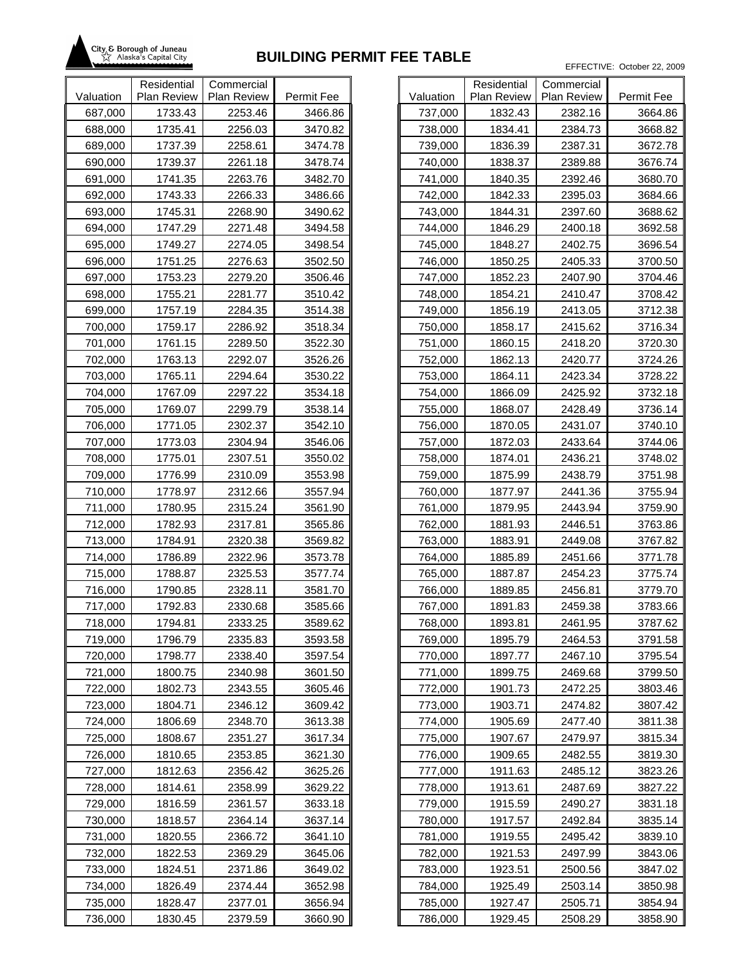

|           | Residential | Commercial  |            |           |
|-----------|-------------|-------------|------------|-----------|
| Valuation | Plan Review | Plan Review | Permit Fee | Valuation |
| 687,000   | 1733.43     | 2253.46     | 3466.86    | 737,000   |
| 688,000   | 1735.41     | 2256.03     | 3470.82    | 738,000   |
| 689,000   | 1737.39     | 2258.61     | 3474.78    | 739,000   |
| 690,000   | 1739.37     | 2261.18     | 3478.74    | 740,000   |
| 691,000   | 1741.35     | 2263.76     | 3482.70    | 741,000   |
| 692,000   | 1743.33     | 2266.33     | 3486.66    | 742,000   |
| 693,000   | 1745.31     | 2268.90     | 3490.62    | 743,000   |
| 694,000   | 1747.29     | 2271.48     | 3494.58    | 744,000   |
| 695,000   | 1749.27     | 2274.05     | 3498.54    | 745,000   |
| 696,000   | 1751.25     | 2276.63     | 3502.50    | 746,000   |
| 697,000   | 1753.23     | 2279.20     | 3506.46    | 747,000   |
| 698,000   | 1755.21     | 2281.77     | 3510.42    | 748,000   |
| 699,000   | 1757.19     | 2284.35     | 3514.38    | 749,000   |
| 700,000   | 1759.17     | 2286.92     | 3518.34    | 750,000   |
| 701,000   | 1761.15     | 2289.50     | 3522.30    | 751,000   |
| 702,000   | 1763.13     | 2292.07     | 3526.26    | 752,000   |
| 703,000   | 1765.11     | 2294.64     | 3530.22    | 753,000   |
| 704,000   | 1767.09     | 2297.22     | 3534.18    | 754,000   |
| 705,000   | 1769.07     | 2299.79     | 3538.14    | 755,000   |
| 706,000   | 1771.05     | 2302.37     | 3542.10    | 756,000   |
| 707,000   | 1773.03     | 2304.94     | 3546.06    | 757,000   |
| 708,000   | 1775.01     | 2307.51     | 3550.02    | 758,000   |
| 709,000   | 1776.99     | 2310.09     | 3553.98    | 759,000   |
| 710,000   | 1778.97     | 2312.66     | 3557.94    | 760,000   |
| 711,000   | 1780.95     | 2315.24     | 3561.90    | 761,000   |
| 712,000   | 1782.93     | 2317.81     | 3565.86    | 762,000   |
| 713,000   | 1784.91     | 2320.38     | 3569.82    | 763,000   |
| 714,000   | 1786.89     | 2322.96     | 3573.78    | 764,000   |
| 715,000   | 1788.87     | 2325.53     | 3577.74    | 765,000   |
| 716,000   | 1790.85     | 2328.11     | 3581.70    | 766,000   |
| 717,000   | 1792.83     | 2330.68     | 3585.66    | 767,000   |
| 718,000   | 1794.81     | 2333.25     | 3589.62    | 768,000   |
| 719,000   | 1796.79     | 2335.83     | 3593.58    | 769,000   |
| 720,000   | 1798.77     | 2338.40     | 3597.54    | 770,000   |
| 721,000   | 1800.75     | 2340.98     | 3601.50    | 771,000   |
| 722,000   | 1802.73     | 2343.55     | 3605.46    | 772,000   |
| 723,000   | 1804.71     | 2346.12     | 3609.42    | 773,000   |
| 724,000   | 1806.69     | 2348.70     | 3613.38    | 774,000   |
| 725,000   | 1808.67     | 2351.27     | 3617.34    | 775,000   |
| 726,000   | 1810.65     | 2353.85     | 3621.30    | 776,000   |
| 727,000   | 1812.63     | 2356.42     | 3625.26    | 777,000   |
| 728,000   | 1814.61     | 2358.99     | 3629.22    | 778,000   |
| 729,000   | 1816.59     | 2361.57     | 3633.18    | 779,000   |
| 730,000   | 1818.57     | 2364.14     | 3637.14    | 780,000   |
| 731,000   | 1820.55     | 2366.72     | 3641.10    | 781,000   |
| 732,000   | 1822.53     | 2369.29     | 3645.06    | 782,000   |
| 733,000   | 1824.51     | 2371.86     | 3649.02    | 783,000   |
| 734,000   | 1826.49     | 2374.44     | 3652.98    | 784,000   |
| 735,000   | 1828.47     | 2377.01     | 3656.94    | 785,000   |
| 736,000   | 1830.45     | 2379.59     | 3660.90    | 786,000   |

|           | Residential        | Commercial         |            |
|-----------|--------------------|--------------------|------------|
| Valuation | <b>Plan Review</b> | <b>Plan Review</b> | Permit Fee |
| 737,000   | 1832.43            | 2382.16            | 3664.86    |
| 738,000   | 1834.41            | 2384.73            | 3668.82    |
| 739,000   | 1836.39            | 2387.31            | 3672.78    |
| 740,000   | 1838.37            | 2389.88            | 3676.74    |
| 741,000   | 1840.35            | 2392.46            | 3680.70    |
| 742,000   | 1842.33            | 2395.03            | 3684.66    |
| 743,000   | 1844.31            | 2397.60            | 3688.62    |
| 744,000   | 1846.29            | 2400.18            | 3692.58    |
| 745,000   | 1848.27            | 2402.75            | 3696.54    |
| 746,000   | 1850.25            | 2405.33            | 3700.50    |
| 747,000   | 1852.23            | 2407.90            | 3704.46    |
| 748,000   | 1854.21            | 2410.47            | 3708.42    |
| 749,000   | 1856.19            | 2413.05            | 3712.38    |
| 750,000   | 1858.17            | 2415.62            | 3716.34    |
| 751,000   | 1860.15            | 2418.20            | 3720.30    |
| 752,000   | 1862.13            | 2420.77            | 3724.26    |
| 753,000   | 1864.11            | 2423.34            | 3728.22    |
| 754,000   | 1866.09            | 2425.92            | 3732.18    |
| 755,000   | 1868.07            | 2428.49            | 3736.14    |
| 756,000   | 1870.05            | 2431.07            | 3740.10    |
| 757,000   | 1872.03            | 2433.64            | 3744.06    |
| 758,000   | 1874.01            | 2436.21            | 3748.02    |
| 759,000   | 1875.99            | 2438.79            | 3751.98    |
| 760,000   | 1877.97            | 2441.36            | 3755.94    |
| 761,000   | 1879.95            | 2443.94            | 3759.90    |
| 762,000   | 1881.93            | 2446.51            | 3763.86    |
| 763,000   | 1883.91            | 2449.08            | 3767.82    |
| 764,000   | 1885.89            | 2451.66            | 3771.78    |
| 765,000   | 1887.87            | 2454.23            | 3775.74    |
| 766,000   | 1889.85            | 2456.81            | 3779.70    |
| 767,000   | 1891.83            | 2459.38            | 3783.66    |
| 768,000   | 1893.81            | 2461.95            | 3787.62    |
| 769,000   | 1895.79            | 2464.53            | 3791.58    |
| 770,000   | 1897.77            | 2467.10            | 3795.54    |
| 771,000   | 1899.75            | 2469.68            | 3799.50    |
| 772,000   | 1901.73            | 2472.25            | 3803.46    |
| 773,000   | 1903.71            | 2474.82            | 3807.42    |
| 774,000   | 1905.69            | 2477.40            | 3811.38    |
| 775,000   | 1907.67            | 2479.97            | 3815.34    |
| 776,000   | 1909.65            | 2482.55            | 3819.30    |
| 777,000   | 1911.63            | 2485.12            | 3823.26    |
| 778,000   | 1913.61            | 2487.69            | 3827.22    |
| 779,000   | 1915.59            | 2490.27            | 3831.18    |
| 780,000   | 1917.57            | 2492.84            | 3835.14    |
| 781,000   | 1919.55            | 2495.42            | 3839.10    |
| 782,000   | 1921.53            | 2497.99            | 3843.06    |
| 783,000   | 1923.51            | 2500.56            | 3847.02    |
| 784,000   | 1925.49            | 2503.14            | 3850.98    |
| 785,000   | 1927.47            | 2505.71            | 3854.94    |
| 786,000   | 1929.45            | 2508.29            | 3858.90    |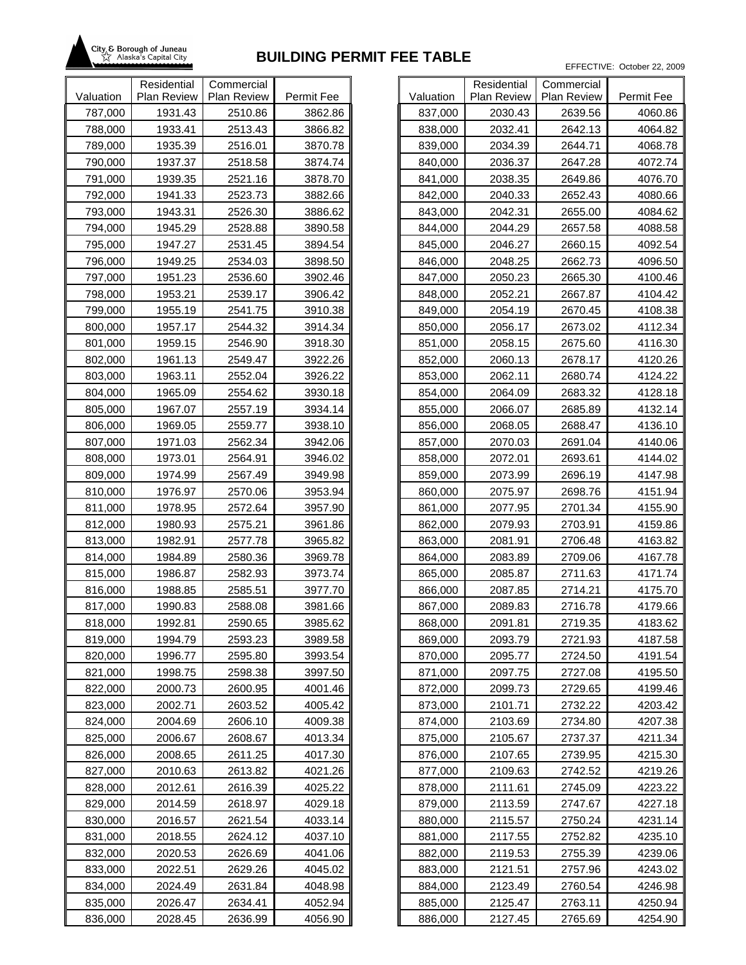

|           | Residential | Commercial  |            |           |
|-----------|-------------|-------------|------------|-----------|
| Valuation | Plan Review | Plan Review | Permit Fee | Valuation |
| 787,000   | 1931.43     | 2510.86     | 3862.86    | 837,000   |
| 788,000   | 1933.41     | 2513.43     | 3866.82    | 838,000   |
| 789,000   | 1935.39     | 2516.01     | 3870.78    | 839,000   |
| 790,000   | 1937.37     | 2518.58     | 3874.74    | 840,000   |
| 791,000   | 1939.35     | 2521.16     | 3878.70    | 841,000   |
| 792,000   | 1941.33     | 2523.73     | 3882.66    | 842,000   |
| 793,000   | 1943.31     | 2526.30     | 3886.62    | 843,000   |
| 794,000   | 1945.29     | 2528.88     | 3890.58    | 844,000   |
| 795,000   | 1947.27     | 2531.45     | 3894.54    | 845,000   |
| 796,000   | 1949.25     | 2534.03     | 3898.50    | 846,000   |
| 797,000   | 1951.23     | 2536.60     | 3902.46    | 847,000   |
| 798,000   | 1953.21     | 2539.17     | 3906.42    | 848,000   |
| 799,000   | 1955.19     | 2541.75     | 3910.38    | 849,000   |
| 800,000   | 1957.17     | 2544.32     | 3914.34    | 850,000   |
| 801,000   | 1959.15     | 2546.90     | 3918.30    | 851,000   |
| 802,000   | 1961.13     | 2549.47     | 3922.26    | 852,000   |
| 803,000   | 1963.11     | 2552.04     | 3926.22    | 853,000   |
| 804,000   | 1965.09     | 2554.62     | 3930.18    | 854,000   |
| 805,000   | 1967.07     | 2557.19     | 3934.14    | 855,000   |
| 806,000   | 1969.05     | 2559.77     | 3938.10    | 856,000   |
| 807,000   | 1971.03     | 2562.34     | 3942.06    | 857,000   |
| 808,000   | 1973.01     | 2564.91     | 3946.02    | 858,000   |
| 809,000   | 1974.99     | 2567.49     | 3949.98    | 859,000   |
| 810,000   | 1976.97     | 2570.06     | 3953.94    | 860,000   |
| 811,000   | 1978.95     | 2572.64     | 3957.90    | 861,000   |
| 812,000   | 1980.93     | 2575.21     | 3961.86    | 862,000   |
| 813,000   | 1982.91     | 2577.78     | 3965.82    | 863,000   |
| 814,000   | 1984.89     | 2580.36     | 3969.78    | 864,000   |
| 815,000   | 1986.87     | 2582.93     | 3973.74    | 865,000   |
| 816,000   | 1988.85     | 2585.51     | 3977.70    | 866,000   |
| 817,000   | 1990.83     | 2588.08     | 3981.66    | 867,000   |
| 818,000   | 1992.81     | 2590.65     | 3985.62    | 868,000   |
| 819,000   | 1994.79     | 2593.23     | 3989.58    | 869,000   |
| 820,000   | 1996.77     | 2595.80     | 3993.54    | 870,000   |
| 821,000   | 1998.75     | 2598.38     | 3997.50    | 871,000   |
| 822,000   | 2000.73     | 2600.95     | 4001.46    | 872,000   |
| 823,000   | 2002.71     | 2603.52     | 4005.42    | 873,000   |
| 824,000   | 2004.69     | 2606.10     | 4009.38    | 874,000   |
| 825,000   | 2006.67     | 2608.67     | 4013.34    | 875,000   |
| 826,000   | 2008.65     | 2611.25     | 4017.30    | 876,000   |
| 827,000   | 2010.63     | 2613.82     | 4021.26    | 877,000   |
| 828,000   | 2012.61     | 2616.39     | 4025.22    | 878,000   |
| 829,000   | 2014.59     | 2618.97     | 4029.18    | 879,000   |
| 830,000   | 2016.57     | 2621.54     | 4033.14    | 880,000   |
| 831,000   | 2018.55     | 2624.12     | 4037.10    | 881,000   |
| 832,000   | 2020.53     | 2626.69     | 4041.06    | 882,000   |
| 833,000   | 2022.51     | 2629.26     | 4045.02    | 883,000   |
| 834,000   | 2024.49     | 2631.84     | 4048.98    | 884,000   |
| 835,000   | 2026.47     | 2634.41     | 4052.94    | 885,000   |
| 836,000   | 2028.45     | 2636.99     | 4056.90    | 886,000   |

|           | Residential        | Commercial         |            |
|-----------|--------------------|--------------------|------------|
| Valuation | <b>Plan Review</b> | <b>Plan Review</b> | Permit Fee |
| 837,000   | 2030.43            | 2639.56            | 4060.86    |
| 838,000   | 2032.41            | 2642.13            | 4064.82    |
| 839,000   | 2034.39            | 2644.71            | 4068.78    |
| 840,000   | 2036.37            | 2647.28            | 4072.74    |
| 841,000   | 2038.35            | 2649.86            | 4076.70    |
| 842,000   | 2040.33            | 2652.43            | 4080.66    |
| 843,000   | 2042.31            | 2655.00            | 4084.62    |
| 844,000   | 2044.29            | 2657.58            | 4088.58    |
| 845,000   | 2046.27            | 2660.15            | 4092.54    |
| 846,000   | 2048.25            | 2662.73            | 4096.50    |
| 847,000   | 2050.23            | 2665.30            | 4100.46    |
| 848,000   | 2052.21            | 2667.87            | 4104.42    |
| 849,000   | 2054.19            | 2670.45            | 4108.38    |
| 850,000   | 2056.17            | 2673.02            | 4112.34    |
| 851,000   | 2058.15            | 2675.60            | 4116.30    |
| 852,000   | 2060.13            | 2678.17            | 4120.26    |
| 853,000   | 2062.11            | 2680.74            | 4124.22    |
| 854,000   | 2064.09            | 2683.32            | 4128.18    |
| 855,000   | 2066.07            | 2685.89            | 4132.14    |
| 856,000   | 2068.05            | 2688.47            | 4136.10    |
| 857,000   | 2070.03            | 2691.04            | 4140.06    |
| 858,000   | 2072.01            | 2693.61            | 4144.02    |
| 859,000   | 2073.99            | 2696.19            | 4147.98    |
| 860,000   | 2075.97            | 2698.76            | 4151.94    |
| 861,000   | 2077.95            | 2701.34            | 4155.90    |
| 862,000   | 2079.93            | 2703.91            | 4159.86    |
| 863,000   | 2081.91            | 2706.48            | 4163.82    |
| 864,000   | 2083.89            | 2709.06            | 4167.78    |
| 865,000   | 2085.87            | 2711.63            | 4171.74    |
| 866,000   | 2087.85            | 2714.21            | 4175.70    |
| 867,000   | 2089.83            | 2716.78            | 4179.66    |
| 868,000   | 2091.81            | 2719.35            | 4183.62    |
| 869,000   | 2093.79            | 2721.93            | 4187.58    |
| 870,000   | 2095.77            | 2724.50            | 4191.54    |
| 871,000   | 2097.75            | 2727.08            | 4195.50    |
| 872,000   | 2099.73            | 2729.65            | 4199.46    |
| 873,000   | 2101.71            | 2732.22            | 4203.42    |
| 874,000   | 2103.69            | 2734.80            | 4207.38    |
| 875,000   | 2105.67            | 2737.37            | 4211.34    |
| 876,000   | 2107.65            | 2739.95            | 4215.30    |
| 877,000   | 2109.63            | 2742.52            | 4219.26    |
| 878,000   | 2111.61            | 2745.09            | 4223.22    |
| 879,000   | 2113.59            | 2747.67            | 4227.18    |
| 880,000   | 2115.57            | 2750.24            | 4231.14    |
| 881,000   | 2117.55            | 2752.82            | 4235.10    |
| 882,000   | 2119.53            | 2755.39            | 4239.06    |
| 883,000   | 2121.51            | 2757.96            | 4243.02    |
| 884,000   | 2123.49            | 2760.54            | 4246.98    |
| 885,000   | 2125.47            | 2763.11            | 4250.94    |
| 886,000   | 2127.45            | 2765.69            | 4254.90    |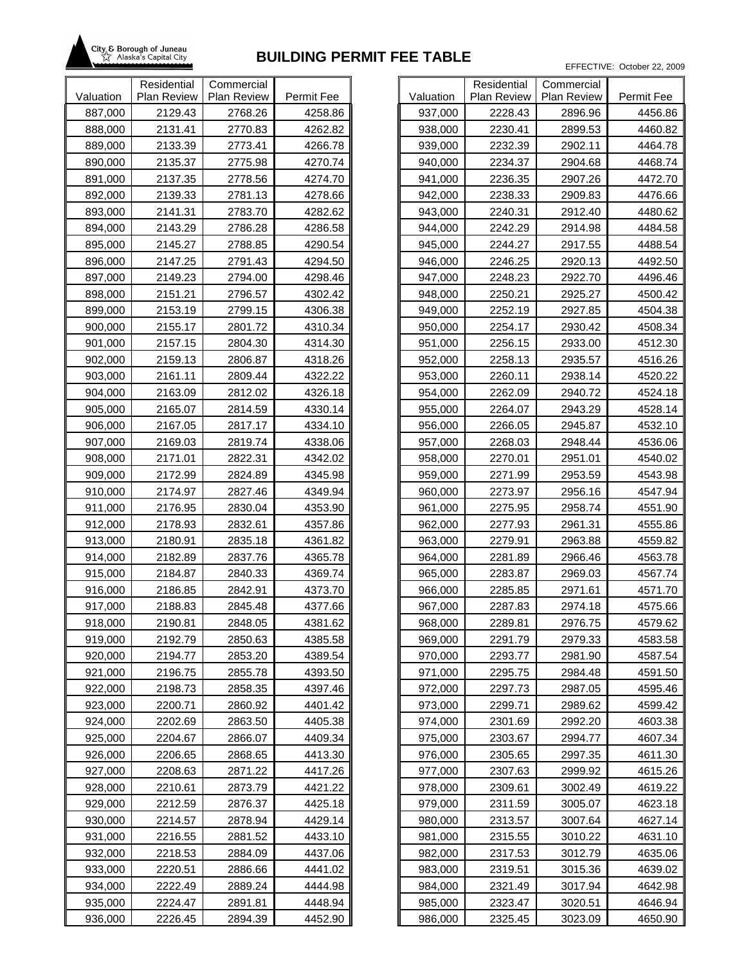

|           | Residential | Commercial  |            |           |
|-----------|-------------|-------------|------------|-----------|
| Valuation | Plan Review | Plan Review | Permit Fee | Valuation |
| 887,000   | 2129.43     | 2768.26     | 4258.86    | 937,000   |
| 888,000   | 2131.41     | 2770.83     | 4262.82    | 938,000   |
| 889,000   | 2133.39     | 2773.41     | 4266.78    | 939,000   |
| 890,000   | 2135.37     | 2775.98     | 4270.74    | 940,000   |
| 891,000   | 2137.35     | 2778.56     | 4274.70    | 941,000   |
| 892,000   | 2139.33     | 2781.13     | 4278.66    | 942,000   |
| 893,000   | 2141.31     | 2783.70     | 4282.62    | 943,000   |
| 894,000   | 2143.29     | 2786.28     | 4286.58    | 944,000   |
| 895,000   | 2145.27     | 2788.85     | 4290.54    | 945,000   |
| 896,000   | 2147.25     | 2791.43     | 4294.50    | 946,000   |
| 897,000   | 2149.23     | 2794.00     | 4298.46    | 947,000   |
| 898,000   | 2151.21     | 2796.57     | 4302.42    | 948,000   |
| 899,000   | 2153.19     | 2799.15     | 4306.38    | 949,000   |
| 900,000   | 2155.17     | 2801.72     | 4310.34    | 950,000   |
| 901,000   | 2157.15     | 2804.30     | 4314.30    | 951,000   |
| 902,000   | 2159.13     | 2806.87     | 4318.26    | 952,000   |
| 903,000   | 2161.11     | 2809.44     | 4322.22    | 953,000   |
| 904,000   | 2163.09     | 2812.02     | 4326.18    | 954,000   |
| 905,000   | 2165.07     | 2814.59     | 4330.14    | 955,000   |
| 906,000   | 2167.05     | 2817.17     | 4334.10    | 956,000   |
| 907,000   | 2169.03     | 2819.74     | 4338.06    | 957,000   |
| 908,000   | 2171.01     | 2822.31     | 4342.02    | 958,000   |
| 909,000   | 2172.99     | 2824.89     | 4345.98    | 959,000   |
| 910,000   | 2174.97     | 2827.46     | 4349.94    | 960,000   |
| 911,000   | 2176.95     | 2830.04     | 4353.90    | 961,000   |
| 912,000   | 2178.93     | 2832.61     | 4357.86    | 962,000   |
| 913,000   | 2180.91     | 2835.18     | 4361.82    | 963,000   |
| 914,000   | 2182.89     | 2837.76     | 4365.78    | 964,000   |
| 915,000   | 2184.87     | 2840.33     | 4369.74    | 965,000   |
| 916,000   | 2186.85     | 2842.91     | 4373.70    | 966,000   |
| 917,000   | 2188.83     | 2845.48     | 4377.66    | 967,000   |
| 918,000   | 2190.81     | 2848.05     | 4381.62    | 968,000   |
| 919,000   | 2192.79     | 2850.63     | 4385.58    | 969,000   |
| 920,000   | 2194.77     | 2853.20     | 4389.54    | 970,000   |
| 921,000   | 2196.75     | 2855.78     | 4393.50    | 971,000   |
| 922,000   | 2198.73     | 2858.35     | 4397.46    | 972,000   |
| 923,000   | 2200.71     | 2860.92     | 4401.42    | 973,000   |
| 924,000   | 2202.69     | 2863.50     | 4405.38    | 974,000   |
| 925,000   | 2204.67     | 2866.07     | 4409.34    | 975,000   |
| 926,000   | 2206.65     | 2868.65     | 4413.30    | 976,000   |
| 927,000   | 2208.63     | 2871.22     | 4417.26    | 977,000   |
| 928,000   | 2210.61     | 2873.79     | 4421.22    | 978,000   |
| 929,000   | 2212.59     | 2876.37     | 4425.18    | 979,000   |
| 930,000   | 2214.57     | 2878.94     | 4429.14    | 980,000   |
| 931,000   | 2216.55     | 2881.52     | 4433.10    | 981,000   |
| 932,000   | 2218.53     | 2884.09     | 4437.06    | 982,000   |
| 933,000   | 2220.51     | 2886.66     | 4441.02    | 983,000   |
| 934,000   | 2222.49     | 2889.24     | 4444.98    | 984,000   |
| 935,000   | 2224.47     | 2891.81     | 4448.94    | 985,000   |
| 936,000   | 2226.45     | 2894.39     | 4452.90    | 986,000   |

| Valuation | Residential<br><b>Plan Review</b> | Commercial<br><b>Plan Review</b> | Permit Fee |
|-----------|-----------------------------------|----------------------------------|------------|
| 937,000   | 2228.43                           | 2896.96                          | 4456.86    |
| 938,000   | 2230.41                           | 2899.53                          | 4460.82    |
| 939,000   | 2232.39                           | 2902.11                          | 4464.78    |
| 940,000   | 2234.37                           | 2904.68                          | 4468.74    |
| 941,000   | 2236.35                           | 2907.26                          | 4472.70    |
|           |                                   |                                  | 4476.66    |
| 942,000   | 2238.33                           | 2909.83                          |            |
| 943,000   | 2240.31                           | 2912.40                          | 4480.62    |
| 944,000   | 2242.29                           | 2914.98                          | 4484.58    |
| 945,000   | 2244.27                           | 2917.55                          | 4488.54    |
| 946,000   | 2246.25                           | 2920.13                          | 4492.50    |
| 947,000   | 2248.23                           | 2922.70                          | 4496.46    |
| 948,000   | 2250.21                           | 2925.27                          | 4500.42    |
| 949,000   | 2252.19                           | 2927.85                          | 4504.38    |
| 950,000   | 2254.17                           | 2930.42                          | 4508.34    |
| 951,000   | 2256.15                           | 2933.00                          | 4512.30    |
| 952,000   | 2258.13                           | 2935.57                          | 4516.26    |
| 953,000   | 2260.11                           | 2938.14                          | 4520.22    |
| 954,000   | 2262.09                           | 2940.72                          | 4524.18    |
| 955,000   | 2264.07                           | 2943.29                          | 4528.14    |
| 956,000   | 2266.05                           | 2945.87                          | 4532.10    |
| 957,000   | 2268.03                           | 2948.44                          | 4536.06    |
| 958,000   | 2270.01                           | 2951.01                          | 4540.02    |
| 959,000   | 2271.99                           | 2953.59                          | 4543.98    |
| 960,000   | 2273.97                           | 2956.16                          | 4547.94    |
| 961,000   | 2275.95                           | 2958.74                          | 4551.90    |
| 962,000   | 2277.93                           | 2961.31                          | 4555.86    |
| 963,000   | 2279.91                           | 2963.88                          | 4559.82    |
| 964,000   | 2281.89                           | 2966.46                          | 4563.78    |
| 965,000   | 2283.87                           | 2969.03                          | 4567.74    |
| 966,000   | 2285.85                           | 2971.61                          | 4571.70    |
| 967,000   | 2287.83                           | 2974.18                          | 4575.66    |
| 968,000   | 2289.81                           | 2976.75                          | 4579.62    |
| 969,000   | 2291.79                           | 2979.33                          | 4583.58    |
| 970,000   | 2293.77                           | 2981.90                          | 4587.54    |
| 971,000   | 2295.75                           | 2984.48                          | 4591.50    |
| 972,000   | 2297.73                           | 2987.05                          | 4595.46    |
| 973,000   | 2299.71                           | 2989.62                          | 4599.42    |
| 974,000   | 2301.69                           | 2992.20                          | 4603.38    |
| 975,000   | 2303.67                           | 2994.77                          | 4607.34    |
| 976,000   | 2305.65                           | 2997.35                          | 4611.30    |
| 977,000   | 2307.63                           | 2999.92                          | 4615.26    |
| 978,000   | 2309.61                           | 3002.49                          | 4619.22    |
| 979,000   | 2311.59                           | 3005.07                          | 4623.18    |
| 980,000   | 2313.57                           | 3007.64                          | 4627.14    |
| 981,000   | 2315.55                           | 3010.22                          | 4631.10    |
| 982,000   | 2317.53                           | 3012.79                          | 4635.06    |
| 983,000   | 2319.51                           | 3015.36                          | 4639.02    |
| 984,000   | 2321.49                           | 3017.94                          | 4642.98    |
| 985,000   | 2323.47                           | 3020.51                          | 4646.94    |
| 986,000   | 2325.45                           | 3023.09                          | 4650.90    |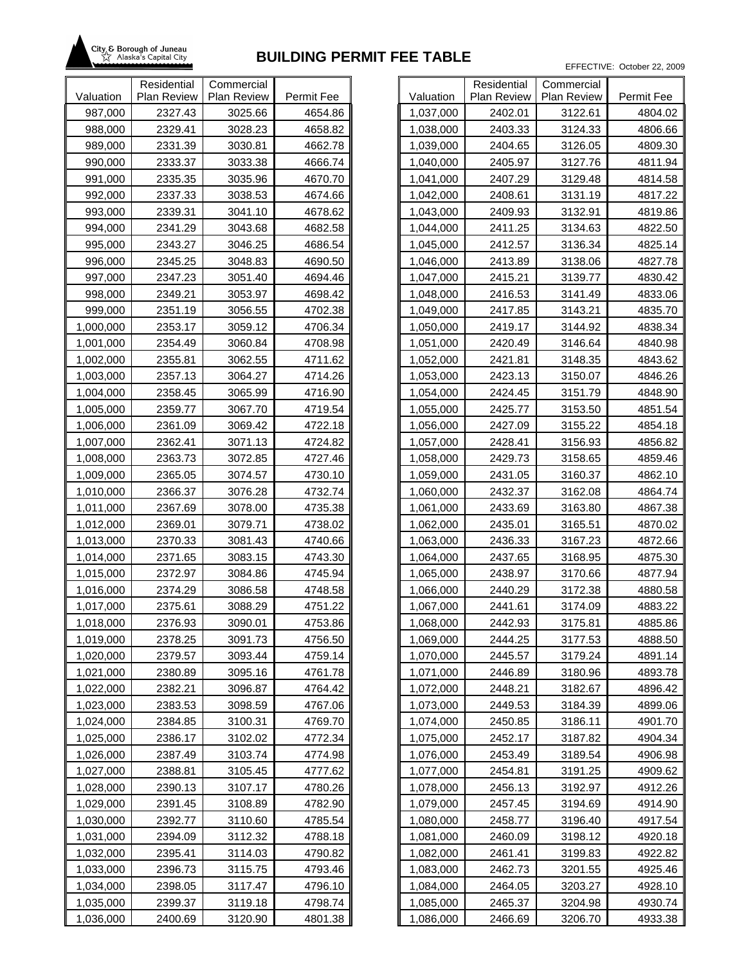

|           | Residential | Commercial  |            |           |
|-----------|-------------|-------------|------------|-----------|
| Valuation | Plan Review | Plan Review | Permit Fee | Valuation |
| 987,000   | 2327.43     | 3025.66     | 4654.86    | 1,037,000 |
| 988,000   | 2329.41     | 3028.23     | 4658.82    | 1,038,000 |
| 989,000   | 2331.39     | 3030.81     | 4662.78    | 1,039,000 |
| 990,000   | 2333.37     | 3033.38     | 4666.74    | 1,040,000 |
| 991,000   | 2335.35     | 3035.96     | 4670.70    | 1,041,000 |
| 992,000   | 2337.33     | 3038.53     | 4674.66    | 1,042,000 |
| 993,000   | 2339.31     | 3041.10     | 4678.62    | 1,043,000 |
| 994,000   | 2341.29     | 3043.68     | 4682.58    | 1,044,000 |
| 995,000   | 2343.27     | 3046.25     | 4686.54    | 1,045,000 |
| 996,000   | 2345.25     | 3048.83     | 4690.50    | 1,046,000 |
| 997,000   | 2347.23     | 3051.40     | 4694.46    | 1,047,000 |
| 998,000   | 2349.21     | 3053.97     | 4698.42    | 1,048,000 |
| 999,000   | 2351.19     | 3056.55     | 4702.38    | 1,049,000 |
| 1,000,000 | 2353.17     | 3059.12     | 4706.34    | 1,050,000 |
| 1,001,000 | 2354.49     | 3060.84     | 4708.98    | 1,051,000 |
| 1,002,000 | 2355.81     | 3062.55     | 4711.62    | 1,052,000 |
| 1,003,000 | 2357.13     | 3064.27     | 4714.26    | 1,053,000 |
| 1,004,000 | 2358.45     | 3065.99     | 4716.90    | 1,054,000 |
| 1,005,000 | 2359.77     | 3067.70     | 4719.54    | 1,055,000 |
| 1,006,000 | 2361.09     | 3069.42     | 4722.18    | 1,056,000 |
| 1,007,000 | 2362.41     | 3071.13     | 4724.82    | 1,057,000 |
| 1,008,000 | 2363.73     | 3072.85     | 4727.46    | 1,058,000 |
| 1,009,000 | 2365.05     | 3074.57     | 4730.10    | 1,059,000 |
| 1,010,000 | 2366.37     | 3076.28     | 4732.74    | 1,060,000 |
| 1,011,000 | 2367.69     | 3078.00     | 4735.38    | 1,061,000 |
| 1,012,000 | 2369.01     | 3079.71     | 4738.02    | 1,062,000 |
| 1,013,000 | 2370.33     | 3081.43     | 4740.66    | 1,063,000 |
| 1,014,000 | 2371.65     | 3083.15     | 4743.30    | 1,064,000 |
| 1,015,000 | 2372.97     | 3084.86     | 4745.94    | 1,065,000 |
| 1,016,000 | 2374.29     | 3086.58     | 4748.58    | 1,066,000 |
| 1,017,000 | 2375.61     | 3088.29     | 4751.22    | 1,067,000 |
| 1,018,000 | 2376.93     | 3090.01     | 4753.86    | 1,068,000 |
| 1,019,000 | 2378.25     | 3091.73     | 4756.50    | 1,069,000 |
| 1,020,000 | 2379.57     | 3093.44     | 4759.14    | 1,070,000 |
| 1,021,000 | 2380.89     | 3095.16     | 4761.78    | 1,071,000 |
| 1,022,000 | 2382.21     | 3096.87     | 4764.42    | 1,072,000 |
| 1,023,000 | 2383.53     | 3098.59     | 4767.06    | 1,073,000 |
| 1,024,000 | 2384.85     | 3100.31     | 4769.70    | 1,074,000 |
| 1,025,000 | 2386.17     | 3102.02     | 4772.34    | 1,075,000 |
| 1,026,000 | 2387.49     | 3103.74     | 4774.98    | 1,076,000 |
| 1,027,000 | 2388.81     | 3105.45     | 4777.62    | 1,077,000 |
| 1,028,000 | 2390.13     | 3107.17     | 4780.26    | 1,078,000 |
| 1,029,000 | 2391.45     | 3108.89     | 4782.90    | 1,079,000 |
| 1,030,000 | 2392.77     | 3110.60     | 4785.54    | 1,080,000 |
| 1,031,000 | 2394.09     | 3112.32     | 4788.18    | 1,081,000 |
| 1,032,000 | 2395.41     | 3114.03     | 4790.82    | 1,082,000 |
| 1,033,000 | 2396.73     | 3115.75     | 4793.46    | 1,083,000 |
| 1,034,000 | 2398.05     | 3117.47     | 4796.10    | 1,084,000 |
| 1,035,000 | 2399.37     | 3119.18     | 4798.74    | 1,085,000 |
| 1,036,000 | 2400.69     | 3120.90     | 4801.38    | 1,086,000 |

|           | Residential        | Commercial         |            |
|-----------|--------------------|--------------------|------------|
| Valuation | <b>Plan Review</b> | <b>Plan Review</b> | Permit Fee |
| 1,037,000 | 2402.01            | 3122.61            | 4804.02    |
| 1,038,000 | 2403.33            | 3124.33            | 4806.66    |
| 1,039,000 | 2404.65            | 3126.05            | 4809.30    |
| 1,040,000 | 2405.97            | 3127.76            | 4811.94    |
| 1,041,000 | 2407.29            | 3129.48            | 4814.58    |
| 1,042,000 | 2408.61            | 3131.19            | 4817.22    |
| 1,043,000 | 2409.93            | 3132.91            | 4819.86    |
| 1,044,000 | 2411.25            | 3134.63            | 4822.50    |
| 1,045,000 | 2412.57            | 3136.34            | 4825.14    |
| 1,046,000 | 2413.89            | 3138.06            | 4827.78    |
| 1,047,000 | 2415.21            | 3139.77            | 4830.42    |
| 1,048,000 | 2416.53            | 3141.49            | 4833.06    |
| 1,049,000 | 2417.85            | 3143.21            | 4835.70    |
| 1,050,000 | 2419.17            | 3144.92            | 4838.34    |
| 1,051,000 | 2420.49            | 3146.64            | 4840.98    |
| 1,052,000 | 2421.81            | 3148.35            | 4843.62    |
| 1,053,000 | 2423.13            | 3150.07            | 4846.26    |
| 1,054,000 | 2424.45            | 3151.79            | 4848.90    |
| 1,055,000 | 2425.77            | 3153.50            | 4851.54    |
| 1,056,000 | 2427.09            | 3155.22            | 4854.18    |
| 1,057,000 | 2428.41            | 3156.93            | 4856.82    |
| 1,058,000 | 2429.73            | 3158.65            | 4859.46    |
| 1,059,000 | 2431.05            | 3160.37            | 4862.10    |
| 1,060,000 | 2432.37            | 3162.08            | 4864.74    |
| 1,061,000 | 2433.69            | 3163.80            | 4867.38    |
| 1,062,000 | 2435.01            | 3165.51            | 4870.02    |
| 1,063,000 | 2436.33            | 3167.23            | 4872.66    |
| 1,064,000 | 2437.65            | 3168.95            | 4875.30    |
| 1,065,000 | 2438.97            | 3170.66            | 4877.94    |
| 1,066,000 | 2440.29            | 3172.38            | 4880.58    |
| 1,067,000 | 2441.61            | 3174.09            | 4883.22    |
| 1,068,000 | 2442.93            | 3175.81            | 4885.86    |
| 1,069,000 | 2444.25            | 3177.53            | 4888.50    |
| 1,070,000 | 2445.57            | 3179.24            | 4891.14    |
| 1,071,000 | 2446.89            | 3180.96            | 4893.78    |
| 1,072,000 | 2448.21            | 3182.67            | 4896.42    |
| 1,073,000 | 2449.53            | 3184.39            | 4899.06    |
| 1,074,000 | 2450.85            | 3186.11            | 4901.70    |
| 1,075,000 | 2452.17            | 3187.82            | 4904.34    |
| 1,076,000 | 2453.49            | 3189.54            | 4906.98    |
| 1,077,000 | 2454.81            | 3191.25            | 4909.62    |
| 1,078,000 | 2456.13            | 3192.97            | 4912.26    |
| 1,079,000 | 2457.45            | 3194.69            | 4914.90    |
| 1,080,000 | 2458.77            | 3196.40            | 4917.54    |
| 1,081,000 | 2460.09            | 3198.12            | 4920.18    |
| 1,082,000 | 2461.41            | 3199.83            | 4922.82    |
| 1,083,000 | 2462.73            | 3201.55            | 4925.46    |
| 1,084,000 | 2464.05            | 3203.27            | 4928.10    |
| 1,085,000 | 2465.37            | 3204.98            | 4930.74    |
| 1,086,000 | 2466.69            | 3206.70            | 4933.38    |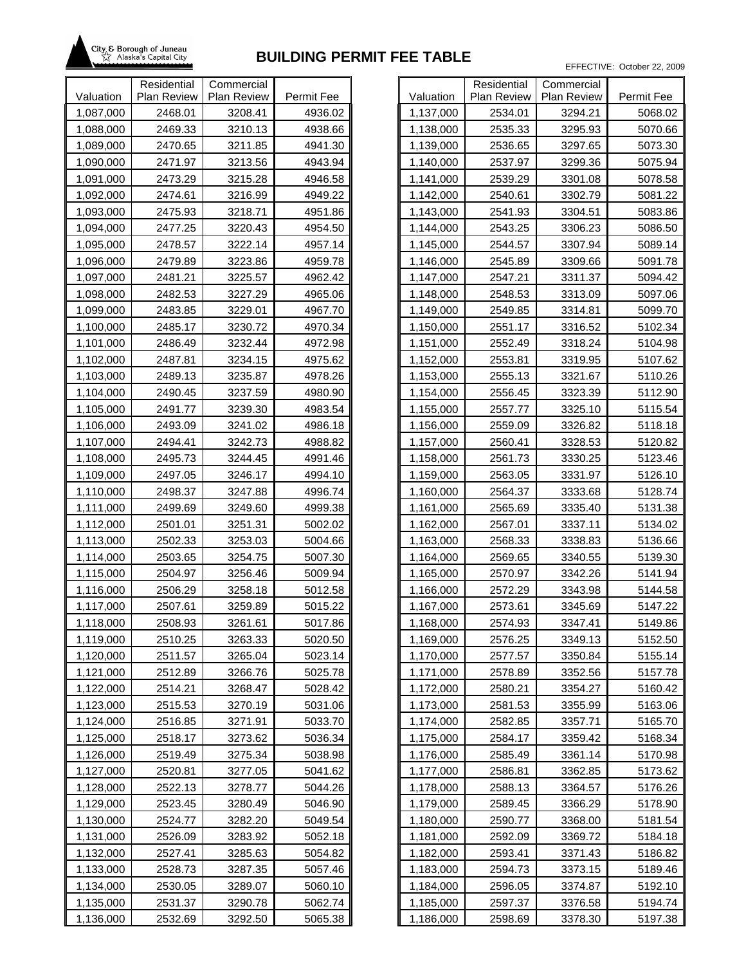

|           | Residential | Commercial  |            |           |
|-----------|-------------|-------------|------------|-----------|
| Valuation | Plan Review | Plan Review | Permit Fee | Valuation |
| 1,087,000 | 2468.01     | 3208.41     | 4936.02    | 1,137,000 |
| 1,088,000 | 2469.33     | 3210.13     | 4938.66    | 1,138,000 |
| 1,089,000 | 2470.65     | 3211.85     | 4941.30    | 1,139,000 |
| 1,090,000 | 2471.97     | 3213.56     | 4943.94    | 1,140,000 |
| 1,091,000 | 2473.29     | 3215.28     | 4946.58    | 1,141,000 |
| 1,092,000 | 2474.61     | 3216.99     | 4949.22    | 1,142,000 |
| 1,093,000 | 2475.93     | 3218.71     | 4951.86    | 1,143,000 |
| 1,094,000 | 2477.25     | 3220.43     | 4954.50    | 1,144,000 |
| 1,095,000 | 2478.57     | 3222.14     | 4957.14    | 1,145,000 |
| 1,096,000 | 2479.89     | 3223.86     | 4959.78    | 1,146,000 |
| 1,097,000 | 2481.21     | 3225.57     | 4962.42    | 1,147,000 |
| 1,098,000 | 2482.53     | 3227.29     | 4965.06    | 1,148,000 |
| 1,099,000 | 2483.85     | 3229.01     | 4967.70    | 1,149,000 |
| 1,100,000 | 2485.17     | 3230.72     | 4970.34    | 1,150,000 |
| 1,101,000 | 2486.49     | 3232.44     | 4972.98    | 1,151,000 |
| 1,102,000 | 2487.81     | 3234.15     | 4975.62    | 1,152,000 |
| 1,103,000 | 2489.13     | 3235.87     | 4978.26    | 1,153,000 |
| 1,104,000 | 2490.45     | 3237.59     | 4980.90    | 1,154,000 |
| 1,105,000 | 2491.77     | 3239.30     | 4983.54    | 1,155,000 |
| 1,106,000 | 2493.09     | 3241.02     | 4986.18    | 1,156,000 |
| 1,107,000 | 2494.41     | 3242.73     | 4988.82    | 1,157,000 |
| 1,108,000 | 2495.73     | 3244.45     | 4991.46    | 1,158,000 |
| 1,109,000 | 2497.05     | 3246.17     | 4994.10    | 1,159,000 |
| 1,110,000 | 2498.37     | 3247.88     | 4996.74    | 1,160,000 |
| 1,111,000 | 2499.69     | 3249.60     | 4999.38    | 1,161,000 |
| 1,112,000 | 2501.01     | 3251.31     | 5002.02    | 1,162,000 |
| 1,113,000 | 2502.33     | 3253.03     | 5004.66    | 1,163,000 |
| 1,114,000 | 2503.65     | 3254.75     | 5007.30    | 1,164,000 |
| 1,115,000 | 2504.97     | 3256.46     | 5009.94    | 1,165,000 |
| 1,116,000 | 2506.29     | 3258.18     | 5012.58    | 1,166,000 |
| 1,117,000 | 2507.61     | 3259.89     | 5015.22    | 1,167,000 |
| 1,118,000 | 2508.93     | 3261.61     | 5017.86    | 1,168,000 |
| 1,119,000 | 2510.25     | 3263.33     | 5020.50    | 1,169,000 |
| 1,120,000 | 2511.57     | 3265.04     | 5023.14    | 1,170,000 |
| 1,121,000 | 2512.89     | 3266.76     | 5025.78    | 1,171,000 |
| 1,122,000 | 2514.21     | 3268.47     | 5028.42    | 1,172,000 |
| 1,123,000 | 2515.53     | 3270.19     | 5031.06    | 1,173,000 |
| 1,124,000 | 2516.85     | 3271.91     | 5033.70    | 1,174,000 |
| 1,125,000 | 2518.17     | 3273.62     | 5036.34    | 1,175,000 |
| 1,126,000 | 2519.49     | 3275.34     | 5038.98    | 1,176,000 |
| 1,127,000 | 2520.81     | 3277.05     | 5041.62    | 1,177,000 |
| 1,128,000 | 2522.13     | 3278.77     | 5044.26    | 1,178,000 |
| 1,129,000 | 2523.45     | 3280.49     | 5046.90    | 1,179,000 |
| 1,130,000 | 2524.77     | 3282.20     | 5049.54    | 1,180,000 |
| 1,131,000 | 2526.09     | 3283.92     | 5052.18    | 1,181,000 |
| 1,132,000 | 2527.41     | 3285.63     | 5054.82    | 1,182,000 |
| 1,133,000 | 2528.73     | 3287.35     | 5057.46    | 1,183,000 |
| 1,134,000 | 2530.05     | 3289.07     | 5060.10    | 1,184,000 |
| 1,135,000 | 2531.37     | 3290.78     | 5062.74    | 1,185,000 |
| 1,136,000 | 2532.69     | 3292.50     | 5065.38    | 1,186,000 |

|           | Residential | Commercial  |            |
|-----------|-------------|-------------|------------|
| Valuation | Plan Review | Plan Review | Permit Fee |
| 1,137,000 | 2534.01     | 3294.21     | 5068.02    |
| 1,138,000 | 2535.33     | 3295.93     | 5070.66    |
| 1,139,000 | 2536.65     | 3297.65     | 5073.30    |
| 1,140,000 | 2537.97     | 3299.36     | 5075.94    |
| 1,141,000 | 2539.29     | 3301.08     | 5078.58    |
| 1,142,000 | 2540.61     | 3302.79     | 5081.22    |
| 1,143,000 | 2541.93     | 3304.51     | 5083.86    |
| 1,144,000 | 2543.25     | 3306.23     | 5086.50    |
| 1,145,000 | 2544.57     | 3307.94     | 5089.14    |
| 1,146,000 | 2545.89     | 3309.66     | 5091.78    |
| 1,147,000 | 2547.21     | 3311.37     | 5094.42    |
| 1,148,000 | 2548.53     | 3313.09     | 5097.06    |
| 1,149,000 | 2549.85     | 3314.81     | 5099.70    |
| 1,150,000 | 2551.17     | 3316.52     | 5102.34    |
| 1,151,000 | 2552.49     | 3318.24     | 5104.98    |
| 1,152,000 | 2553.81     | 3319.95     | 5107.62    |
| 1,153,000 | 2555.13     | 3321.67     | 5110.26    |
| 1,154,000 | 2556.45     | 3323.39     | 5112.90    |
| 1,155,000 | 2557.77     | 3325.10     | 5115.54    |
| 1,156,000 | 2559.09     | 3326.82     | 5118.18    |
| 1,157,000 | 2560.41     | 3328.53     | 5120.82    |
| 1,158,000 | 2561.73     | 3330.25     | 5123.46    |
| 1,159,000 | 2563.05     | 3331.97     | 5126.10    |
| 1,160,000 | 2564.37     | 3333.68     | 5128.74    |
| 1,161,000 | 2565.69     | 3335.40     | 5131.38    |
| 1,162,000 | 2567.01     | 3337.11     | 5134.02    |
| 1,163,000 | 2568.33     | 3338.83     | 5136.66    |
| 1,164,000 | 2569.65     | 3340.55     | 5139.30    |
| 1,165,000 | 2570.97     | 3342.26     | 5141.94    |
| 1,166,000 | 2572.29     | 3343.98     | 5144.58    |
| 1,167,000 | 2573.61     | 3345.69     | 5147.22    |
| 1,168,000 | 2574.93     | 3347.41     | 5149.86    |
| 1,169,000 | 2576.25     | 3349.13     | 5152.50    |
| 1,170,000 | 2577.57     | 3350.84     | 5155.14    |
| 1,171,000 | 2578.89     | 3352.56     | 5157.78    |
| 1,172,000 | 2580.21     | 3354.27     | 5160.42    |
| 1,173,000 | 2581.53     | 3355.99     | 5163.06    |
| 1,174,000 | 2582.85     | 3357.71     | 5165.70    |
| 1,175,000 | 2584.17     | 3359.42     | 5168.34    |
| 1,176,000 | 2585.49     | 3361.14     | 5170.98    |
| 1,177,000 | 2586.81     | 3362.85     | 5173.62    |
| 1,178,000 | 2588.13     | 3364.57     | 5176.26    |
| 1,179,000 | 2589.45     | 3366.29     | 5178.90    |
| 1,180,000 | 2590.77     | 3368.00     | 5181.54    |
| 1,181,000 | 2592.09     | 3369.72     | 5184.18    |
| 1,182,000 | 2593.41     | 3371.43     | 5186.82    |
| 1,183,000 | 2594.73     | 3373.15     | 5189.46    |
| 1,184,000 | 2596.05     | 3374.87     | 5192.10    |
| 1,185,000 | 2597.37     | 3376.58     | 5194.74    |
| 1,186,000 | 2598.69     | 3378.30     | 5197.38    |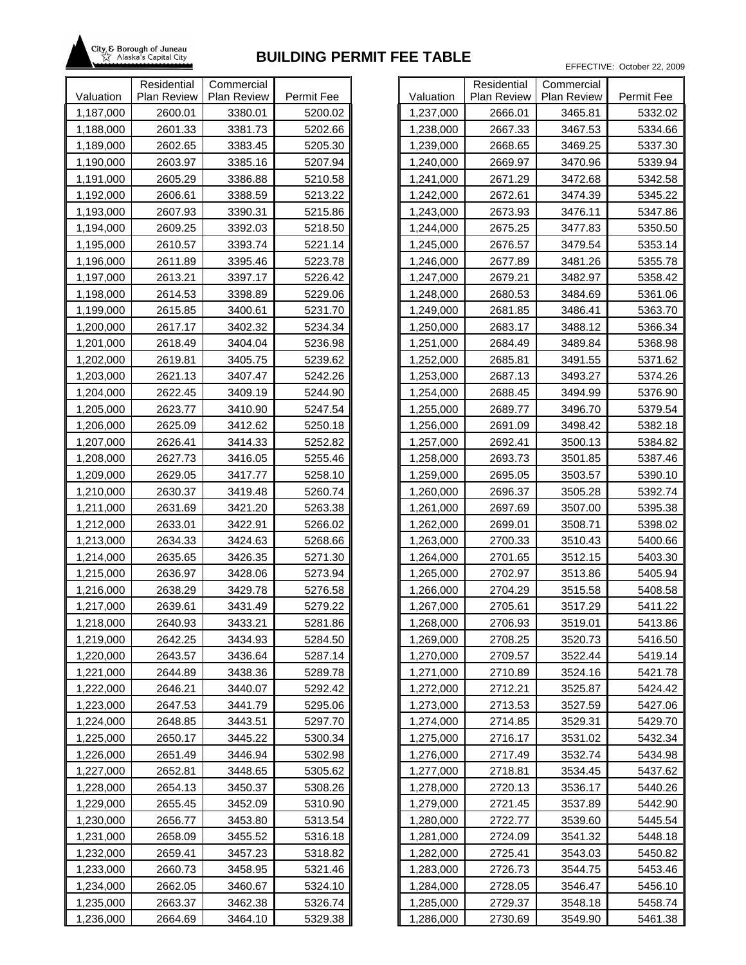

|           | Residential | Commercial  |            |           |
|-----------|-------------|-------------|------------|-----------|
| Valuation | Plan Review | Plan Review | Permit Fee | Valuation |
| 1,187,000 | 2600.01     | 3380.01     | 5200.02    | 1,237,000 |
| 1,188,000 | 2601.33     | 3381.73     | 5202.66    | 1,238,000 |
| 1,189,000 | 2602.65     | 3383.45     | 5205.30    | 1,239,000 |
| 1,190,000 | 2603.97     | 3385.16     | 5207.94    | 1,240,000 |
| 1,191,000 | 2605.29     | 3386.88     | 5210.58    | 1,241,000 |
| 1,192,000 | 2606.61     | 3388.59     | 5213.22    | 1,242,000 |
| 1,193,000 | 2607.93     | 3390.31     | 5215.86    | 1,243,000 |
| 1,194,000 | 2609.25     | 3392.03     | 5218.50    | 1,244,000 |
| 1,195,000 | 2610.57     | 3393.74     | 5221.14    | 1,245,000 |
| 1,196,000 | 2611.89     | 3395.46     | 5223.78    | 1,246,000 |
| 1,197,000 | 2613.21     | 3397.17     | 5226.42    | 1,247,000 |
| 1,198,000 | 2614.53     | 3398.89     | 5229.06    | 1,248,000 |
| 1,199,000 | 2615.85     | 3400.61     | 5231.70    | 1,249,000 |
| 1,200,000 | 2617.17     | 3402.32     | 5234.34    | 1,250,000 |
| 1,201,000 | 2618.49     | 3404.04     | 5236.98    | 1,251,000 |
| 1,202,000 | 2619.81     | 3405.75     | 5239.62    | 1,252,000 |
| 1,203,000 | 2621.13     | 3407.47     | 5242.26    | 1,253,000 |
| 1,204,000 | 2622.45     | 3409.19     | 5244.90    | 1,254,000 |
| 1,205,000 | 2623.77     | 3410.90     | 5247.54    | 1,255,000 |
| 1,206,000 | 2625.09     | 3412.62     | 5250.18    | 1,256,000 |
| 1,207,000 | 2626.41     | 3414.33     | 5252.82    | 1,257,000 |
| 1,208,000 | 2627.73     | 3416.05     | 5255.46    | 1,258,000 |
| 1,209,000 | 2629.05     | 3417.77     | 5258.10    | 1,259,000 |
| 1,210,000 | 2630.37     | 3419.48     | 5260.74    | 1,260,000 |
| 1,211,000 | 2631.69     | 3421.20     | 5263.38    | 1,261,000 |
| 1,212,000 | 2633.01     | 3422.91     | 5266.02    | 1,262,000 |
| 1,213,000 | 2634.33     | 3424.63     | 5268.66    | 1,263,000 |
| 1,214,000 | 2635.65     | 3426.35     | 5271.30    | 1,264,000 |
| 1,215,000 | 2636.97     | 3428.06     | 5273.94    | 1,265,000 |
| 1,216,000 | 2638.29     | 3429.78     | 5276.58    | 1,266,000 |
| 1,217,000 | 2639.61     | 3431.49     | 5279.22    | 1,267,000 |
| 1,218,000 | 2640.93     | 3433.21     | 5281.86    | 1,268,000 |
| 1,219,000 | 2642.25     | 3434.93     | 5284.50    | 1,269,000 |
| 1,220,000 | 2643.57     | 3436.64     | 5287.14    | 1,270,000 |
| 1,221,000 | 2644.89     | 3438.36     | 5289.78    | 1,271,000 |
| 1,222,000 | 2646.21     | 3440.07     | 5292.42    | 1,272,000 |
| 1,223,000 | 2647.53     | 3441.79     | 5295.06    | 1,273,000 |
| 1,224,000 | 2648.85     | 3443.51     | 5297.70    | 1,274,000 |
| 1,225,000 | 2650.17     | 3445.22     | 5300.34    | 1,275,000 |
| 1,226,000 | 2651.49     | 3446.94     | 5302.98    | 1,276,000 |
| 1,227,000 | 2652.81     | 3448.65     | 5305.62    | 1,277,000 |
| 1,228,000 | 2654.13     | 3450.37     | 5308.26    | 1,278,000 |
| 1,229,000 | 2655.45     | 3452.09     | 5310.90    | 1,279,000 |
| 1,230,000 | 2656.77     | 3453.80     | 5313.54    | 1,280,000 |
| 1,231,000 | 2658.09     | 3455.52     | 5316.18    | 1,281,000 |
| 1,232,000 | 2659.41     | 3457.23     | 5318.82    | 1,282,000 |
| 1,233,000 | 2660.73     | 3458.95     | 5321.46    | 1,283,000 |
| 1,234,000 | 2662.05     | 3460.67     | 5324.10    | 1,284,000 |
| 1,235,000 | 2663.37     | 3462.38     | 5326.74    | 1,285,000 |
| 1,236,000 | 2664.69     | 3464.10     | 5329.38    | 1,286,000 |

| Valuation<br><b>Plan Review</b><br><b>Plan Review</b><br>Permit Fee<br>1,237,000<br>2666.01<br>3465.81<br>5332.02<br>1,238,000<br>3467.53<br>5334.66<br>2667.33<br>2668.65<br>3469.25<br>5337.30<br>1,239,000<br>2669.97<br>3470.96<br>5339.94<br>1,240,000<br>3472.68<br>5342.58<br>1,241,000<br>2671.29<br>1,242,000<br>2672.61<br>3474.39<br>5345.22<br>1,243,000<br>2673.93<br>3476.11<br>5347.86<br>2675.25<br>3477.83<br>5350.50<br>1,244,000<br>1,245,000<br>2676.57<br>3479.54<br>5353.14<br>1,246,000<br>2677.89<br>3481.26<br>5355.78<br>1,247,000<br>2679.21<br>3482.97<br>5358.42<br>3484.69<br>5361.06<br>1,248,000<br>2680.53<br>1,249,000<br>2681.85<br>3486.41<br>5363.70<br>1,250,000<br>2683.17<br>3488.12<br>5366.34<br>1,251,000<br>2684.49<br>3489.84<br>5368.98<br>2685.81<br>3491.55<br>1,252,000<br>5371.62<br>3493.27<br>1,253,000<br>2687.13<br>5374.26<br>1,254,000<br>3494.99<br>2688.45<br>5376.90<br>2689.77<br>3496.70<br>5379.54<br>1,255,000<br>1,256,000<br>2691.09<br>3498.42<br>5382.18<br>1,257,000<br>2692.41<br>3500.13<br>5384.82<br>1,258,000<br>3501.85<br>5387.46<br>2693.73<br>1,259,000<br>2695.05<br>5390.10<br>3503.57<br>2696.37<br>3505.28<br>5392.74<br>1,260,000<br>5395.38<br>1,261,000<br>2697.69<br>3507.00<br>1,262,000<br>2699.01<br>3508.71<br>5398.02<br>3510.43<br>5400.66<br>1,263,000<br>2700.33<br>2701.65<br>3512.15<br>5403.30<br>1,264,000<br>1,265,000<br>2702.97<br>3513.86<br>5405.94<br>1,266,000<br>2704.29<br>3515.58<br>5408.58<br>1,267,000<br>2705.61<br>3517.29<br>5411.22<br>1,268,000<br>2706.93<br>3519.01<br>5413.86<br>2708.25<br>1,269,000<br>3520.73<br>5416.50<br>1,270,000<br>2709.57<br>3522.44<br>5419.14<br>1,271,000<br>3524.16<br>5421.78<br>2710.89<br>2712.21<br>1,272,000<br>3525.87<br>5424.42<br>2713.53<br>5427.06<br>1,273,000<br>3527.59<br>1,274,000<br>2714.85<br>3529.31<br>5429.70<br>5432.34<br>1,275,000<br>2716.17<br>3531.02 |           | Residential | Commercial |         |
|---------------------------------------------------------------------------------------------------------------------------------------------------------------------------------------------------------------------------------------------------------------------------------------------------------------------------------------------------------------------------------------------------------------------------------------------------------------------------------------------------------------------------------------------------------------------------------------------------------------------------------------------------------------------------------------------------------------------------------------------------------------------------------------------------------------------------------------------------------------------------------------------------------------------------------------------------------------------------------------------------------------------------------------------------------------------------------------------------------------------------------------------------------------------------------------------------------------------------------------------------------------------------------------------------------------------------------------------------------------------------------------------------------------------------------------------------------------------------------------------------------------------------------------------------------------------------------------------------------------------------------------------------------------------------------------------------------------------------------------------------------------------------------------------------------------------------------------------------------------------------------------------------------------------------------------|-----------|-------------|------------|---------|
|                                                                                                                                                                                                                                                                                                                                                                                                                                                                                                                                                                                                                                                                                                                                                                                                                                                                                                                                                                                                                                                                                                                                                                                                                                                                                                                                                                                                                                                                                                                                                                                                                                                                                                                                                                                                                                                                                                                                       |           |             |            |         |
|                                                                                                                                                                                                                                                                                                                                                                                                                                                                                                                                                                                                                                                                                                                                                                                                                                                                                                                                                                                                                                                                                                                                                                                                                                                                                                                                                                                                                                                                                                                                                                                                                                                                                                                                                                                                                                                                                                                                       |           |             |            |         |
|                                                                                                                                                                                                                                                                                                                                                                                                                                                                                                                                                                                                                                                                                                                                                                                                                                                                                                                                                                                                                                                                                                                                                                                                                                                                                                                                                                                                                                                                                                                                                                                                                                                                                                                                                                                                                                                                                                                                       |           |             |            |         |
|                                                                                                                                                                                                                                                                                                                                                                                                                                                                                                                                                                                                                                                                                                                                                                                                                                                                                                                                                                                                                                                                                                                                                                                                                                                                                                                                                                                                                                                                                                                                                                                                                                                                                                                                                                                                                                                                                                                                       |           |             |            |         |
|                                                                                                                                                                                                                                                                                                                                                                                                                                                                                                                                                                                                                                                                                                                                                                                                                                                                                                                                                                                                                                                                                                                                                                                                                                                                                                                                                                                                                                                                                                                                                                                                                                                                                                                                                                                                                                                                                                                                       |           |             |            |         |
|                                                                                                                                                                                                                                                                                                                                                                                                                                                                                                                                                                                                                                                                                                                                                                                                                                                                                                                                                                                                                                                                                                                                                                                                                                                                                                                                                                                                                                                                                                                                                                                                                                                                                                                                                                                                                                                                                                                                       |           |             |            |         |
|                                                                                                                                                                                                                                                                                                                                                                                                                                                                                                                                                                                                                                                                                                                                                                                                                                                                                                                                                                                                                                                                                                                                                                                                                                                                                                                                                                                                                                                                                                                                                                                                                                                                                                                                                                                                                                                                                                                                       |           |             |            |         |
|                                                                                                                                                                                                                                                                                                                                                                                                                                                                                                                                                                                                                                                                                                                                                                                                                                                                                                                                                                                                                                                                                                                                                                                                                                                                                                                                                                                                                                                                                                                                                                                                                                                                                                                                                                                                                                                                                                                                       |           |             |            |         |
|                                                                                                                                                                                                                                                                                                                                                                                                                                                                                                                                                                                                                                                                                                                                                                                                                                                                                                                                                                                                                                                                                                                                                                                                                                                                                                                                                                                                                                                                                                                                                                                                                                                                                                                                                                                                                                                                                                                                       |           |             |            |         |
|                                                                                                                                                                                                                                                                                                                                                                                                                                                                                                                                                                                                                                                                                                                                                                                                                                                                                                                                                                                                                                                                                                                                                                                                                                                                                                                                                                                                                                                                                                                                                                                                                                                                                                                                                                                                                                                                                                                                       |           |             |            |         |
|                                                                                                                                                                                                                                                                                                                                                                                                                                                                                                                                                                                                                                                                                                                                                                                                                                                                                                                                                                                                                                                                                                                                                                                                                                                                                                                                                                                                                                                                                                                                                                                                                                                                                                                                                                                                                                                                                                                                       |           |             |            |         |
|                                                                                                                                                                                                                                                                                                                                                                                                                                                                                                                                                                                                                                                                                                                                                                                                                                                                                                                                                                                                                                                                                                                                                                                                                                                                                                                                                                                                                                                                                                                                                                                                                                                                                                                                                                                                                                                                                                                                       |           |             |            |         |
|                                                                                                                                                                                                                                                                                                                                                                                                                                                                                                                                                                                                                                                                                                                                                                                                                                                                                                                                                                                                                                                                                                                                                                                                                                                                                                                                                                                                                                                                                                                                                                                                                                                                                                                                                                                                                                                                                                                                       |           |             |            |         |
|                                                                                                                                                                                                                                                                                                                                                                                                                                                                                                                                                                                                                                                                                                                                                                                                                                                                                                                                                                                                                                                                                                                                                                                                                                                                                                                                                                                                                                                                                                                                                                                                                                                                                                                                                                                                                                                                                                                                       |           |             |            |         |
|                                                                                                                                                                                                                                                                                                                                                                                                                                                                                                                                                                                                                                                                                                                                                                                                                                                                                                                                                                                                                                                                                                                                                                                                                                                                                                                                                                                                                                                                                                                                                                                                                                                                                                                                                                                                                                                                                                                                       |           |             |            |         |
|                                                                                                                                                                                                                                                                                                                                                                                                                                                                                                                                                                                                                                                                                                                                                                                                                                                                                                                                                                                                                                                                                                                                                                                                                                                                                                                                                                                                                                                                                                                                                                                                                                                                                                                                                                                                                                                                                                                                       |           |             |            |         |
|                                                                                                                                                                                                                                                                                                                                                                                                                                                                                                                                                                                                                                                                                                                                                                                                                                                                                                                                                                                                                                                                                                                                                                                                                                                                                                                                                                                                                                                                                                                                                                                                                                                                                                                                                                                                                                                                                                                                       |           |             |            |         |
|                                                                                                                                                                                                                                                                                                                                                                                                                                                                                                                                                                                                                                                                                                                                                                                                                                                                                                                                                                                                                                                                                                                                                                                                                                                                                                                                                                                                                                                                                                                                                                                                                                                                                                                                                                                                                                                                                                                                       |           |             |            |         |
|                                                                                                                                                                                                                                                                                                                                                                                                                                                                                                                                                                                                                                                                                                                                                                                                                                                                                                                                                                                                                                                                                                                                                                                                                                                                                                                                                                                                                                                                                                                                                                                                                                                                                                                                                                                                                                                                                                                                       |           |             |            |         |
|                                                                                                                                                                                                                                                                                                                                                                                                                                                                                                                                                                                                                                                                                                                                                                                                                                                                                                                                                                                                                                                                                                                                                                                                                                                                                                                                                                                                                                                                                                                                                                                                                                                                                                                                                                                                                                                                                                                                       |           |             |            |         |
|                                                                                                                                                                                                                                                                                                                                                                                                                                                                                                                                                                                                                                                                                                                                                                                                                                                                                                                                                                                                                                                                                                                                                                                                                                                                                                                                                                                                                                                                                                                                                                                                                                                                                                                                                                                                                                                                                                                                       |           |             |            |         |
|                                                                                                                                                                                                                                                                                                                                                                                                                                                                                                                                                                                                                                                                                                                                                                                                                                                                                                                                                                                                                                                                                                                                                                                                                                                                                                                                                                                                                                                                                                                                                                                                                                                                                                                                                                                                                                                                                                                                       |           |             |            |         |
|                                                                                                                                                                                                                                                                                                                                                                                                                                                                                                                                                                                                                                                                                                                                                                                                                                                                                                                                                                                                                                                                                                                                                                                                                                                                                                                                                                                                                                                                                                                                                                                                                                                                                                                                                                                                                                                                                                                                       |           |             |            |         |
|                                                                                                                                                                                                                                                                                                                                                                                                                                                                                                                                                                                                                                                                                                                                                                                                                                                                                                                                                                                                                                                                                                                                                                                                                                                                                                                                                                                                                                                                                                                                                                                                                                                                                                                                                                                                                                                                                                                                       |           |             |            |         |
|                                                                                                                                                                                                                                                                                                                                                                                                                                                                                                                                                                                                                                                                                                                                                                                                                                                                                                                                                                                                                                                                                                                                                                                                                                                                                                                                                                                                                                                                                                                                                                                                                                                                                                                                                                                                                                                                                                                                       |           |             |            |         |
|                                                                                                                                                                                                                                                                                                                                                                                                                                                                                                                                                                                                                                                                                                                                                                                                                                                                                                                                                                                                                                                                                                                                                                                                                                                                                                                                                                                                                                                                                                                                                                                                                                                                                                                                                                                                                                                                                                                                       |           |             |            |         |
|                                                                                                                                                                                                                                                                                                                                                                                                                                                                                                                                                                                                                                                                                                                                                                                                                                                                                                                                                                                                                                                                                                                                                                                                                                                                                                                                                                                                                                                                                                                                                                                                                                                                                                                                                                                                                                                                                                                                       |           |             |            |         |
|                                                                                                                                                                                                                                                                                                                                                                                                                                                                                                                                                                                                                                                                                                                                                                                                                                                                                                                                                                                                                                                                                                                                                                                                                                                                                                                                                                                                                                                                                                                                                                                                                                                                                                                                                                                                                                                                                                                                       |           |             |            |         |
|                                                                                                                                                                                                                                                                                                                                                                                                                                                                                                                                                                                                                                                                                                                                                                                                                                                                                                                                                                                                                                                                                                                                                                                                                                                                                                                                                                                                                                                                                                                                                                                                                                                                                                                                                                                                                                                                                                                                       |           |             |            |         |
|                                                                                                                                                                                                                                                                                                                                                                                                                                                                                                                                                                                                                                                                                                                                                                                                                                                                                                                                                                                                                                                                                                                                                                                                                                                                                                                                                                                                                                                                                                                                                                                                                                                                                                                                                                                                                                                                                                                                       |           |             |            |         |
|                                                                                                                                                                                                                                                                                                                                                                                                                                                                                                                                                                                                                                                                                                                                                                                                                                                                                                                                                                                                                                                                                                                                                                                                                                                                                                                                                                                                                                                                                                                                                                                                                                                                                                                                                                                                                                                                                                                                       |           |             |            |         |
|                                                                                                                                                                                                                                                                                                                                                                                                                                                                                                                                                                                                                                                                                                                                                                                                                                                                                                                                                                                                                                                                                                                                                                                                                                                                                                                                                                                                                                                                                                                                                                                                                                                                                                                                                                                                                                                                                                                                       |           |             |            |         |
|                                                                                                                                                                                                                                                                                                                                                                                                                                                                                                                                                                                                                                                                                                                                                                                                                                                                                                                                                                                                                                                                                                                                                                                                                                                                                                                                                                                                                                                                                                                                                                                                                                                                                                                                                                                                                                                                                                                                       |           |             |            |         |
|                                                                                                                                                                                                                                                                                                                                                                                                                                                                                                                                                                                                                                                                                                                                                                                                                                                                                                                                                                                                                                                                                                                                                                                                                                                                                                                                                                                                                                                                                                                                                                                                                                                                                                                                                                                                                                                                                                                                       |           |             |            |         |
|                                                                                                                                                                                                                                                                                                                                                                                                                                                                                                                                                                                                                                                                                                                                                                                                                                                                                                                                                                                                                                                                                                                                                                                                                                                                                                                                                                                                                                                                                                                                                                                                                                                                                                                                                                                                                                                                                                                                       |           |             |            |         |
|                                                                                                                                                                                                                                                                                                                                                                                                                                                                                                                                                                                                                                                                                                                                                                                                                                                                                                                                                                                                                                                                                                                                                                                                                                                                                                                                                                                                                                                                                                                                                                                                                                                                                                                                                                                                                                                                                                                                       |           |             |            |         |
|                                                                                                                                                                                                                                                                                                                                                                                                                                                                                                                                                                                                                                                                                                                                                                                                                                                                                                                                                                                                                                                                                                                                                                                                                                                                                                                                                                                                                                                                                                                                                                                                                                                                                                                                                                                                                                                                                                                                       |           |             |            |         |
|                                                                                                                                                                                                                                                                                                                                                                                                                                                                                                                                                                                                                                                                                                                                                                                                                                                                                                                                                                                                                                                                                                                                                                                                                                                                                                                                                                                                                                                                                                                                                                                                                                                                                                                                                                                                                                                                                                                                       |           |             |            |         |
|                                                                                                                                                                                                                                                                                                                                                                                                                                                                                                                                                                                                                                                                                                                                                                                                                                                                                                                                                                                                                                                                                                                                                                                                                                                                                                                                                                                                                                                                                                                                                                                                                                                                                                                                                                                                                                                                                                                                       |           |             |            |         |
|                                                                                                                                                                                                                                                                                                                                                                                                                                                                                                                                                                                                                                                                                                                                                                                                                                                                                                                                                                                                                                                                                                                                                                                                                                                                                                                                                                                                                                                                                                                                                                                                                                                                                                                                                                                                                                                                                                                                       |           |             |            |         |
|                                                                                                                                                                                                                                                                                                                                                                                                                                                                                                                                                                                                                                                                                                                                                                                                                                                                                                                                                                                                                                                                                                                                                                                                                                                                                                                                                                                                                                                                                                                                                                                                                                                                                                                                                                                                                                                                                                                                       | 1,276,000 | 2717.49     | 3532.74    | 5434.98 |
| 2718.81<br>3534.45<br>5437.62<br>1,277,000                                                                                                                                                                                                                                                                                                                                                                                                                                                                                                                                                                                                                                                                                                                                                                                                                                                                                                                                                                                                                                                                                                                                                                                                                                                                                                                                                                                                                                                                                                                                                                                                                                                                                                                                                                                                                                                                                            |           |             |            |         |
| 1,278,000<br>2720.13<br>3536.17<br>5440.26                                                                                                                                                                                                                                                                                                                                                                                                                                                                                                                                                                                                                                                                                                                                                                                                                                                                                                                                                                                                                                                                                                                                                                                                                                                                                                                                                                                                                                                                                                                                                                                                                                                                                                                                                                                                                                                                                            |           |             |            |         |
| 1,279,000<br>2721.45<br>3537.89<br>5442.90                                                                                                                                                                                                                                                                                                                                                                                                                                                                                                                                                                                                                                                                                                                                                                                                                                                                                                                                                                                                                                                                                                                                                                                                                                                                                                                                                                                                                                                                                                                                                                                                                                                                                                                                                                                                                                                                                            |           |             |            |         |
| 5445.54<br>1,280,000<br>2722.77<br>3539.60                                                                                                                                                                                                                                                                                                                                                                                                                                                                                                                                                                                                                                                                                                                                                                                                                                                                                                                                                                                                                                                                                                                                                                                                                                                                                                                                                                                                                                                                                                                                                                                                                                                                                                                                                                                                                                                                                            |           |             |            |         |
| 2724.09<br>3541.32<br>5448.18<br>1,281,000                                                                                                                                                                                                                                                                                                                                                                                                                                                                                                                                                                                                                                                                                                                                                                                                                                                                                                                                                                                                                                                                                                                                                                                                                                                                                                                                                                                                                                                                                                                                                                                                                                                                                                                                                                                                                                                                                            |           |             |            |         |
| 1,282,000<br>2725.41<br>3543.03<br>5450.82                                                                                                                                                                                                                                                                                                                                                                                                                                                                                                                                                                                                                                                                                                                                                                                                                                                                                                                                                                                                                                                                                                                                                                                                                                                                                                                                                                                                                                                                                                                                                                                                                                                                                                                                                                                                                                                                                            |           |             |            |         |
| 3544.75<br>1,283,000<br>2726.73<br>5453.46                                                                                                                                                                                                                                                                                                                                                                                                                                                                                                                                                                                                                                                                                                                                                                                                                                                                                                                                                                                                                                                                                                                                                                                                                                                                                                                                                                                                                                                                                                                                                                                                                                                                                                                                                                                                                                                                                            |           |             |            |         |
| 1,284,000<br>2728.05<br>3546.47<br>5456.10                                                                                                                                                                                                                                                                                                                                                                                                                                                                                                                                                                                                                                                                                                                                                                                                                                                                                                                                                                                                                                                                                                                                                                                                                                                                                                                                                                                                                                                                                                                                                                                                                                                                                                                                                                                                                                                                                            |           |             |            |         |
| 1,285,000<br>2729.37<br>3548.18<br>5458.74                                                                                                                                                                                                                                                                                                                                                                                                                                                                                                                                                                                                                                                                                                                                                                                                                                                                                                                                                                                                                                                                                                                                                                                                                                                                                                                                                                                                                                                                                                                                                                                                                                                                                                                                                                                                                                                                                            |           |             |            |         |
| 1,286,000<br>2730.69<br>3549.90<br>5461.38                                                                                                                                                                                                                                                                                                                                                                                                                                                                                                                                                                                                                                                                                                                                                                                                                                                                                                                                                                                                                                                                                                                                                                                                                                                                                                                                                                                                                                                                                                                                                                                                                                                                                                                                                                                                                                                                                            |           |             |            |         |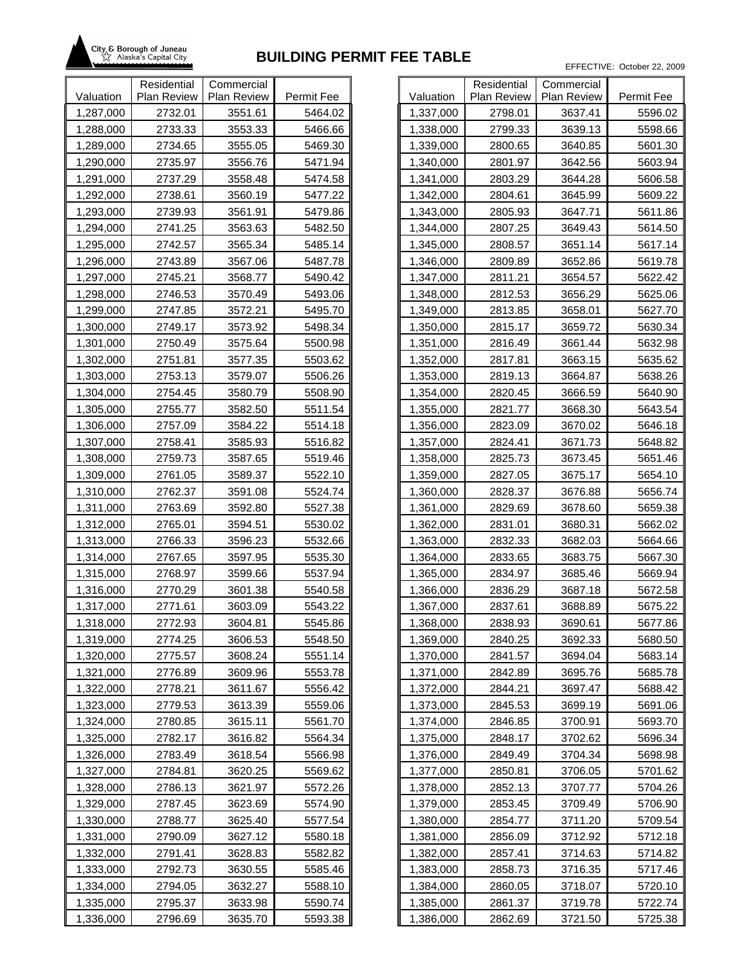

|           | Residential | Commercial  |            |           |
|-----------|-------------|-------------|------------|-----------|
| Valuation | Plan Review | Plan Review | Permit Fee | Valuation |
| 1,287,000 | 2732.01     | 3551.61     | 5464.02    | 1,337,000 |
| 1,288,000 | 2733.33     | 3553.33     | 5466.66    | 1,338,000 |
| 1,289,000 | 2734.65     | 3555.05     | 5469.30    | 1,339,000 |
| 1,290,000 | 2735.97     | 3556.76     | 5471.94    | 1,340,000 |
| 1,291,000 | 2737.29     | 3558.48     | 5474.58    | 1,341,000 |
| 1,292,000 | 2738.61     | 3560.19     | 5477.22    | 1,342,000 |
| 1,293,000 | 2739.93     | 3561.91     | 5479.86    | 1,343,000 |
| 1,294,000 | 2741.25     | 3563.63     | 5482.50    | 1,344,000 |
| 1,295,000 | 2742.57     | 3565.34     | 5485.14    | 1,345,000 |
| 1,296,000 | 2743.89     | 3567.06     | 5487.78    | 1,346,000 |
| 1,297,000 | 2745.21     | 3568.77     | 5490.42    | 1,347,000 |
| 1,298,000 | 2746.53     | 3570.49     | 5493.06    | 1,348,000 |
| 1,299,000 | 2747.85     | 3572.21     | 5495.70    | 1,349,000 |
| 1,300,000 | 2749.17     | 3573.92     | 5498.34    | 1,350,000 |
| 1,301,000 | 2750.49     | 3575.64     | 5500.98    | 1,351,000 |
| 1,302,000 | 2751.81     | 3577.35     | 5503.62    | 1,352,000 |
| 1,303,000 | 2753.13     | 3579.07     | 5506.26    | 1,353,000 |
| 1,304,000 | 2754.45     | 3580.79     | 5508.90    | 1,354,000 |
| 1,305,000 | 2755.77     | 3582.50     | 5511.54    | 1,355,000 |
| 1,306,000 | 2757.09     | 3584.22     | 5514.18    | 1,356,000 |
| 1,307,000 | 2758.41     | 3585.93     | 5516.82    | 1,357,000 |
| 1,308,000 | 2759.73     | 3587.65     | 5519.46    | 1,358,000 |
| 1,309,000 | 2761.05     | 3589.37     | 5522.10    | 1,359,000 |
| 1,310,000 | 2762.37     | 3591.08     | 5524.74    | 1,360,000 |
| 1,311,000 | 2763.69     | 3592.80     | 5527.38    | 1,361,000 |
| 1,312,000 | 2765.01     | 3594.51     | 5530.02    | 1,362,000 |
| 1,313,000 | 2766.33     | 3596.23     | 5532.66    | 1,363,000 |
| 1,314,000 | 2767.65     | 3597.95     | 5535.30    | 1,364,000 |
| 1,315,000 | 2768.97     | 3599.66     | 5537.94    | 1,365,000 |
| 1,316,000 | 2770.29     | 3601.38     | 5540.58    | 1,366,000 |
| 1,317,000 | 2771.61     | 3603.09     | 5543.22    | 1,367,000 |
| 1,318,000 | 2772.93     | 3604.81     | 5545.86    | 1,368,000 |
| 1,319,000 | 2774.25     | 3606.53     | 5548.50    | 1,369,000 |
| 1,320,000 | 2775.57     | 3608.24     | 5551.14    | 1,370,000 |
| 1,321,000 | 2776.89     | 3609.96     | 5553.78    | 1,371,000 |
| 1,322,000 | 2778.21     | 3611.67     | 5556.42    | 1,372,000 |
| 1,323,000 | 2779.53     | 3613.39     | 5559.06    | 1,373,000 |
| 1,324,000 | 2780.85     | 3615.11     | 5561.70    | 1,374,000 |
| 1,325,000 | 2782.17     | 3616.82     | 5564.34    | 1,375,000 |
| 1,326,000 | 2783.49     | 3618.54     | 5566.98    | 1,376,000 |
| 1,327,000 | 2784.81     | 3620.25     | 5569.62    | 1,377,000 |
| 1,328,000 | 2786.13     | 3621.97     | 5572.26    | 1,378,000 |
| 1,329,000 | 2787.45     | 3623.69     | 5574.90    | 1,379,000 |
| 1,330,000 | 2788.77     | 3625.40     | 5577.54    | 1,380,000 |
| 1,331,000 | 2790.09     | 3627.12     | 5580.18    | 1,381,000 |
| 1,332,000 | 2791.41     | 3628.83     | 5582.82    | 1,382,000 |
| 1,333,000 | 2792.73     | 3630.55     | 5585.46    | 1,383,000 |
| 1,334,000 | 2794.05     | 3632.27     | 5588.10    | 1,384,000 |
| 1,335,000 | 2795.37     | 3633.98     | 5590.74    | 1,385,000 |
| 1,336,000 | 2796.69     | 3635.70     | 5593.38    | 1,386,000 |

|           | Residential        | Commercial  |            |
|-----------|--------------------|-------------|------------|
| Valuation | <b>Plan Review</b> | Plan Review | Permit Fee |
| 1,337,000 | 2798.01            | 3637.41     | 5596.02    |
| 1,338,000 | 2799.33            | 3639.13     | 5598.66    |
| 1,339,000 | 2800.65            | 3640.85     | 5601.30    |
| 1,340,000 | 2801.97            | 3642.56     | 5603.94    |
| 1,341,000 | 2803.29            | 3644.28     | 5606.58    |
| 1,342,000 | 2804.61            | 3645.99     | 5609.22    |
| 1,343,000 | 2805.93            | 3647.71     | 5611.86    |
| 1,344,000 | 2807.25            | 3649.43     | 5614.50    |
| 1,345,000 | 2808.57            | 3651.14     | 5617.14    |
| 1,346,000 | 2809.89            | 3652.86     | 5619.78    |
| 1,347,000 | 2811.21            | 3654.57     | 5622.42    |
| 1,348,000 | 2812.53            | 3656.29     | 5625.06    |
| 1,349,000 | 2813.85            | 3658.01     | 5627.70    |
| 1,350,000 | 2815.17            | 3659.72     | 5630.34    |
| 1,351,000 | 2816.49            | 3661.44     | 5632.98    |
| 1,352,000 | 2817.81            | 3663.15     | 5635.62    |
| 1,353,000 | 2819.13            | 3664.87     | 5638.26    |
| 1,354,000 | 2820.45            | 3666.59     | 5640.90    |
| 1,355,000 | 2821.77            | 3668.30     | 5643.54    |
| 1,356,000 | 2823.09            | 3670.02     | 5646.18    |
| 1,357,000 | 2824.41            | 3671.73     | 5648.82    |
| 1,358,000 | 2825.73            | 3673.45     | 5651.46    |
| 1,359,000 | 2827.05            | 3675.17     | 5654.10    |
| 1,360,000 | 2828.37            | 3676.88     | 5656.74    |
| 1,361,000 | 2829.69            | 3678.60     | 5659.38    |
| 1,362,000 | 2831.01            | 3680.31     | 5662.02    |
| 1,363,000 | 2832.33            | 3682.03     | 5664.66    |
| 1,364,000 | 2833.65            | 3683.75     | 5667.30    |
| 1,365,000 | 2834.97            | 3685.46     | 5669.94    |
| 1,366,000 | 2836.29            | 3687.18     | 5672.58    |
| 1,367,000 | 2837.61            | 3688.89     | 5675.22    |
| 1,368,000 | 2838.93            | 3690.61     | 5677.86    |
| 1,369,000 | 2840.25            | 3692.33     | 5680.50    |
| 1,370,000 | 2841.57            | 3694.04     | 5683.14    |
| 1,371,000 | 2842.89            | 3695.76     | 5685.78    |
| 1,372,000 | 2844.21            | 3697.47     | 5688.42    |
| 1,373,000 | 2845.53            | 3699.19     | 5691.06    |
| 1,374,000 | 2846.85            | 3700.91     | 5693.70    |
| 1,375,000 | 2848.17            | 3702.62     | 5696.34    |
| 1,376,000 | 2849.49            | 3704.34     | 5698.98    |
| 1,377,000 | 2850.81            | 3706.05     | 5701.62    |
| 1,378,000 | 2852.13            | 3707.77     | 5704.26    |
| 1,379,000 | 2853.45            | 3709.49     | 5706.90    |
| 1,380,000 | 2854.77            | 3711.20     | 5709.54    |
| 1,381,000 | 2856.09            | 3712.92     | 5712.18    |
| 1,382,000 | 2857.41            | 3714.63     | 5714.82    |
| 1,383,000 | 2858.73            | 3716.35     | 5717.46    |
| 1,384,000 | 2860.05            | 3718.07     | 5720.10    |
| 1,385,000 | 2861.37            | 3719.78     | 5722.74    |
| 1,386,000 | 2862.69            | 3721.50     | 5725.38    |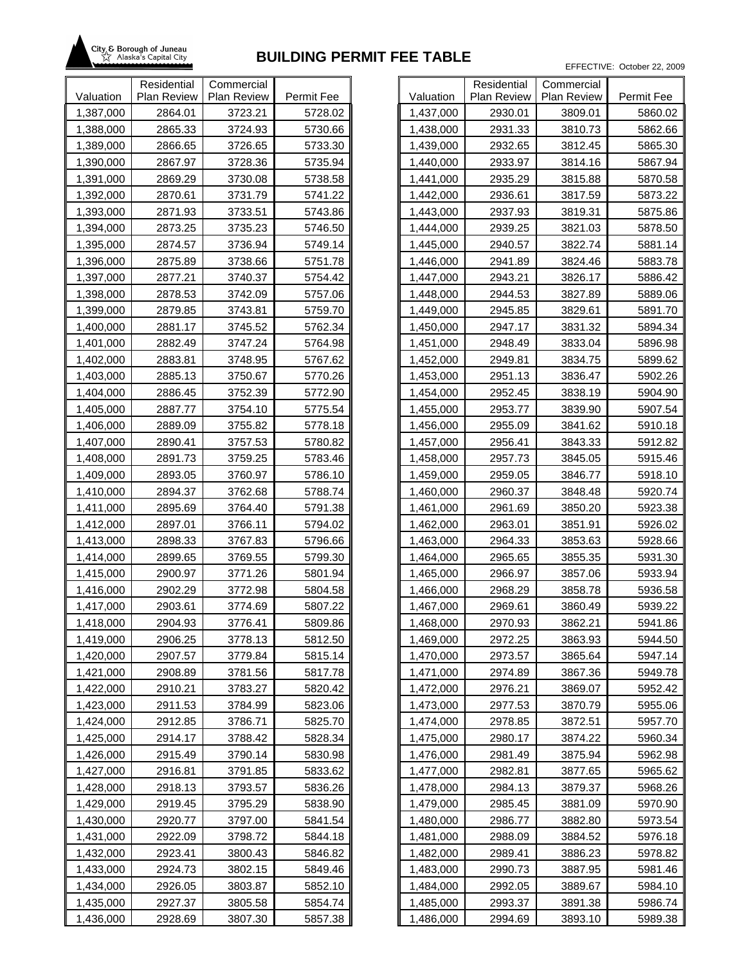

|           | Residential | Commercial  |            |           |
|-----------|-------------|-------------|------------|-----------|
| Valuation | Plan Review | Plan Review | Permit Fee | Valuation |
| 1,387,000 | 2864.01     | 3723.21     | 5728.02    | 1,437,000 |
| 1,388,000 | 2865.33     | 3724.93     | 5730.66    | 1,438,000 |
| 1,389,000 | 2866.65     | 3726.65     | 5733.30    | 1,439,000 |
| 1,390,000 | 2867.97     | 3728.36     | 5735.94    | 1,440,000 |
| 1,391,000 | 2869.29     | 3730.08     | 5738.58    | 1,441,000 |
| 1,392,000 | 2870.61     | 3731.79     | 5741.22    | 1,442,000 |
| 1,393,000 | 2871.93     | 3733.51     | 5743.86    | 1,443,000 |
| 1,394,000 | 2873.25     | 3735.23     | 5746.50    | 1,444,000 |
| 1,395,000 | 2874.57     | 3736.94     | 5749.14    | 1,445,000 |
| 1,396,000 | 2875.89     | 3738.66     | 5751.78    | 1,446,000 |
| 1,397,000 | 2877.21     | 3740.37     | 5754.42    | 1,447,000 |
| 1,398,000 | 2878.53     | 3742.09     | 5757.06    | 1,448,000 |
| 1,399,000 | 2879.85     | 3743.81     | 5759.70    | 1,449,000 |
| 1,400,000 | 2881.17     | 3745.52     | 5762.34    | 1,450,000 |
| 1,401,000 | 2882.49     | 3747.24     | 5764.98    | 1,451,000 |
| 1,402,000 | 2883.81     | 3748.95     | 5767.62    | 1,452,000 |
| 1,403,000 | 2885.13     | 3750.67     | 5770.26    | 1,453,000 |
| 1,404,000 | 2886.45     | 3752.39     | 5772.90    | 1,454,000 |
| 1,405,000 | 2887.77     | 3754.10     | 5775.54    | 1,455,000 |
| 1,406,000 | 2889.09     | 3755.82     | 5778.18    | 1,456,000 |
| 1,407,000 | 2890.41     | 3757.53     | 5780.82    | 1,457,000 |
| 1,408,000 | 2891.73     | 3759.25     | 5783.46    | 1,458,000 |
| 1,409,000 | 2893.05     | 3760.97     | 5786.10    | 1,459,000 |
| 1,410,000 | 2894.37     | 3762.68     | 5788.74    | 1,460,000 |
| 1,411,000 | 2895.69     | 3764.40     | 5791.38    | 1,461,000 |
| 1,412,000 | 2897.01     | 3766.11     | 5794.02    | 1,462,000 |
| 1,413,000 | 2898.33     | 3767.83     | 5796.66    | 1,463,000 |
| 1,414,000 | 2899.65     | 3769.55     | 5799.30    | 1,464,000 |
| 1,415,000 | 2900.97     | 3771.26     | 5801.94    | 1,465,000 |
| 1,416,000 | 2902.29     | 3772.98     | 5804.58    | 1,466,000 |
| 1,417,000 | 2903.61     | 3774.69     | 5807.22    | 1,467,000 |
| 1,418,000 | 2904.93     | 3776.41     | 5809.86    | 1,468,000 |
| 1,419,000 | 2906.25     | 3778.13     | 5812.50    | 1,469,000 |
| 1,420,000 | 2907.57     | 3779.84     | 5815.14    | 1,470,000 |
| 1,421,000 | 2908.89     | 3781.56     | 5817.78    | 1,471,000 |
| 1,422,000 | 2910.21     | 3783.27     | 5820.42    | 1,472,000 |
| 1,423,000 | 2911.53     | 3784.99     | 5823.06    | 1,473,000 |
| 1,424,000 | 2912.85     | 3786.71     | 5825.70    | 1,474,000 |
| 1,425,000 | 2914.17     | 3788.42     | 5828.34    | 1,475,000 |
| 1,426,000 | 2915.49     | 3790.14     | 5830.98    | 1,476,000 |
| 1,427,000 | 2916.81     | 3791.85     | 5833.62    | 1,477,000 |
| 1,428,000 | 2918.13     | 3793.57     | 5836.26    | 1,478,000 |
| 1,429,000 | 2919.45     | 3795.29     | 5838.90    | 1,479,000 |
| 1,430,000 | 2920.77     | 3797.00     | 5841.54    | 1,480,000 |
| 1,431,000 | 2922.09     | 3798.72     | 5844.18    | 1,481,000 |
| 1,432,000 | 2923.41     | 3800.43     | 5846.82    | 1,482,000 |
| 1,433,000 | 2924.73     | 3802.15     | 5849.46    | 1,483,000 |
| 1,434,000 | 2926.05     | 3803.87     | 5852.10    | 1,484,000 |
| 1,435,000 | 2927.37     | 3805.58     | 5854.74    | 1,485,000 |
| 1,436,000 | 2928.69     | 3807.30     | 5857.38    | 1,486,000 |

|           | Residential | Commercial  |            |
|-----------|-------------|-------------|------------|
| Valuation | Plan Review | Plan Review | Permit Fee |
| 1,437,000 | 2930.01     | 3809.01     | 5860.02    |
| 1,438,000 | 2931.33     | 3810.73     | 5862.66    |
| 1,439,000 | 2932.65     | 3812.45     | 5865.30    |
| 1,440,000 | 2933.97     | 3814.16     | 5867.94    |
| 1,441,000 | 2935.29     | 3815.88     | 5870.58    |
| 1,442,000 | 2936.61     | 3817.59     | 5873.22    |
| 1,443,000 | 2937.93     | 3819.31     | 5875.86    |
| 1,444,000 | 2939.25     | 3821.03     | 5878.50    |
| 1,445,000 | 2940.57     | 3822.74     | 5881.14    |
| 1,446,000 | 2941.89     | 3824.46     | 5883.78    |
| 1,447,000 | 2943.21     | 3826.17     | 5886.42    |
| 1,448,000 | 2944.53     | 3827.89     | 5889.06    |
| 1,449,000 | 2945.85     | 3829.61     | 5891.70    |
| 1,450,000 | 2947.17     | 3831.32     | 5894.34    |
| 1,451,000 | 2948.49     | 3833.04     | 5896.98    |
| 1,452,000 | 2949.81     | 3834.75     | 5899.62    |
| 1,453,000 | 2951.13     | 3836.47     | 5902.26    |
| 1,454,000 | 2952.45     | 3838.19     | 5904.90    |
| 1,455,000 | 2953.77     | 3839.90     | 5907.54    |
| 1,456,000 | 2955.09     | 3841.62     | 5910.18    |
| 1,457,000 | 2956.41     | 3843.33     | 5912.82    |
| 1,458,000 | 2957.73     | 3845.05     | 5915.46    |
| 1,459,000 | 2959.05     | 3846.77     | 5918.10    |
| 1,460,000 | 2960.37     | 3848.48     | 5920.74    |
| 1,461,000 | 2961.69     | 3850.20     | 5923.38    |
| 1,462,000 | 2963.01     | 3851.91     | 5926.02    |
| 1,463,000 | 2964.33     | 3853.63     | 5928.66    |
| 1,464,000 | 2965.65     | 3855.35     | 5931.30    |
| 1,465,000 | 2966.97     | 3857.06     | 5933.94    |
| 1,466,000 | 2968.29     | 3858.78     | 5936.58    |
| 1,467,000 | 2969.61     | 3860.49     | 5939.22    |
| 1,468,000 | 2970.93     | 3862.21     | 5941.86    |
| 1,469,000 | 2972.25     | 3863.93     | 5944.50    |
| 1,470,000 | 2973.57     | 3865.64     | 5947.14    |
| 1,471,000 | 2974.89     | 3867.36     | 5949.78    |
| 1,472,000 | 2976.21     | 3869.07     | 5952.42    |
| 1,473,000 | 2977.53     | 3870.79     | 5955.06    |
| 1,474,000 | 2978.85     | 3872.51     | 5957.70    |
| 1,475,000 | 2980.17     | 3874.22     | 5960.34    |
| 1,476,000 | 2981.49     | 3875.94     | 5962.98    |
| 1,477,000 | 2982.81     | 3877.65     | 5965.62    |
| 1,478,000 | 2984.13     | 3879.37     | 5968.26    |
| 1,479,000 | 2985.45     | 3881.09     | 5970.90    |
| 1,480,000 | 2986.77     | 3882.80     | 5973.54    |
| 1,481,000 | 2988.09     | 3884.52     | 5976.18    |
| 1,482,000 | 2989.41     | 3886.23     | 5978.82    |
| 1,483,000 | 2990.73     | 3887.95     | 5981.46    |
| 1,484,000 | 2992.05     | 3889.67     | 5984.10    |
| 1,485,000 | 2993.37     | 3891.38     | 5986.74    |
| 1,486,000 | 2994.69     | 3893.10     | 5989.38    |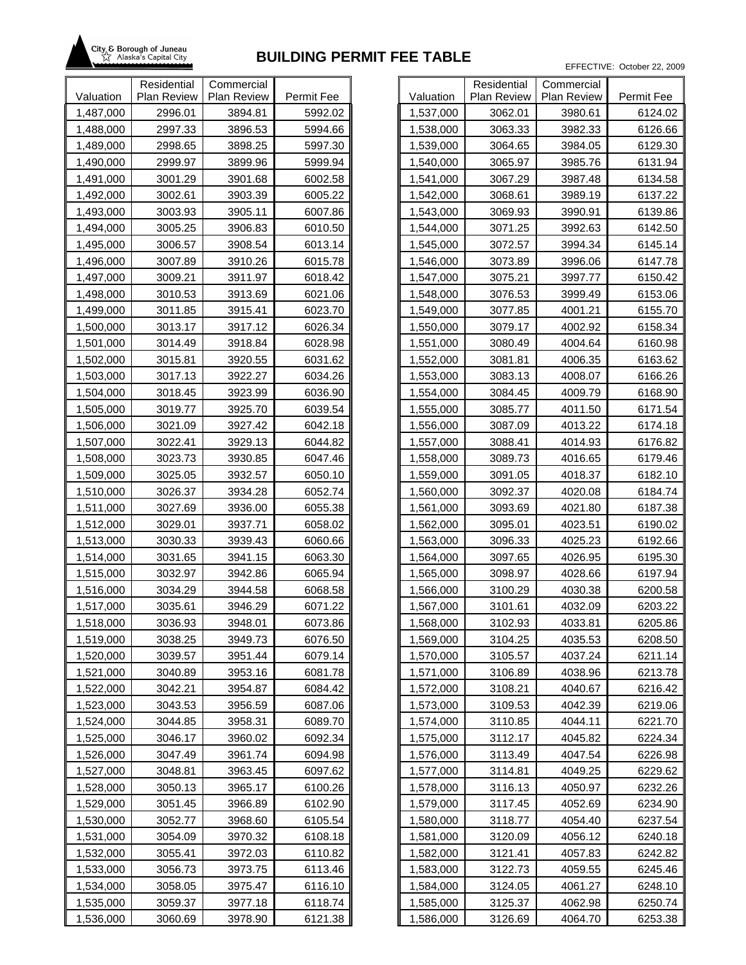

|           | Residential | Commercial  |            |           |
|-----------|-------------|-------------|------------|-----------|
| Valuation | Plan Review | Plan Review | Permit Fee | Valuation |
| 1,487,000 | 2996.01     | 3894.81     | 5992.02    | 1,537,000 |
| 1,488,000 | 2997.33     | 3896.53     | 5994.66    | 1,538,000 |
| 1,489,000 | 2998.65     | 3898.25     | 5997.30    | 1,539,000 |
| 1,490,000 | 2999.97     | 3899.96     | 5999.94    | 1,540,000 |
| 1,491,000 | 3001.29     | 3901.68     | 6002.58    | 1,541,000 |
| 1,492,000 | 3002.61     | 3903.39     | 6005.22    | 1,542,000 |
| 1,493,000 | 3003.93     | 3905.11     | 6007.86    | 1,543,000 |
| 1,494,000 | 3005.25     | 3906.83     | 6010.50    | 1,544,000 |
| 1,495,000 | 3006.57     | 3908.54     | 6013.14    | 1,545,000 |
| 1,496,000 | 3007.89     | 3910.26     | 6015.78    | 1,546,000 |
| 1,497,000 | 3009.21     | 3911.97     | 6018.42    | 1,547,000 |
| 1,498,000 | 3010.53     | 3913.69     | 6021.06    | 1,548,000 |
| 1,499,000 | 3011.85     | 3915.41     | 6023.70    | 1,549,000 |
| 1,500,000 | 3013.17     | 3917.12     | 6026.34    | 1,550,000 |
| 1,501,000 | 3014.49     | 3918.84     | 6028.98    | 1,551,000 |
| 1,502,000 | 3015.81     | 3920.55     | 6031.62    | 1,552,000 |
| 1,503,000 | 3017.13     | 3922.27     | 6034.26    | 1,553,000 |
| 1,504,000 | 3018.45     | 3923.99     | 6036.90    | 1,554,000 |
| 1,505,000 | 3019.77     | 3925.70     | 6039.54    | 1,555,000 |
| 1,506,000 | 3021.09     | 3927.42     | 6042.18    | 1,556,000 |
| 1,507,000 | 3022.41     | 3929.13     | 6044.82    | 1,557,000 |
| 1,508,000 | 3023.73     | 3930.85     | 6047.46    | 1,558,000 |
| 1,509,000 | 3025.05     | 3932.57     | 6050.10    | 1,559,000 |
| 1,510,000 | 3026.37     | 3934.28     | 6052.74    | 1,560,000 |
| 1,511,000 | 3027.69     | 3936.00     | 6055.38    | 1,561,000 |
| 1,512,000 | 3029.01     | 3937.71     | 6058.02    | 1,562,000 |
| 1,513,000 | 3030.33     | 3939.43     | 6060.66    | 1,563,000 |
| 1,514,000 | 3031.65     | 3941.15     | 6063.30    | 1,564,000 |
| 1,515,000 | 3032.97     | 3942.86     | 6065.94    | 1,565,000 |
| 1,516,000 | 3034.29     | 3944.58     | 6068.58    | 1,566,000 |
| 1,517,000 | 3035.61     | 3946.29     | 6071.22    | 1,567,000 |
| 1,518,000 | 3036.93     | 3948.01     | 6073.86    | 1,568,000 |
| 1,519,000 | 3038.25     | 3949.73     | 6076.50    | 1,569,000 |
| 1,520,000 | 3039.57     | 3951.44     | 6079.14    | 1,570,000 |
| 1,521,000 | 3040.89     | 3953.16     | 6081.78    | 1,571,000 |
| 1,522,000 | 3042.21     | 3954.87     | 6084.42    | 1,572,000 |
| 1,523,000 | 3043.53     | 3956.59     | 6087.06    | 1,573,000 |
| 1,524,000 | 3044.85     | 3958.31     | 6089.70    | 1,574,000 |
| 1,525,000 | 3046.17     | 3960.02     | 6092.34    | 1,575,000 |
| 1,526,000 | 3047.49     | 3961.74     | 6094.98    | 1,576,000 |
| 1,527,000 | 3048.81     | 3963.45     | 6097.62    | 1,577,000 |
| 1,528,000 | 3050.13     | 3965.17     | 6100.26    | 1,578,000 |
| 1,529,000 | 3051.45     | 3966.89     | 6102.90    | 1,579,000 |
| 1,530,000 | 3052.77     | 3968.60     | 6105.54    | 1,580,000 |
| 1,531,000 | 3054.09     | 3970.32     | 6108.18    | 1,581,000 |
| 1,532,000 | 3055.41     | 3972.03     | 6110.82    | 1,582,000 |
| 1,533,000 | 3056.73     | 3973.75     | 6113.46    | 1,583,000 |
| 1,534,000 | 3058.05     | 3975.47     | 6116.10    | 1,584,000 |
| 1,535,000 | 3059.37     | 3977.18     | 6118.74    | 1,585,000 |
| 1,536,000 | 3060.69     | 3978.90     | 6121.38    | 1,586,000 |

|           | Residential | Commercial  |            |
|-----------|-------------|-------------|------------|
| Valuation | Plan Review | Plan Review | Permit Fee |
| 1,537,000 | 3062.01     | 3980.61     | 6124.02    |
| 1,538,000 | 3063.33     | 3982.33     | 6126.66    |
| 1,539,000 | 3064.65     | 3984.05     | 6129.30    |
| 1,540,000 | 3065.97     | 3985.76     | 6131.94    |
| 1,541,000 | 3067.29     | 3987.48     | 6134.58    |
| 1,542,000 | 3068.61     | 3989.19     | 6137.22    |
| 1,543,000 | 3069.93     | 3990.91     | 6139.86    |
| 1,544,000 | 3071.25     | 3992.63     | 6142.50    |
| 1,545,000 | 3072.57     | 3994.34     | 6145.14    |
| 1,546,000 | 3073.89     | 3996.06     | 6147.78    |
| 1,547,000 | 3075.21     | 3997.77     | 6150.42    |
| 1,548,000 | 3076.53     | 3999.49     | 6153.06    |
| 1,549,000 | 3077.85     | 4001.21     | 6155.70    |
| 1,550,000 | 3079.17     | 4002.92     | 6158.34    |
| 1,551,000 | 3080.49     | 4004.64     | 6160.98    |
| 1,552,000 | 3081.81     | 4006.35     | 6163.62    |
| 1,553,000 | 3083.13     | 4008.07     | 6166.26    |
| 1,554,000 | 3084.45     | 4009.79     | 6168.90    |
| 1,555,000 | 3085.77     | 4011.50     | 6171.54    |
| 1,556,000 | 3087.09     | 4013.22     | 6174.18    |
| 1,557,000 | 3088.41     | 4014.93     | 6176.82    |
| 1,558,000 | 3089.73     | 4016.65     | 6179.46    |
| 1,559,000 | 3091.05     | 4018.37     | 6182.10    |
| 1,560,000 | 3092.37     | 4020.08     | 6184.74    |
| 1,561,000 | 3093.69     | 4021.80     | 6187.38    |
| 1,562,000 | 3095.01     | 4023.51     | 6190.02    |
| 1,563,000 | 3096.33     | 4025.23     | 6192.66    |
| 1,564,000 | 3097.65     | 4026.95     | 6195.30    |
| 1,565,000 | 3098.97     | 4028.66     | 6197.94    |
| 1,566,000 | 3100.29     | 4030.38     | 6200.58    |
| 1,567,000 | 3101.61     | 4032.09     | 6203.22    |
| 1,568,000 | 3102.93     | 4033.81     | 6205.86    |
| 1,569,000 | 3104.25     | 4035.53     | 6208.50    |
| 1,570,000 | 3105.57     | 4037.24     | 6211.14    |
| 1,571,000 | 3106.89     | 4038.96     | 6213.78    |
| 1,572,000 | 3108.21     | 4040.67     | 6216.42    |
| 1,573,000 | 3109.53     | 4042.39     | 6219.06    |
| 1,574,000 | 3110.85     | 4044.11     | 6221.70    |
| 1,575,000 | 3112.17     | 4045.82     | 6224.34    |
| 1,576,000 | 3113.49     | 4047.54     | 6226.98    |
| 1,577,000 | 3114.81     | 4049.25     | 6229.62    |
| 1,578,000 | 3116.13     | 4050.97     | 6232.26    |
| 1,579,000 | 3117.45     | 4052.69     | 6234.90    |
| 1,580,000 | 3118.77     | 4054.40     | 6237.54    |
| 1,581,000 | 3120.09     | 4056.12     | 6240.18    |
| 1,582,000 | 3121.41     | 4057.83     | 6242.82    |
| 1,583,000 | 3122.73     | 4059.55     | 6245.46    |
| 1,584,000 | 3124.05     | 4061.27     | 6248.10    |
| 1,585,000 | 3125.37     | 4062.98     | 6250.74    |
| 1,586,000 | 3126.69     | 4064.70     | 6253.38    |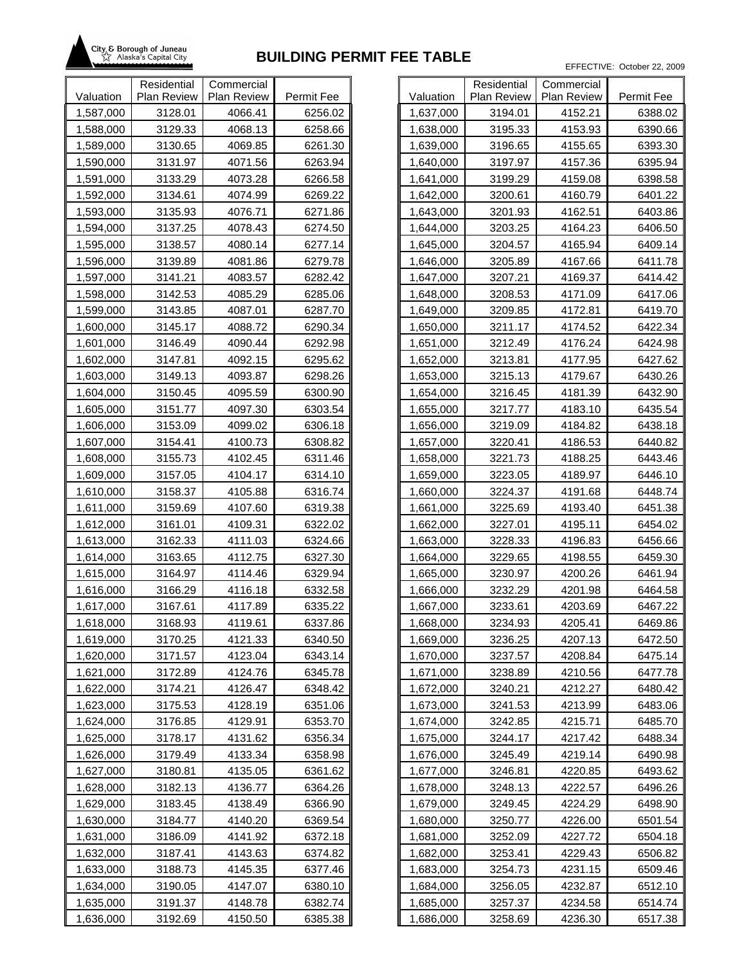

|           | Residential | Commercial  |            |           |
|-----------|-------------|-------------|------------|-----------|
| Valuation | Plan Review | Plan Review | Permit Fee | Valuation |
| 1,587,000 | 3128.01     | 4066.41     | 6256.02    | 1,637,000 |
| 1,588,000 | 3129.33     | 4068.13     | 6258.66    | 1,638,000 |
| 1,589,000 | 3130.65     | 4069.85     | 6261.30    | 1,639,000 |
| 1,590,000 | 3131.97     | 4071.56     | 6263.94    | 1,640,000 |
| 1,591,000 | 3133.29     | 4073.28     | 6266.58    | 1,641,000 |
| 1,592,000 | 3134.61     | 4074.99     | 6269.22    | 1,642,000 |
| 1,593,000 | 3135.93     | 4076.71     | 6271.86    | 1,643,000 |
| 1,594,000 | 3137.25     | 4078.43     | 6274.50    | 1,644,000 |
| 1,595,000 | 3138.57     | 4080.14     | 6277.14    | 1,645,000 |
| 1,596,000 | 3139.89     | 4081.86     | 6279.78    | 1,646,000 |
| 1,597,000 | 3141.21     | 4083.57     | 6282.42    | 1,647,000 |
| 1,598,000 | 3142.53     | 4085.29     | 6285.06    | 1,648,000 |
| 1,599,000 | 3143.85     | 4087.01     | 6287.70    | 1,649,000 |
| 1,600,000 | 3145.17     | 4088.72     | 6290.34    | 1,650,000 |
| 1,601,000 | 3146.49     | 4090.44     | 6292.98    | 1,651,000 |
| 1,602,000 | 3147.81     | 4092.15     | 6295.62    | 1,652,000 |
| 1,603,000 | 3149.13     | 4093.87     | 6298.26    | 1,653,000 |
| 1,604,000 | 3150.45     | 4095.59     | 6300.90    | 1,654,000 |
| 1,605,000 | 3151.77     | 4097.30     | 6303.54    | 1,655,000 |
| 1,606,000 | 3153.09     | 4099.02     | 6306.18    | 1,656,000 |
| 1,607,000 | 3154.41     | 4100.73     | 6308.82    | 1,657,000 |
| 1,608,000 | 3155.73     | 4102.45     | 6311.46    | 1,658,000 |
| 1,609,000 | 3157.05     | 4104.17     | 6314.10    | 1,659,000 |
| 1,610,000 | 3158.37     | 4105.88     | 6316.74    | 1,660,000 |
| 1,611,000 | 3159.69     | 4107.60     | 6319.38    | 1,661,000 |
| 1,612,000 | 3161.01     | 4109.31     | 6322.02    | 1,662,000 |
| 1,613,000 | 3162.33     | 4111.03     | 6324.66    | 1,663,000 |
| 1,614,000 | 3163.65     | 4112.75     | 6327.30    | 1,664,000 |
| 1,615,000 | 3164.97     | 4114.46     | 6329.94    | 1,665,000 |
| 1,616,000 | 3166.29     | 4116.18     | 6332.58    | 1,666,000 |
| 1,617,000 | 3167.61     | 4117.89     | 6335.22    | 1,667,000 |
| 1,618,000 | 3168.93     | 4119.61     | 6337.86    | 1,668,000 |
| 1,619,000 | 3170.25     | 4121.33     | 6340.50    | 1,669,000 |
| 1,620,000 | 3171.57     | 4123.04     | 6343.14    | 1,670,000 |
| 1,621,000 | 3172.89     | 4124.76     | 6345.78    | 1,671,000 |
| 1,622,000 | 3174.21     | 4126.47     | 6348.42    | 1,672,000 |
| 1,623,000 | 3175.53     | 4128.19     | 6351.06    | 1,673,000 |
| 1,624,000 | 3176.85     | 4129.91     | 6353.70    | 1,674,000 |
| 1,625,000 | 3178.17     | 4131.62     | 6356.34    | 1,675,000 |
| 1,626,000 | 3179.49     | 4133.34     | 6358.98    | 1,676,000 |
| 1,627,000 | 3180.81     | 4135.05     | 6361.62    | 1,677,000 |
| 1,628,000 | 3182.13     | 4136.77     | 6364.26    | 1,678,000 |
| 1,629,000 | 3183.45     | 4138.49     | 6366.90    | 1,679,000 |
| 1,630,000 | 3184.77     | 4140.20     | 6369.54    | 1,680,000 |
| 1,631,000 | 3186.09     | 4141.92     | 6372.18    | 1,681,000 |
| 1,632,000 | 3187.41     | 4143.63     | 6374.82    | 1,682,000 |
| 1,633,000 | 3188.73     | 4145.35     | 6377.46    | 1,683,000 |
| 1,634,000 | 3190.05     | 4147.07     | 6380.10    | 1,684,000 |
| 1,635,000 | 3191.37     | 4148.78     | 6382.74    | 1,685,000 |
| 1,636,000 | 3192.69     | 4150.50     | 6385.38    | 1,686,000 |

|           | Residential        | Commercial  |            |
|-----------|--------------------|-------------|------------|
| Valuation | <b>Plan Review</b> | Plan Review | Permit Fee |
| 1,637,000 | 3194.01            | 4152.21     | 6388.02    |
| 1,638,000 | 3195.33            | 4153.93     | 6390.66    |
| 1,639,000 | 3196.65            | 4155.65     | 6393.30    |
| 1,640,000 | 3197.97            | 4157.36     | 6395.94    |
| 1,641,000 | 3199.29            | 4159.08     | 6398.58    |
| 1,642,000 | 3200.61            | 4160.79     | 6401.22    |
| 1,643,000 | 3201.93            | 4162.51     | 6403.86    |
| 1,644,000 | 3203.25            | 4164.23     | 6406.50    |
| 1,645,000 | 3204.57            | 4165.94     | 6409.14    |
| 1,646,000 | 3205.89            | 4167.66     | 6411.78    |
| 1,647,000 | 3207.21            | 4169.37     | 6414.42    |
| 1,648,000 | 3208.53            | 4171.09     | 6417.06    |
| 1,649,000 | 3209.85            | 4172.81     | 6419.70    |
| 1,650,000 | 3211.17            | 4174.52     | 6422.34    |
| 1,651,000 | 3212.49            | 4176.24     | 6424.98    |
| 1,652,000 | 3213.81            | 4177.95     | 6427.62    |
| 1,653,000 | 3215.13            | 4179.67     | 6430.26    |
| 1,654,000 | 3216.45            | 4181.39     | 6432.90    |
| 1,655,000 | 3217.77            | 4183.10     | 6435.54    |
| 1,656,000 | 3219.09            | 4184.82     | 6438.18    |
| 1,657,000 | 3220.41            | 4186.53     | 6440.82    |
| 1,658,000 | 3221.73            | 4188.25     | 6443.46    |
| 1,659,000 | 3223.05            | 4189.97     | 6446.10    |
| 1,660,000 | 3224.37            | 4191.68     | 6448.74    |
| 1,661,000 | 3225.69            | 4193.40     | 6451.38    |
| 1,662,000 | 3227.01            | 4195.11     | 6454.02    |
| 1,663,000 | 3228.33            | 4196.83     | 6456.66    |
| 1,664,000 | 3229.65            | 4198.55     | 6459.30    |
| 1,665,000 | 3230.97            | 4200.26     | 6461.94    |
| 1,666,000 | 3232.29            | 4201.98     | 6464.58    |
| 1,667,000 | 3233.61            | 4203.69     | 6467.22    |
| 1,668,000 | 3234.93            | 4205.41     | 6469.86    |
| 1,669,000 | 3236.25            | 4207.13     | 6472.50    |
| 1,670,000 | 3237.57            | 4208.84     | 6475.14    |
| 1,671,000 | 3238.89            | 4210.56     | 6477.78    |
| 1,672,000 | 3240.21            | 4212.27     | 6480.42    |
| 1,673,000 | 3241.53            | 4213.99     | 6483.06    |
| 1,674,000 | 3242.85            | 4215.71     | 6485.70    |
| 1,675,000 | 3244.17            | 4217.42     | 6488.34    |
| 1,676,000 | 3245.49            | 4219.14     | 6490.98    |
| 1,677,000 | 3246.81            | 4220.85     | 6493.62    |
| 1,678,000 | 3248.13            | 4222.57     | 6496.26    |
| 1,679,000 | 3249.45            | 4224.29     | 6498.90    |
| 1,680,000 | 3250.77            | 4226.00     | 6501.54    |
| 1,681,000 | 3252.09            | 4227.72     | 6504.18    |
| 1,682,000 | 3253.41            | 4229.43     | 6506.82    |
| 1,683,000 | 3254.73            | 4231.15     | 6509.46    |
| 1,684,000 | 3256.05            | 4232.87     | 6512.10    |
| 1,685,000 | 3257.37            | 4234.58     | 6514.74    |
| 1,686,000 | 3258.69            | 4236.30     | 6517.38    |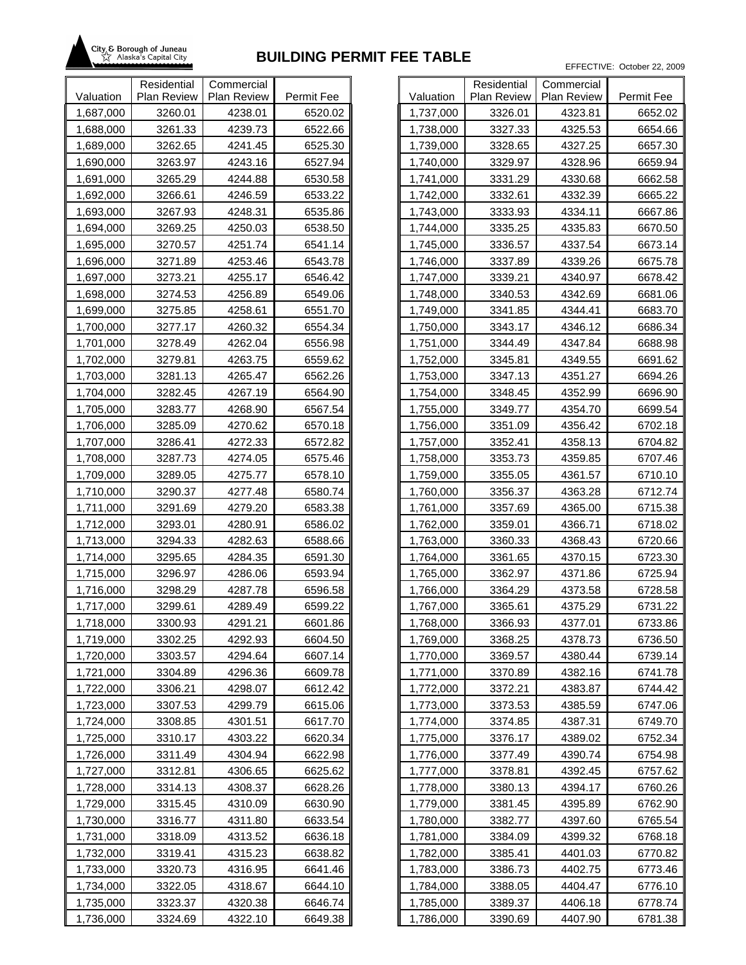

|           | Residential        | Commercial  |            |           |
|-----------|--------------------|-------------|------------|-----------|
| Valuation | <b>Plan Review</b> | Plan Review | Permit Fee | Valuation |
| 1,687,000 | 3260.01            | 4238.01     | 6520.02    | 1,737,000 |
| 1,688,000 | 3261.33            | 4239.73     | 6522.66    | 1,738,000 |
| 1,689,000 | 3262.65            | 4241.45     | 6525.30    | 1,739,000 |
| 1,690,000 | 3263.97            | 4243.16     | 6527.94    | 1,740,000 |
| 1,691,000 | 3265.29            | 4244.88     | 6530.58    | 1,741,000 |
| 1,692,000 | 3266.61            | 4246.59     | 6533.22    | 1,742,000 |
| 1,693,000 | 3267.93            | 4248.31     | 6535.86    | 1,743,000 |
| 1,694,000 | 3269.25            | 4250.03     | 6538.50    | 1,744,000 |
| 1,695,000 | 3270.57            | 4251.74     | 6541.14    | 1,745,000 |
| 1,696,000 | 3271.89            | 4253.46     | 6543.78    | 1,746,000 |
| 1,697,000 | 3273.21            | 4255.17     | 6546.42    | 1,747,000 |
| 1,698,000 | 3274.53            | 4256.89     | 6549.06    | 1,748,000 |
| 1,699,000 | 3275.85            | 4258.61     | 6551.70    | 1,749,000 |
| 1,700,000 | 3277.17            | 4260.32     | 6554.34    | 1,750,000 |
| 1,701,000 | 3278.49            | 4262.04     | 6556.98    | 1,751,000 |
| 1,702,000 | 3279.81            | 4263.75     | 6559.62    | 1,752,000 |
| 1,703,000 | 3281.13            | 4265.47     | 6562.26    | 1,753,000 |
| 1,704,000 | 3282.45            | 4267.19     | 6564.90    | 1,754,000 |
| 1,705,000 | 3283.77            | 4268.90     | 6567.54    | 1,755,000 |
| 1,706,000 | 3285.09            | 4270.62     | 6570.18    | 1,756,000 |
| 1,707,000 | 3286.41            | 4272.33     | 6572.82    | 1,757,000 |
| 1,708,000 | 3287.73            | 4274.05     | 6575.46    | 1,758,000 |
| 1,709,000 | 3289.05            | 4275.77     | 6578.10    | 1,759,000 |
| 1,710,000 | 3290.37            | 4277.48     | 6580.74    | 1,760,000 |
| 1,711,000 | 3291.69            | 4279.20     | 6583.38    | 1,761,000 |
| 1,712,000 | 3293.01            | 4280.91     | 6586.02    | 1,762,000 |
| 1,713,000 | 3294.33            | 4282.63     | 6588.66    | 1,763,000 |
| 1,714,000 | 3295.65            | 4284.35     | 6591.30    | 1,764,000 |
| 1,715,000 | 3296.97            | 4286.06     | 6593.94    | 1,765,000 |
| 1,716,000 | 3298.29            | 4287.78     | 6596.58    | 1,766,000 |
| 1,717,000 | 3299.61            | 4289.49     | 6599.22    | 1,767,000 |
| 1,718,000 | 3300.93            | 4291.21     | 6601.86    | 1,768,000 |
| 1,719,000 | 3302.25            | 4292.93     | 6604.50    | 1,769,000 |
| 1,720,000 | 3303.57            | 4294.64     | 6607.14    | 1,770,000 |
| 1,721,000 | 3304.89            | 4296.36     | 6609.78    | 1,771,000 |
| 1,722,000 | 3306.21            | 4298.07     | 6612.42    | 1,772,000 |
| 1,723,000 | 3307.53            | 4299.79     | 6615.06    | 1,773,000 |
| 1,724,000 | 3308.85            | 4301.51     | 6617.70    | 1,774,000 |
| 1,725,000 | 3310.17            | 4303.22     | 6620.34    | 1,775,000 |
| 1,726,000 | 3311.49            | 4304.94     | 6622.98    | 1,776,000 |
| 1,727,000 | 3312.81            | 4306.65     | 6625.62    | 1,777,000 |
| 1,728,000 | 3314.13            | 4308.37     | 6628.26    | 1,778,000 |
| 1,729,000 | 3315.45            | 4310.09     | 6630.90    | 1,779,000 |
| 1,730,000 | 3316.77            | 4311.80     | 6633.54    | 1,780,000 |
| 1,731,000 | 3318.09            | 4313.52     | 6636.18    | 1,781,000 |
| 1,732,000 | 3319.41            | 4315.23     | 6638.82    | 1,782,000 |
| 1,733,000 | 3320.73            | 4316.95     | 6641.46    | 1,783,000 |
| 1,734,000 | 3322.05            | 4318.67     | 6644.10    | 1,784,000 |
| 1,735,000 | 3323.37            | 4320.38     | 6646.74    | 1,785,000 |
| 1,736,000 | 3324.69            | 4322.10     | 6649.38    | 1,786,000 |

|           | Residential        | Commercial  |            |
|-----------|--------------------|-------------|------------|
| Valuation | <b>Plan Review</b> | Plan Review | Permit Fee |
| 1,737,000 | 3326.01            | 4323.81     | 6652.02    |
| 1,738,000 | 3327.33            | 4325.53     | 6654.66    |
| 1,739,000 | 3328.65            | 4327.25     | 6657.30    |
| 1,740,000 | 3329.97            | 4328.96     | 6659.94    |
| 1,741,000 | 3331.29            | 4330.68     | 6662.58    |
| 1,742,000 | 3332.61            | 4332.39     | 6665.22    |
| 1,743,000 | 3333.93            | 4334.11     | 6667.86    |
| 1,744,000 | 3335.25            | 4335.83     | 6670.50    |
| 1,745,000 | 3336.57            | 4337.54     | 6673.14    |
| 1,746,000 | 3337.89            | 4339.26     | 6675.78    |
| 1,747,000 | 3339.21            | 4340.97     | 6678.42    |
| 1,748,000 | 3340.53            | 4342.69     | 6681.06    |
| 1,749,000 | 3341.85            | 4344.41     | 6683.70    |
| 1,750,000 | 3343.17            | 4346.12     | 6686.34    |
| 1,751,000 | 3344.49            | 4347.84     | 6688.98    |
| 1,752,000 | 3345.81            | 4349.55     | 6691.62    |
| 1,753,000 | 3347.13            | 4351.27     | 6694.26    |
| 1,754,000 | 3348.45            | 4352.99     | 6696.90    |
| 1,755,000 | 3349.77            | 4354.70     | 6699.54    |
| 1,756,000 | 3351.09            | 4356.42     | 6702.18    |
| 1,757,000 | 3352.41            | 4358.13     | 6704.82    |
| 1,758,000 | 3353.73            | 4359.85     | 6707.46    |
| 1,759,000 | 3355.05            | 4361.57     | 6710.10    |
| 1,760,000 | 3356.37            | 4363.28     | 6712.74    |
| 1,761,000 | 3357.69            | 4365.00     | 6715.38    |
| 1,762,000 | 3359.01            | 4366.71     | 6718.02    |
| 1,763,000 | 3360.33            | 4368.43     | 6720.66    |
| 1,764,000 | 3361.65            | 4370.15     | 6723.30    |
| 1,765,000 | 3362.97            | 4371.86     | 6725.94    |
| 1,766,000 | 3364.29            | 4373.58     | 6728.58    |
| 1,767,000 | 3365.61            | 4375.29     | 6731.22    |
| 1,768,000 | 3366.93            | 4377.01     | 6733.86    |
| 1,769,000 | 3368.25            | 4378.73     | 6736.50    |
| 1,770,000 | 3369.57            | 4380.44     | 6739.14    |
| 1,771,000 | 3370.89            | 4382.16     | 6741.78    |
| 1,772,000 | 3372.21            | 4383.87     | 6744.42    |
| 1,773,000 | 3373.53            | 4385.59     | 6747.06    |
| 1,774,000 | 3374.85            | 4387.31     | 6749.70    |
| 1,775,000 | 3376.17            | 4389.02     | 6752.34    |
| 1,776,000 | 3377.49            | 4390.74     | 6754.98    |
| 1,777,000 | 3378.81            | 4392.45     | 6757.62    |
| 1,778,000 | 3380.13            | 4394.17     | 6760.26    |
| 1,779,000 | 3381.45            | 4395.89     | 6762.90    |
| 1,780,000 | 3382.77            | 4397.60     | 6765.54    |
| 1,781,000 | 3384.09            | 4399.32     | 6768.18    |
| 1,782,000 | 3385.41            | 4401.03     | 6770.82    |
| 1,783,000 | 3386.73            | 4402.75     | 6773.46    |
| 1,784,000 | 3388.05            | 4404.47     | 6776.10    |
| 1,785,000 | 3389.37            | 4406.18     | 6778.74    |
| 1,786,000 | 3390.69            | 4407.90     | 6781.38    |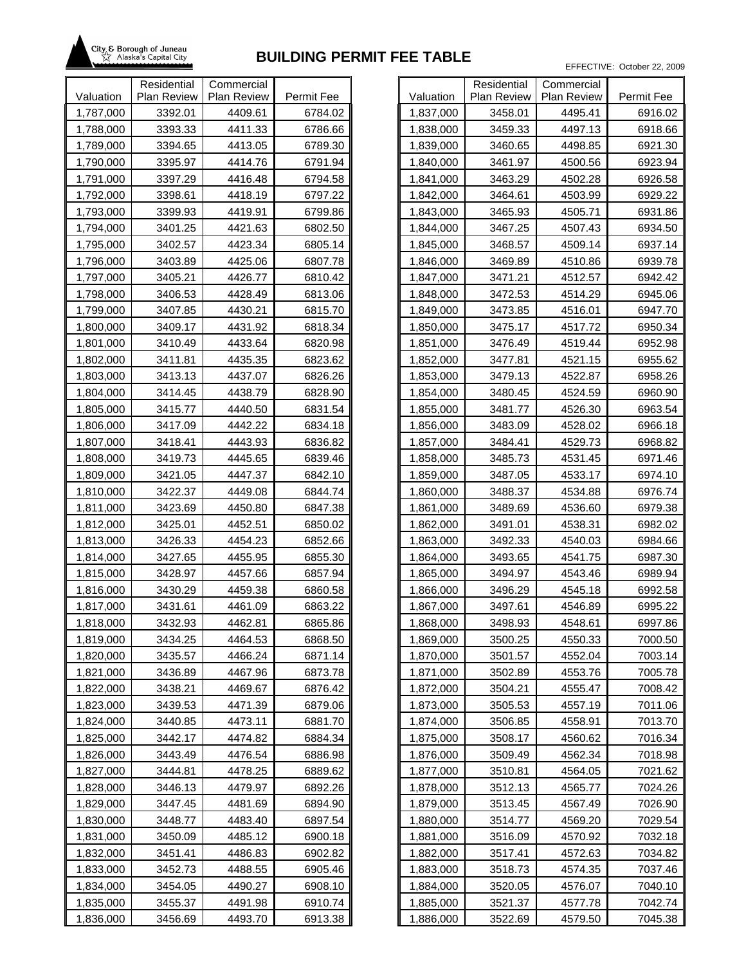

|           | Residential | Commercial  |            |           |
|-----------|-------------|-------------|------------|-----------|
| Valuation | Plan Review | Plan Review | Permit Fee | Valuation |
| 1,787,000 | 3392.01     | 4409.61     | 6784.02    | 1,837,000 |
| 1,788,000 | 3393.33     | 4411.33     | 6786.66    | 1,838,000 |
| 1,789,000 | 3394.65     | 4413.05     | 6789.30    | 1,839,000 |
| 1,790,000 | 3395.97     | 4414.76     | 6791.94    | 1,840,000 |
| 1,791,000 | 3397.29     | 4416.48     | 6794.58    | 1,841,000 |
| 1,792,000 | 3398.61     | 4418.19     | 6797.22    | 1,842,000 |
| 1,793,000 | 3399.93     | 4419.91     | 6799.86    | 1,843,000 |
| 1,794,000 | 3401.25     | 4421.63     | 6802.50    | 1,844,000 |
| 1,795,000 | 3402.57     | 4423.34     | 6805.14    | 1,845,000 |
| 1,796,000 | 3403.89     | 4425.06     | 6807.78    | 1,846,000 |
| 1,797,000 | 3405.21     | 4426.77     | 6810.42    | 1,847,000 |
| 1,798,000 | 3406.53     | 4428.49     | 6813.06    | 1,848,000 |
| 1,799,000 | 3407.85     | 4430.21     | 6815.70    | 1,849,000 |
| 1,800,000 | 3409.17     | 4431.92     | 6818.34    | 1,850,000 |
| 1,801,000 | 3410.49     | 4433.64     | 6820.98    | 1,851,000 |
| 1,802,000 | 3411.81     | 4435.35     | 6823.62    | 1,852,000 |
| 1,803,000 | 3413.13     | 4437.07     | 6826.26    | 1,853,000 |
| 1,804,000 | 3414.45     | 4438.79     | 6828.90    | 1,854,000 |
| 1,805,000 | 3415.77     | 4440.50     | 6831.54    | 1,855,000 |
| 1,806,000 | 3417.09     | 4442.22     | 6834.18    | 1,856,000 |
| 1,807,000 | 3418.41     | 4443.93     | 6836.82    | 1,857,000 |
| 1,808,000 | 3419.73     | 4445.65     | 6839.46    | 1,858,000 |
| 1,809,000 | 3421.05     | 4447.37     | 6842.10    | 1,859,000 |
| 1,810,000 | 3422.37     | 4449.08     | 6844.74    | 1,860,000 |
| 1,811,000 | 3423.69     | 4450.80     | 6847.38    | 1,861,000 |
| 1,812,000 | 3425.01     | 4452.51     | 6850.02    | 1,862,000 |
| 1,813,000 | 3426.33     | 4454.23     | 6852.66    | 1,863,000 |
| 1,814,000 | 3427.65     | 4455.95     | 6855.30    | 1,864,000 |
| 1,815,000 | 3428.97     | 4457.66     | 6857.94    | 1,865,000 |
| 1,816,000 | 3430.29     | 4459.38     | 6860.58    | 1,866,000 |
| 1,817,000 | 3431.61     | 4461.09     | 6863.22    | 1,867,000 |
| 1,818,000 | 3432.93     | 4462.81     | 6865.86    | 1,868,000 |
| 1,819,000 | 3434.25     | 4464.53     | 6868.50    | 1,869,000 |
| 1,820,000 | 3435.57     | 4466.24     | 6871.14    | 1,870,000 |
| 1,821,000 | 3436.89     | 4467.96     | 6873.78    | 1,871,000 |
| 1,822,000 | 3438.21     | 4469.67     | 6876.42    | 1,872,000 |
| 1,823,000 | 3439.53     | 4471.39     | 6879.06    | 1,873,000 |
| 1,824,000 | 3440.85     | 4473.11     | 6881.70    | 1,874,000 |
| 1,825,000 | 3442.17     | 4474.82     | 6884.34    | 1,875,000 |
| 1,826,000 | 3443.49     | 4476.54     | 6886.98    | 1,876,000 |
| 1,827,000 | 3444.81     | 4478.25     | 6889.62    | 1,877,000 |
| 1,828,000 | 3446.13     | 4479.97     | 6892.26    | 1,878,000 |
| 1,829,000 | 3447.45     | 4481.69     | 6894.90    | 1,879,000 |
| 1,830,000 | 3448.77     | 4483.40     | 6897.54    | 1,880,000 |
| 1,831,000 | 3450.09     | 4485.12     | 6900.18    | 1,881,000 |
| 1,832,000 | 3451.41     | 4486.83     | 6902.82    | 1,882,000 |
| 1,833,000 | 3452.73     | 4488.55     | 6905.46    | 1,883,000 |
| 1,834,000 | 3454.05     | 4490.27     | 6908.10    | 1,884,000 |
| 1,835,000 | 3455.37     | 4491.98     | 6910.74    | 1,885,000 |
| 1,836,000 | 3456.69     | 4493.70     | 6913.38    | 1,886,000 |

|           | Residential | Commercial  |            |
|-----------|-------------|-------------|------------|
| Valuation | Plan Review | Plan Review | Permit Fee |
| 1,837,000 | 3458.01     | 4495.41     | 6916.02    |
| 1,838,000 | 3459.33     | 4497.13     | 6918.66    |
| 1,839,000 | 3460.65     | 4498.85     | 6921.30    |
| 1,840,000 | 3461.97     | 4500.56     | 6923.94    |
| 1,841,000 | 3463.29     | 4502.28     | 6926.58    |
| 1,842,000 | 3464.61     | 4503.99     | 6929.22    |
| 1,843,000 | 3465.93     | 4505.71     | 6931.86    |
| 1,844,000 | 3467.25     | 4507.43     | 6934.50    |
| 1,845,000 | 3468.57     | 4509.14     | 6937.14    |
| 1,846,000 | 3469.89     | 4510.86     | 6939.78    |
| 1,847,000 | 3471.21     | 4512.57     | 6942.42    |
| 1,848,000 | 3472.53     | 4514.29     | 6945.06    |
| 1,849,000 | 3473.85     | 4516.01     | 6947.70    |
| 1,850,000 | 3475.17     | 4517.72     | 6950.34    |
| 1,851,000 | 3476.49     | 4519.44     | 6952.98    |
| 1,852,000 | 3477.81     | 4521.15     | 6955.62    |
| 1,853,000 | 3479.13     | 4522.87     | 6958.26    |
| 1,854,000 | 3480.45     | 4524.59     | 6960.90    |
| 1,855,000 | 3481.77     | 4526.30     | 6963.54    |
| 1,856,000 | 3483.09     | 4528.02     | 6966.18    |
| 1,857,000 | 3484.41     | 4529.73     | 6968.82    |
| 1,858,000 | 3485.73     | 4531.45     | 6971.46    |
| 1,859,000 | 3487.05     | 4533.17     | 6974.10    |
| 1,860,000 | 3488.37     | 4534.88     | 6976.74    |
| 1,861,000 | 3489.69     | 4536.60     | 6979.38    |
| 1,862,000 | 3491.01     | 4538.31     | 6982.02    |
| 1,863,000 | 3492.33     | 4540.03     | 6984.66    |
| 1,864,000 | 3493.65     | 4541.75     | 6987.30    |
| 1,865,000 | 3494.97     | 4543.46     | 6989.94    |
| 1,866,000 | 3496.29     | 4545.18     | 6992.58    |
| 1,867,000 | 3497.61     | 4546.89     | 6995.22    |
| 1,868,000 | 3498.93     | 4548.61     | 6997.86    |
| 1,869,000 | 3500.25     | 4550.33     | 7000.50    |
| 1,870,000 | 3501.57     | 4552.04     | 7003.14    |
| 1,871,000 | 3502.89     | 4553.76     | 7005.78    |
| 1,872,000 | 3504.21     | 4555.47     | 7008.42    |
| 1,873,000 | 3505.53     | 4557.19     | 7011.06    |
| 1,874,000 | 3506.85     | 4558.91     | 7013.70    |
| 1,875,000 | 3508.17     | 4560.62     | 7016.34    |
| 1,876,000 | 3509.49     | 4562.34     | 7018.98    |
| 1,877,000 | 3510.81     | 4564.05     | 7021.62    |
| 1,878,000 | 3512.13     | 4565.77     | 7024.26    |
| 1,879,000 | 3513.45     | 4567.49     | 7026.90    |
| 1,880,000 | 3514.77     | 4569.20     | 7029.54    |
| 1,881,000 | 3516.09     | 4570.92     | 7032.18    |
| 1,882,000 | 3517.41     | 4572.63     | 7034.82    |
| 1,883,000 | 3518.73     | 4574.35     | 7037.46    |
| 1,884,000 | 3520.05     | 4576.07     | 7040.10    |
| 1,885,000 | 3521.37     | 4577.78     | 7042.74    |
| 1,886,000 | 3522.69     | 4579.50     | 7045.38    |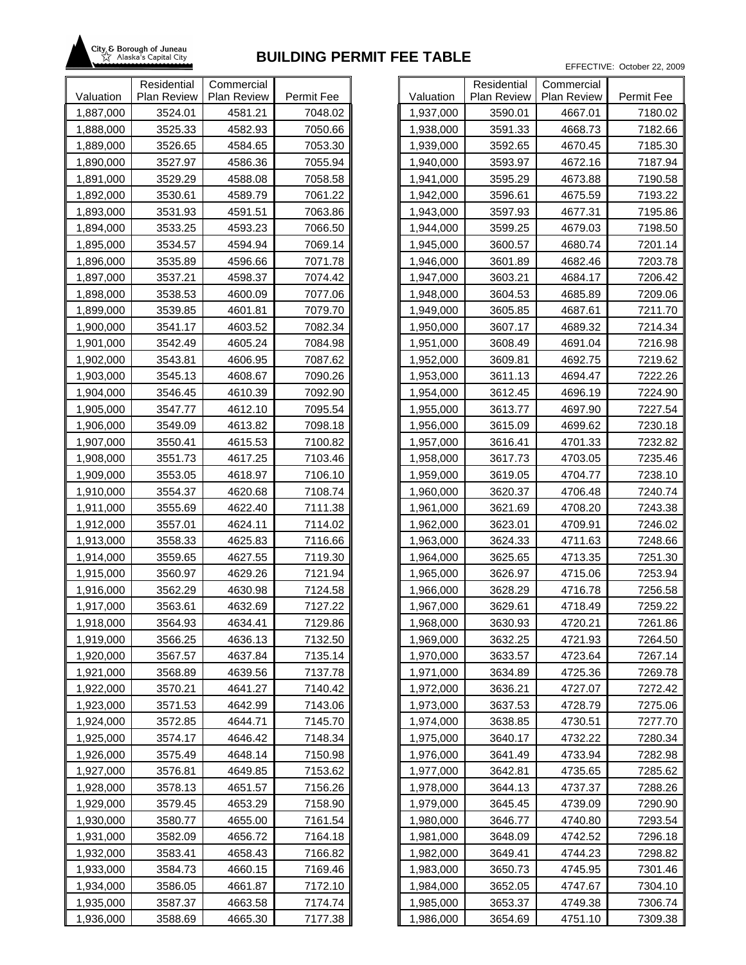

|           | Residential | Commercial  |            |           |
|-----------|-------------|-------------|------------|-----------|
| Valuation | Plan Review | Plan Review | Permit Fee | Valuation |
| 1,887,000 | 3524.01     | 4581.21     | 7048.02    | 1,937,000 |
| 1,888,000 | 3525.33     | 4582.93     | 7050.66    | 1,938,000 |
| 1,889,000 | 3526.65     | 4584.65     | 7053.30    | 1,939,000 |
| 1,890,000 | 3527.97     | 4586.36     | 7055.94    | 1,940,000 |
| 1,891,000 | 3529.29     | 4588.08     | 7058.58    | 1,941,000 |
| 1,892,000 | 3530.61     | 4589.79     | 7061.22    | 1,942,000 |
| 1,893,000 | 3531.93     | 4591.51     | 7063.86    | 1,943,000 |
| 1,894,000 | 3533.25     | 4593.23     | 7066.50    | 1,944,000 |
| 1,895,000 | 3534.57     | 4594.94     | 7069.14    | 1,945,000 |
| 1,896,000 | 3535.89     | 4596.66     | 7071.78    | 1,946,000 |
| 1,897,000 | 3537.21     | 4598.37     | 7074.42    | 1,947,000 |
| 1,898,000 | 3538.53     | 4600.09     | 7077.06    | 1,948,000 |
| 1,899,000 | 3539.85     | 4601.81     | 7079.70    | 1,949,000 |
| 1,900,000 | 3541.17     | 4603.52     | 7082.34    | 1,950,000 |
| 1,901,000 | 3542.49     | 4605.24     | 7084.98    | 1,951,000 |
| 1,902,000 | 3543.81     | 4606.95     | 7087.62    | 1,952,000 |
| 1,903,000 | 3545.13     | 4608.67     | 7090.26    | 1,953,000 |
| 1,904,000 | 3546.45     | 4610.39     | 7092.90    | 1,954,000 |
| 1,905,000 | 3547.77     | 4612.10     | 7095.54    | 1,955,000 |
| 1,906,000 | 3549.09     | 4613.82     | 7098.18    | 1,956,000 |
| 1,907,000 | 3550.41     | 4615.53     | 7100.82    | 1,957,000 |
| 1,908,000 | 3551.73     | 4617.25     | 7103.46    | 1,958,000 |
| 1,909,000 | 3553.05     | 4618.97     | 7106.10    | 1,959,000 |
| 1,910,000 | 3554.37     | 4620.68     | 7108.74    | 1,960,000 |
| 1,911,000 | 3555.69     | 4622.40     | 7111.38    | 1,961,000 |
| 1,912,000 | 3557.01     | 4624.11     | 7114.02    | 1,962,000 |
| 1,913,000 | 3558.33     | 4625.83     | 7116.66    | 1,963,000 |
| 1,914,000 | 3559.65     | 4627.55     | 7119.30    | 1,964,000 |
| 1,915,000 | 3560.97     | 4629.26     | 7121.94    | 1,965,000 |
| 1,916,000 | 3562.29     | 4630.98     | 7124.58    | 1,966,000 |
| 1,917,000 | 3563.61     | 4632.69     | 7127.22    | 1,967,000 |
| 1,918,000 | 3564.93     | 4634.41     | 7129.86    | 1,968,000 |
| 1,919,000 | 3566.25     | 4636.13     | 7132.50    | 1,969,000 |
| 1,920,000 | 3567.57     | 4637.84     | 7135.14    | 1,970,000 |
| 1,921,000 | 3568.89     | 4639.56     | 7137.78    | 1,971,000 |
| 1,922,000 | 3570.21     | 4641.27     | 7140.42    | 1,972,000 |
| 1,923,000 | 3571.53     | 4642.99     | 7143.06    | 1,973,000 |
| 1,924,000 | 3572.85     | 4644.71     | 7145.70    | 1,974,000 |
| 1,925,000 | 3574.17     | 4646.42     | 7148.34    | 1,975,000 |
| 1,926,000 | 3575.49     | 4648.14     | 7150.98    | 1,976,000 |
| 1,927,000 | 3576.81     | 4649.85     | 7153.62    | 1,977,000 |
| 1,928,000 | 3578.13     | 4651.57     | 7156.26    | 1,978,000 |
| 1,929,000 | 3579.45     | 4653.29     | 7158.90    | 1,979,000 |
| 1,930,000 | 3580.77     | 4655.00     | 7161.54    | 1,980,000 |
| 1,931,000 | 3582.09     | 4656.72     | 7164.18    | 1,981,000 |
| 1,932,000 | 3583.41     | 4658.43     | 7166.82    | 1,982,000 |
| 1,933,000 | 3584.73     | 4660.15     | 7169.46    | 1,983,000 |
| 1,934,000 | 3586.05     | 4661.87     | 7172.10    | 1,984,000 |
| 1,935,000 | 3587.37     | 4663.58     | 7174.74    | 1,985,000 |
| 1,936,000 | 3588.69     | 4665.30     | 7177.38    | 1,986,000 |

| Residential<br>Commercial |                    |                    |                    |  |  |  |  |
|---------------------------|--------------------|--------------------|--------------------|--|--|--|--|
| Valuation                 | <b>Plan Review</b> | Plan Review        | Permit Fee         |  |  |  |  |
| 1,937,000                 | 3590.01            | 4667.01            | 7180.02            |  |  |  |  |
| 1,938,000                 | 3591.33            | 4668.73            | 7182.66            |  |  |  |  |
| 1,939,000                 | 3592.65            | 4670.45            | 7185.30            |  |  |  |  |
| 1,940,000                 | 3593.97            | 4672.16            | 7187.94            |  |  |  |  |
| 1,941,000                 | 3595.29            | 4673.88            | 7190.58            |  |  |  |  |
| 1,942,000                 | 3596.61            | 4675.59            | 7193.22            |  |  |  |  |
| 1,943,000                 | 3597.93            | 4677.31            | 7195.86            |  |  |  |  |
| 1,944,000                 | 3599.25            | 4679.03            | 7198.50            |  |  |  |  |
| 1,945,000                 | 3600.57            | 4680.74            | 7201.14            |  |  |  |  |
| 1,946,000                 | 3601.89            | 4682.46            | 7203.78            |  |  |  |  |
| 1,947,000                 | 3603.21            | 4684.17            | 7206.42            |  |  |  |  |
| 1,948,000                 | 3604.53            | 4685.89            | 7209.06            |  |  |  |  |
| 1,949,000                 | 3605.85            | 4687.61            | 7211.70            |  |  |  |  |
| 1,950,000                 | 3607.17            | 4689.32            | 7214.34            |  |  |  |  |
| 1,951,000                 | 3608.49            | 4691.04            | 7216.98            |  |  |  |  |
| 1,952,000                 | 3609.81            | 4692.75            | 7219.62            |  |  |  |  |
| 1,953,000                 | 3611.13            | 4694.47            | 7222.26            |  |  |  |  |
| 1,954,000                 | 3612.45            | 4696.19            | 7224.90            |  |  |  |  |
| 1,955,000                 | 3613.77            | 4697.90            | 7227.54            |  |  |  |  |
| 1,956,000                 | 3615.09            | 4699.62            | 7230.18            |  |  |  |  |
| 1,957,000                 | 3616.41            | 4701.33            | 7232.82            |  |  |  |  |
| 1,958,000                 | 3617.73            | 4703.05            | 7235.46            |  |  |  |  |
| 1,959,000                 | 3619.05            | 4704.77            | 7238.10            |  |  |  |  |
| 1,960,000                 | 3620.37            | 4706.48            | 7240.74            |  |  |  |  |
| 1,961,000                 | 3621.69            | 4708.20            | 7243.38            |  |  |  |  |
| 1,962,000                 | 3623.01            | 4709.91            | 7246.02            |  |  |  |  |
| 1,963,000                 | 3624.33            | 4711.63            | 7248.66            |  |  |  |  |
| 1,964,000                 | 3625.65            | 4713.35            | 7251.30            |  |  |  |  |
| 1,965,000                 | 3626.97            | 4715.06            | 7253.94            |  |  |  |  |
| 1,966,000                 | 3628.29            | 4716.78            | 7256.58            |  |  |  |  |
| 1,967,000                 | 3629.61            | 4718.49            | 7259.22            |  |  |  |  |
| 1,968,000                 | 3630.93            | 4720.21            | 7261.86            |  |  |  |  |
| 1,969,000                 | 3632.25            | 4721.93            | 7264.50            |  |  |  |  |
| 1,970,000                 | 3633.57            | 4723.64            | 7267.14            |  |  |  |  |
|                           | 3634.89            |                    |                    |  |  |  |  |
| 1,971,000<br>1,972,000    | 3636.21            | 4725.36<br>4727.07 | 7269.78<br>7272.42 |  |  |  |  |
| 1,973,000                 | 3637.53            | 4728.79            | 7275.06            |  |  |  |  |
| 1,974,000                 |                    | 4730.51            |                    |  |  |  |  |
| 1,975,000                 | 3638.85<br>3640.17 | 4732.22            | 7277.70<br>7280.34 |  |  |  |  |
|                           |                    | 4733.94            |                    |  |  |  |  |
| 1,976,000                 | 3641.49            |                    | 7282.98<br>7285.62 |  |  |  |  |
| 1,977,000                 | 3642.81            | 4735.65            |                    |  |  |  |  |
| 1,978,000                 | 3644.13            | 4737.37            | 7288.26            |  |  |  |  |
| 1,979,000                 | 3645.45            | 4739.09            | 7290.90            |  |  |  |  |
| 1,980,000                 | 3646.77            | 4740.80            | 7293.54            |  |  |  |  |
| 1,981,000                 | 3648.09            | 4742.52            | 7296.18            |  |  |  |  |
| 1,982,000                 | 3649.41            | 4744.23            | 7298.82            |  |  |  |  |
| 1,983,000                 | 3650.73            | 4745.95            | 7301.46            |  |  |  |  |
| 1,984,000                 | 3652.05            | 4747.67            | 7304.10            |  |  |  |  |
| 1,985,000                 | 3653.37            | 4749.38            | 7306.74            |  |  |  |  |
| 1,986,000                 | 3654.69            | 4751.10            | 7309.38            |  |  |  |  |